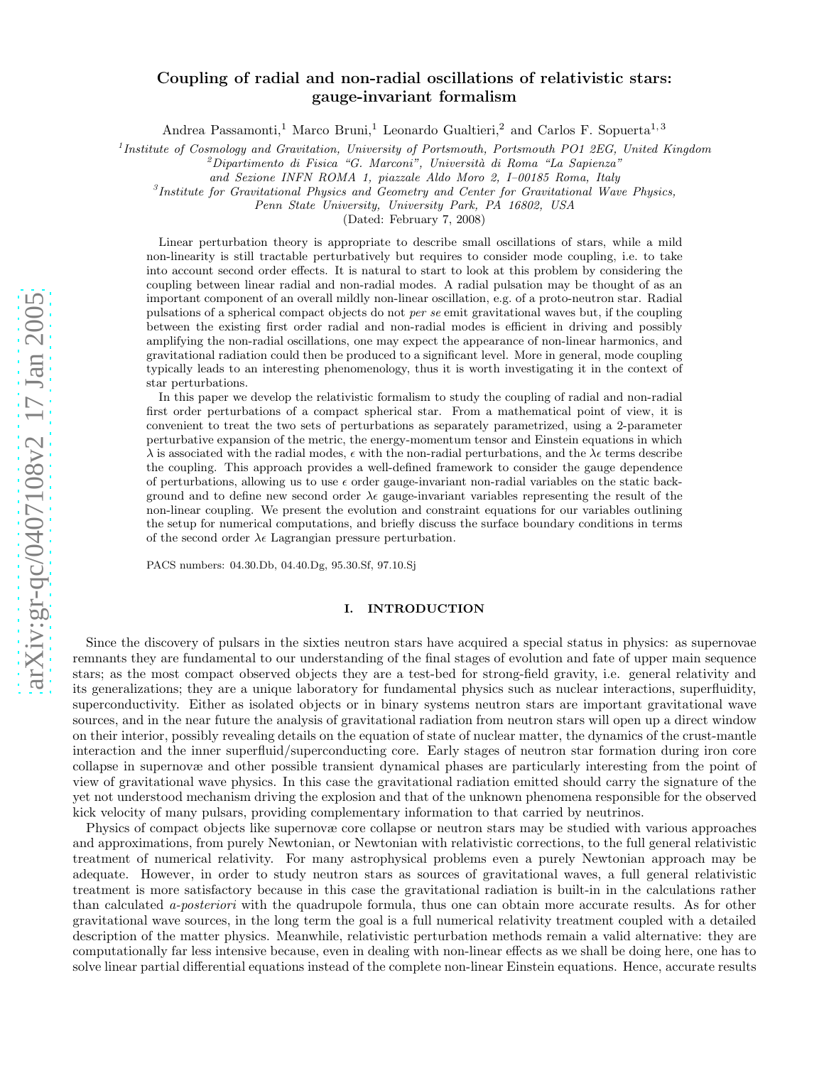# arXiv:gr-qc/0407108v2 17 Jan 2005 [arXiv:gr-qc/0407108v2 17 Jan 2005](http://arXiv.org/abs/gr-qc/0407108v2)

# Coupling of radial and non-radial oscillations of relativistic stars: gauge-invariant formalism

Andrea Passamonti,<sup>1</sup> Marco Bruni,<sup>1</sup> Leonardo Gualtieri,<sup>2</sup> and Carlos F. Sopuerta<sup>1,3</sup>

<sup>1</sup>Institute of Cosmology and Gravitation, University of Portsmouth, Portsmouth PO1 2EG, United Kingdom<sup>2</sup> Dipartimento di Fisica "G. Marconi", Università di Roma "La Sapienza"

*and Sezione INFN ROMA 1, piazzale Aldo Moro 2, I–00185 Roma, Italy*

3 *Institute for Gravitational Physics and Geometry and Center for Gravitational Wave Physics,*

*Penn State University, University Park, PA 16802, USA*

(Dated: February 7, 2008)

Linear perturbation theory is appropriate to describe small oscillations of stars, while a mild non-linearity is still tractable perturbatively but requires to consider mode coupling, i.e. to take into account second order effects. It is natural to start to look at this problem by considering the coupling between linear radial and non-radial modes. A radial pulsation may be thought of as an important component of an overall mildly non-linear oscillation, e.g. of a proto-neutron star. Radial pulsations of a spherical compact objects do not *per se* emit gravitational waves but, if the coupling between the existing first order radial and non-radial modes is efficient in driving and possibly amplifying the non-radial oscillations, one may expect the appearance of non-linear harmonics, and gravitational radiation could then be produced to a significant level. More in general, mode coupling typically leads to an interesting phenomenology, thus it is worth investigating it in the context of star perturbations.

In this paper we develop the relativistic formalism to study the coupling of radial and non-radial first order perturbations of a compact spherical star. From a mathematical point of view, it is convenient to treat the two sets of perturbations as separately parametrized, using a 2-parameter perturbative expansion of the metric, the energy-momentum tensor and Einstein equations in which  $\lambda$  is associated with the radial modes,  $\epsilon$  with the non-radial perturbations, and the  $\lambda \epsilon$  terms describe the coupling. This approach provides a well-defined framework to consider the gauge dependence of perturbations, allowing us to use  $\epsilon$  order gauge-invariant non-radial variables on the static background and to define new second order  $\lambda \epsilon$  gauge-invariant variables representing the result of the non-linear coupling. We present the evolution and constraint equations for our variables outlining the setup for numerical computations, and briefly discuss the surface boundary conditions in terms of the second order  $\lambda \epsilon$  Lagrangian pressure perturbation.

PACS numbers: 04.30.Db, 04.40.Dg, 95.30.Sf, 97.10.Sj

## I. INTRODUCTION

Since the discovery of pulsars in the sixties neutron stars have acquired a special status in physics: as supernovae remnants they are fundamental to our understanding of the final stages of evolution and fate of upper main sequence stars; as the most compact observed objects they are a test-bed for strong-field gravity, i.e. general relativity and its generalizations; they are a unique laboratory for fundamental physics such as nuclear interactions, superfluidity , superconductivity. Either as isolated objects or in binary systems neutron stars are important gravitational wave sources, and in the near future the analysis of gravitational radiation from neutron stars will open up a direct window on their interior, possibly revealing details on the equation of state of nuclear matter, the dynamics of the crust-mantle interaction and the inner superfluid/superconducting core. Early stages of neutron star formation during iron core collapse in supernovæ and other possible transient dynamical phases are particularly interesting from the point of view of gravitational wave physics. In this case the gravitational radiation emitted should carry the signature of the yet not understood mechanism driving the explosion and that of the unknown phenomena responsible for the observed kick velocity of many pulsars, providing complementary information to that carried by neutrinos.

Physics of compact objects like supernovæ core collapse or neutron stars may be studied with various approaches and approximations, from purely Newtonian, or Newtonian with relativistic corrections, to the full general relativistic treatment of numerical relativity. For many astrophysical problems even a purely Newtonian approach may be adequate. However, in order to study neutron stars as sources of gravitational waves, a full general relativistic treatment is more satisfactory because in this case the gravitational radiation is built-in in the calculations rather than calculated a-posteriori with the quadrupole formula, thus one can obtain more accurate results. As for other gravitational wave sources, in the long term the goal is a full numerical relativity treatment coupled with a detailed description of the matter physics. Meanwhile, relativistic perturbation methods remain a valid alternative: they are computationally far less intensive because, even in dealing with non-linear effects as we shall be doing here, one has to solve linear partial differential equations instead of the complete non-linear Einstein equations. Hence, accurate results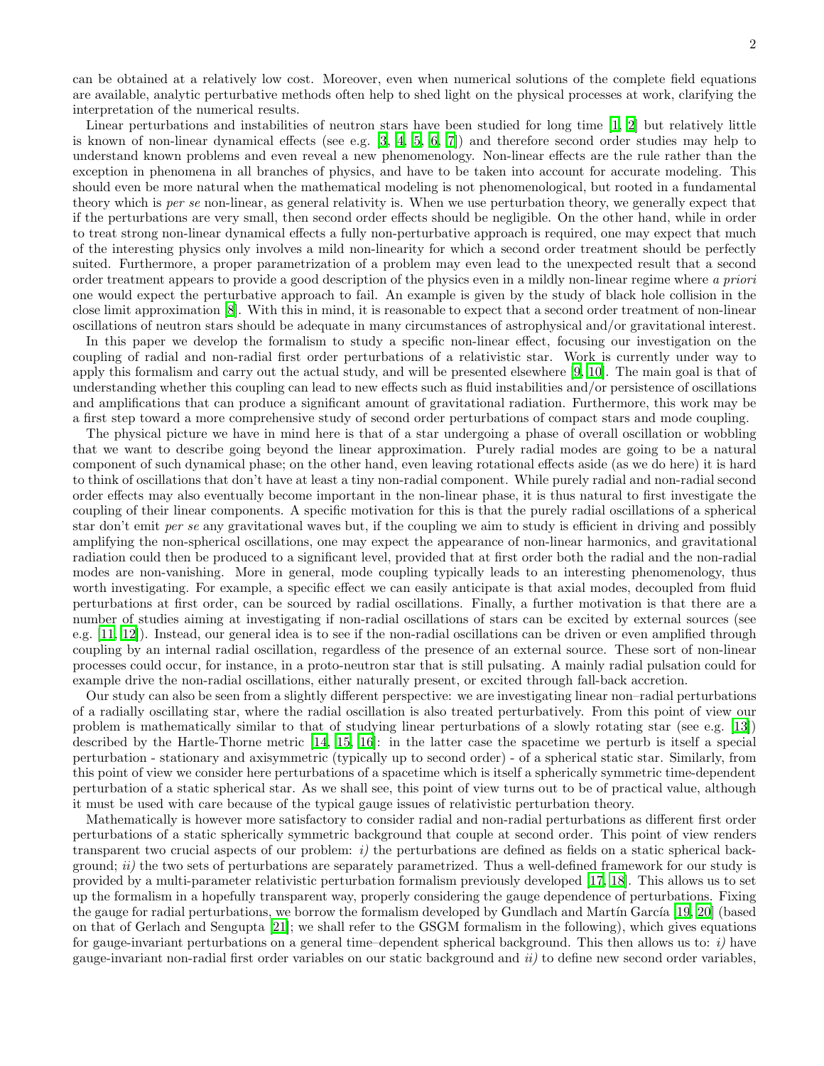can be obtained at a relatively low cost. Moreover, even when numerical solutions of the complete field equations are available, analytic perturbative methods often help to shed light on the physical processes at work, clarifying the interpretation of the numerical results.

Linear perturbations and instabilities of neutron stars have been studied for long time [\[1,](#page-23-0) [2\]](#page-23-1) but relatively little is known of non-linear dynamical effects (see e.g. [\[3,](#page-23-2) [4](#page-23-3), [5,](#page-23-4) [6](#page-23-5), [7\]](#page-23-6)) and therefore second order studies may help to understand known problems and even reveal a new phenomenology. Non-linear effects are the rule rather than the exception in phenomena in all branches of physics, and have to be taken into account for accurate modeling. This should even be more natural when the mathematical modeling is not phenomenological, but rooted in a fundamental theory which is per se non-linear, as general relativity is. When we use perturbation theory, we generally expect that if the perturbations are very small, then second order effects should be negligible. On the other hand, while in order to treat strong non-linear dynamical effects a fully non-perturbative approach is required, one may expect that much of the interesting physics only involves a mild non-linearity for which a second order treatment should be perfectly suited. Furthermore, a proper parametrization of a problem may even lead to the unexpected result that a second order treatment appears to provide a good description of the physics even in a mildly non-linear regime where a priori one would expect the perturbative approach to fail. An example is given by the study of black hole collision in the close limit approximation [\[8](#page-23-7)]. With this in mind, it is reasonable to expect that a second order treatment of non-linear oscillations of neutron stars should be adequate in many circumstances of astrophysical and/or gravitational interest.

In this paper we develop the formalism to study a specific non-linear effect, focusing our investigation on the coupling of radial and non-radial first order perturbations of a relativistic star. Work is currently under way to apply this formalism and carry out the actual study, and will be presented elsewhere [\[9,](#page-23-8) [10](#page-23-9)]. The main goal is that of understanding whether this coupling can lead to new effects such as fluid instabilities and/or persistence of oscillations and amplifications that can produce a significant amount of gravitational radiation. Furthermore, this work may be a first step toward a more comprehensive study of second order perturbations of compact stars and mode coupling.

The physical picture we have in mind here is that of a star undergoing a phase of overall oscillation or wobbling that we want to describe going beyond the linear approximation. Purely radial modes are going to be a natural component of such dynamical phase; on the other hand, even leaving rotational effects aside (as we do here) it is hard to think of oscillations that don't have at least a tiny non-radial component. While purely radial and non-radial second order effects may also eventually become important in the non-linear phase, it is thus natural to first investigate the coupling of their linear components. A specific motivation for this is that the purely radial oscillations of a spherical star don't emit per se any gravitational waves but, if the coupling we aim to study is efficient in driving and possibly amplifying the non-spherical oscillations, one may expect the appearance of non-linear harmonics, and gravitational radiation could then be produced to a significant level, provided that at first order both the radial and the non-radial modes are non-vanishing. More in general, mode coupling typically leads to an interesting phenomenology, thus worth investigating. For example, a specific effect we can easily anticipate is that axial modes, decoupled from fluid perturbations at first order, can be sourced by radial oscillations. Finally, a further motivation is that there are a number of studies aiming at investigating if non-radial oscillations of stars can be excited by external sources (see e.g. [\[11,](#page-23-10) [12\]](#page-23-11)). Instead, our general idea is to see if the non-radial oscillations can be driven or even amplified through coupling by an internal radial oscillation, regardless of the presence of an external source. These sort of non-linear processes could occur, for instance, in a proto-neutron star that is still pulsating. A mainly radial pulsation could for example drive the non-radial oscillations, either naturally present, or excited through fall-back accretion.

Our study can also be seen from a slightly different perspective: we are investigating linear non–radial perturbations of a radially oscillating star, where the radial oscillation is also treated perturbatively. From this point of view our problem is mathematically similar to that of studying linear perturbations of a slowly rotating star (see e.g. [\[13\]](#page-23-12)) described by the Hartle-Thorne metric [\[14](#page-23-13), [15](#page-23-14), [16\]](#page-23-15): in the latter case the spacetime we perturb is itself a special perturbation - stationary and axisymmetric (typically up to second order) - of a spherical static star. Similarly, from this point of view we consider here perturbations of a spacetime which is itself a spherically symmetric time-dependent perturbation of a static spherical star. As we shall see, this point of view turns out to be of practical value, although it must be used with care because of the typical gauge issues of relativistic perturbation theory.

Mathematically is however more satisfactory to consider radial and non-radial perturbations as different first order perturbations of a static spherically symmetric background that couple at second order. This point of view renders transparent two crucial aspects of our problem:  $i$ ) the perturbations are defined as fields on a static spherical background;  $ii)$  the two sets of perturbations are separately parametrized. Thus a well-defined framework for our study is provided by a multi-parameter relativistic perturbation formalism previously developed [\[17](#page-23-16), [18](#page-23-17)]. This allows us to set up the formalism in a hopefully transparent way, properly considering the gauge dependence of perturbations. Fixing the gauge for radial perturbations, we borrow the formalism developed by Gundlach and Martín García [\[19,](#page-23-18) [20](#page-23-19)] (based on that of Gerlach and Sengupta [\[21\]](#page-23-20); we shall refer to the GSGM formalism in the following), which gives equations for gauge-invariant perturbations on a general time–dependent spherical background. This then allows us to:  $i$ ) have gauge-invariant non-radial first order variables on our static background and  $ii$ ) to define new second order variables,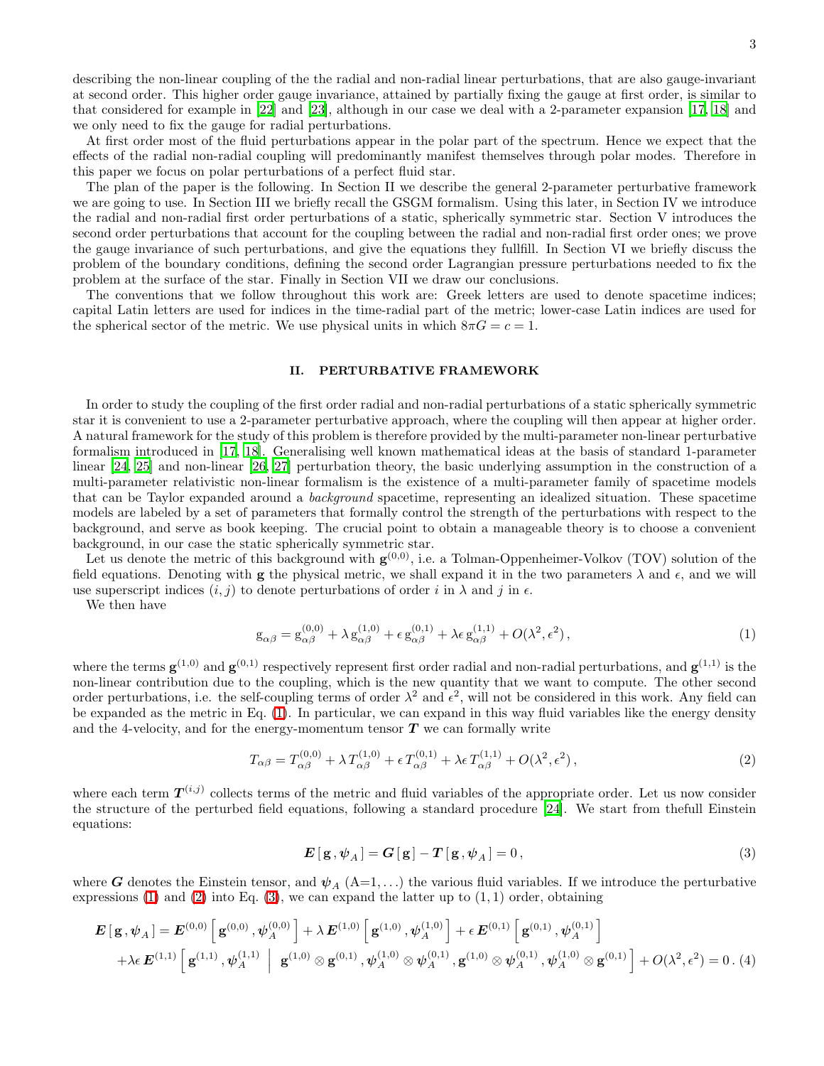3

describing the non-linear coupling of the the radial and non-radial linear perturbations, that are also gauge-invariant at second order. This higher order gauge invariance, attained by partially fixing the gauge at first order, is similar to that considered for example in [\[22](#page-23-21)] and [\[23](#page-23-22)], although in our case we deal with a 2-parameter expansion [\[17,](#page-23-16) [18\]](#page-23-17) and we only need to fix the gauge for radial perturbations.

At first order most of the fluid perturbations appear in the polar part of the spectrum. Hence we expect that the effects of the radial non-radial coupling will predominantly manifest themselves through polar modes. Therefore in this paper we focus on polar perturbations of a perfect fluid star.

The plan of the paper is the following. In Section II we describe the general 2-parameter perturbative framework we are going to use. In Section III we briefly recall the GSGM formalism. Using this later, in Section IV we introduce the radial and non-radial first order perturbations of a static, spherically symmetric star. Section V introduces the second order perturbations that account for the coupling between the radial and non-radial first order ones; we prove the gauge invariance of such perturbations, and give the equations they fullfill. In Section VI we briefly discuss the problem of the boundary conditions, defining the second order Lagrangian pressure perturbations needed to fix the problem at the surface of the star. Finally in Section VII we draw our conclusions.

The conventions that we follow throughout this work are: Greek letters are used to denote spacetime indices; capital Latin letters are used for indices in the time-radial part of the metric; lower-case Latin indices are used for the spherical sector of the metric. We use physical units in which  $8\pi G = c = 1$ .

### <span id="page-2-3"></span>II. PERTURBATIVE FRAMEWORK

In order to study the coupling of the first order radial and non-radial perturbations of a static spherically symmetric star it is convenient to use a 2-parameter perturbative approach, where the coupling will then appear at higher order. A natural framework for the study of this problem is therefore provided by the multi-parameter non-linear perturbative formalism introduced in [\[17,](#page-23-16) [18](#page-23-17)]. Generalising well known mathematical ideas at the basis of standard 1-parameter linear [\[24,](#page-23-23) [25](#page-23-24)] and non-linear [\[26,](#page-23-25) [27](#page-23-26)] perturbation theory, the basic underlying assumption in the construction of a multi-parameter relativistic non-linear formalism is the existence of a multi-parameter family of spacetime models that can be Taylor expanded around a background spacetime, representing an idealized situation. These spacetime models are labeled by a set of parameters that formally control the strength of the perturbations with respect to the background, and serve as book keeping. The crucial point to obtain a manageable theory is to choose a convenient background, in our case the static spherically symmetric star.

Let us denote the metric of this background with  $\mathbf{g}^{(0,0)}$ , i.e. a Tolman-Oppenheimer-Volkov (TOV) solution of the field equations. Denoting with g the physical metric, we shall expand it in the two parameters  $\lambda$  and  $\epsilon$ , and we will use superscript indices  $(i, j)$  to denote perturbations of order i in  $\lambda$  and j in  $\epsilon$ .

<span id="page-2-0"></span>We then have

$$
g_{\alpha\beta} = g_{\alpha\beta}^{(0,0)} + \lambda g_{\alpha\beta}^{(1,0)} + \epsilon g_{\alpha\beta}^{(0,1)} + \lambda \epsilon g_{\alpha\beta}^{(1,1)} + O(\lambda^2, \epsilon^2), \qquad (1)
$$

where the terms  $\mathbf{g}^{(1,0)}$  and  $\mathbf{g}^{(0,1)}$  respectively represent first order radial and non-radial perturbations, and  $\mathbf{g}^{(1,1)}$  is the non-linear contribution due to the coupling, which is the new quantity that we want to compute. The other second order perturbations, i.e. the self-coupling terms of order  $\lambda^2$  and  $\epsilon^2$ , will not be considered in this work. Any field can be expanded as the metric in Eq. [\(1\)](#page-2-0). In particular, we can expand in this way fluid variables like the energy density and the 4-velocity, and for the energy-momentum tensor  $T$  we can formally write

<span id="page-2-2"></span>
$$
T_{\alpha\beta} = T_{\alpha\beta}^{(0,0)} + \lambda T_{\alpha\beta}^{(1,0)} + \epsilon T_{\alpha\beta}^{(0,1)} + \lambda \epsilon T_{\alpha\beta}^{(1,1)} + O(\lambda^2, \epsilon^2),
$$
\n<sup>(2)</sup>

<span id="page-2-1"></span>where each term  $T^{(i,j)}$  collects terms of the metric and fluid variables of the appropriate order. Let us now consider the structure of the perturbed field equations, following a standard procedure [\[24](#page-23-23)]. We start from thefull Einstein equations:

$$
E[g, \psi_A] = G[g] - T[g, \psi_A] = 0, \qquad (3)
$$

where G denotes the Einstein tensor, and  $\psi_A$  (A=1,...) the various fluid variables. If we introduce the perturbative expressions  $(1)$  and  $(2)$  into Eq.  $(3)$ , we can expand the latter up to  $(1, 1)$  order, obtaining

$$
\mathbf{E}[\mathbf{g}, \psi_A] = \mathbf{E}^{(0,0)} [\mathbf{g}^{(0,0)}, \psi_A^{(0,0)}] + \lambda \mathbf{E}^{(1,0)} [\mathbf{g}^{(1,0)}, \psi_A^{(1,0)}] + \epsilon \mathbf{E}^{(0,1)} [\mathbf{g}^{(0,1)}, \psi_A^{(0,1)}] + \lambda \epsilon \mathbf{E}^{(1,1)} [\mathbf{g}^{(1,1)}, \psi_A^{(1,1)}] [\mathbf{g}^{(1,0)} \otimes \mathbf{g}^{(0,1)}, \psi_A^{(1,0)} \otimes \psi_A^{(0,1)}, \mathbf{g}^{(1,0)} \otimes \psi_A^{(0,1)}, \psi_A^{(1,0)} \otimes \mathbf{g}^{(0,1)}] + O(\lambda^2, \epsilon^2) = 0. (4)
$$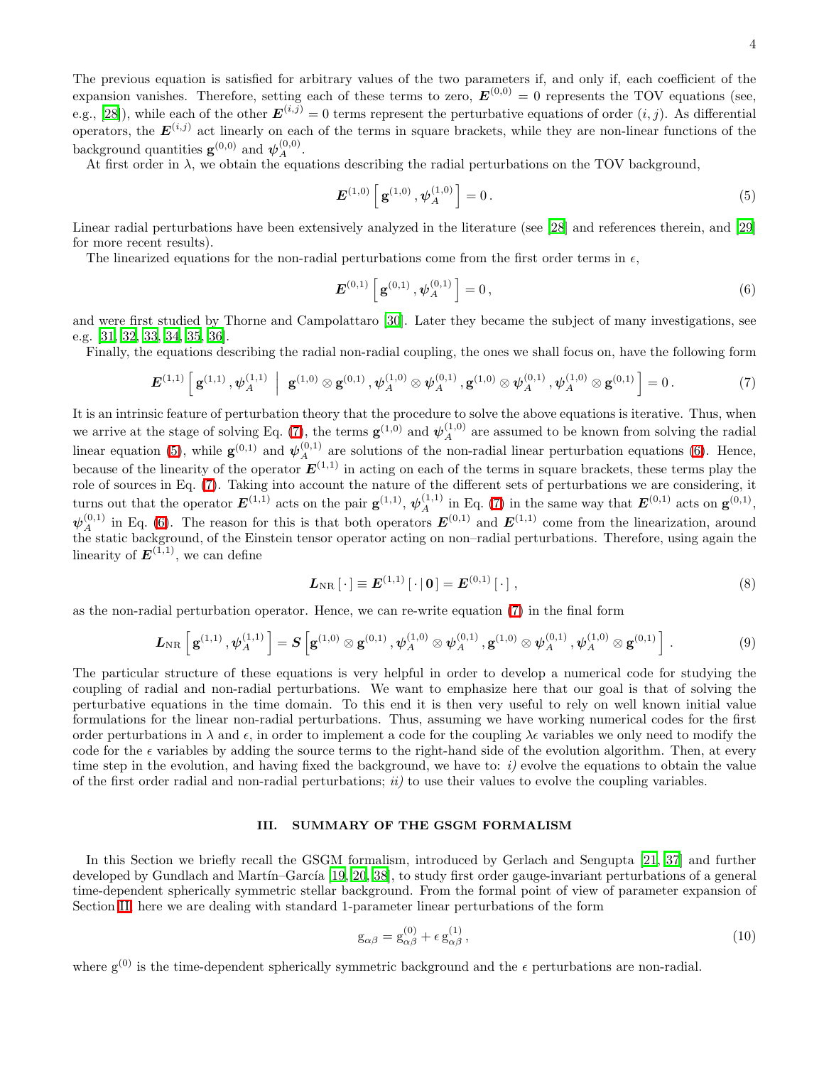4

The previous equation is satisfied for arbitrary values of the two parameters if, and only if, each coefficient of the expansion vanishes. Therefore, setting each of these terms to zero,  $E^{(0,0)} = 0$  represents the TOV equations (see, e.g., [\[28\]](#page-23-27)), while each of the other  $E^{(i,j)} = 0$  terms represent the perturbative equations of order  $(i, j)$ . As differential operators, the  $E^{(i,j)}$  act linearly on each of the terms in square brackets, while they are non-linear functions of the background quantities  $\mathbf{g}^{(0,0)}$  and  $\psi_A^{(0,0)}$ .

At first order in  $\lambda$ , we obtain the equations describing the radial perturbations on the TOV background,

<span id="page-3-1"></span>
$$
\boldsymbol{E}^{(1,0)}\left[\,\mathbf{g}^{(1,0)},\boldsymbol{\psi}_A^{(1,0)}\,\right]=0\,. \tag{5}
$$

Linear radial perturbations have been extensively analyzed in the literature (see [\[28\]](#page-23-27) and references therein, and [\[29](#page-23-28)] for more recent results).

The linearized equations for the non-radial perturbations come from the first order terms in  $\epsilon$ ,

<span id="page-3-2"></span>
$$
\boldsymbol{E}^{(0,1)}\left[\,\mathbf{g}^{(0,1)}\,,\boldsymbol{\psi}_A^{(0,1)}\,\right] = 0\,,\tag{6}
$$

and were first studied by Thorne and Campolattaro [\[30\]](#page-23-29). Later they became the subject of many investigations, see e.g. [\[31,](#page-23-30) [32](#page-23-31), [33](#page-23-32), [34](#page-23-33), [35](#page-23-34), [36](#page-23-35)].

<span id="page-3-0"></span>Finally, the equations describing the radial non-radial coupling, the ones we shall focus on, have the following form

$$
\boldsymbol{E}^{(1,1)}\left[\,\mathbf{g}^{(1,1)},\boldsymbol{\psi}_A^{(1,1)}\,\,\Big|\,\,\mathbf{g}^{(1,0)}\otimes\mathbf{g}^{(0,1)},\boldsymbol{\psi}_A^{(1,0)}\otimes\boldsymbol{\psi}_A^{(0,1)},\mathbf{g}^{(1,0)}\otimes\boldsymbol{\psi}_A^{(0,1)},\boldsymbol{\psi}_A^{(1,0)}\otimes\mathbf{g}^{(0,1)}\,\right] = 0\,. \tag{7}
$$

It is an intrinsic feature of perturbation theory that the procedure to solve the above equations is iterative. Thus, when we arrive at the stage of solving Eq. [\(7\)](#page-3-0), the terms  $\mathbf{g}^{(1,0)}$  and  $\psi_A^{(1,0)}$  are assumed to be known from solving the radial linear equation [\(5\)](#page-3-1), while  $\mathbf{g}^{(0,1)}$  and  $\boldsymbol{\psi}_A^{(0,1)}$  $A^{(0,1)}_A$  are solutions of the non-radial linear perturbation equations [\(6\)](#page-3-2). Hence, because of the linearity of the operator  $E^{(1,1)}$  in acting on each of the terms in square brackets, these terms play the role of sources in Eq. [\(7\)](#page-3-0). Taking into account the nature of the different sets of perturbations we are considering, it turns out that the operator  $\mathbf{E}^{(1,1)}$  acts on the pair  $\mathbf{g}^{(1,1)}$ ,  $\boldsymbol{\psi}_A^{(1,1)}$  $A^{(1,1)}$  in Eq. [\(7\)](#page-3-0) in the same way that  $E^{(0,1)}$  acts on  $g^{(0,1)}$ ,  $\psi_A^{(0,1)}$  in Eq. [\(6\)](#page-3-2). The reason for this is that both operators  $E^{(0,1)}$  and  $E^{(1,1)}$  come from the linearization, around the static background, of the Einstein tensor operator acting on non–radial perturbations. Therefore, using again the linearity of  $E^{(1,1)}$ , we can define

$$
L_{\rm NR}\left[\cdot\right] \equiv E^{(1,1)}\left[\cdot\right] \left[0\right] = E^{(0,1)}\left[\cdot\right],\tag{8}
$$

<span id="page-3-5"></span>as the non-radial perturbation operator. Hence, we can re-write equation [\(7\)](#page-3-0) in the final form

$$
\boldsymbol{L}_{\text{NR}}\left[\,\mathbf{g}^{(1,1)}\,,\boldsymbol{\psi}_A^{(1,1)}\,\right] = \boldsymbol{S}\left[\mathbf{g}^{(1,0)}\otimes\mathbf{g}^{(0,1)}\,,\boldsymbol{\psi}_A^{(1,0)}\otimes\boldsymbol{\psi}_A^{(0,1)}\,,\mathbf{g}^{(1,0)}\otimes\boldsymbol{\psi}_A^{(0,1)}\,,\boldsymbol{\psi}_A^{(1,0)}\otimes\mathbf{g}^{(0,1)}\,\right]\,. \tag{9}
$$

The particular structure of these equations is very helpful in order to develop a numerical code for studying the coupling of radial and non-radial perturbations. We want to emphasize here that our goal is that of solving the perturbative equations in the time domain. To this end it is then very useful to rely on well known initial value formulations for the linear non-radial perturbations. Thus, assuming we have working numerical codes for the first order perturbations in  $\lambda$  and  $\epsilon$ , in order to implement a code for the coupling  $\lambda \epsilon$  variables we only need to modify the code for the  $\epsilon$  variables by adding the source terms to the right-hand side of the evolution algorithm. Then, at every time step in the evolution, and having fixed the background, we have to:  $i$ ) evolve the equations to obtain the value of the first order radial and non-radial perturbations;  $ii)$  to use their values to evolve the coupling variables.

### <span id="page-3-4"></span><span id="page-3-3"></span>III. SUMMARY OF THE GSGM FORMALISM

In this Section we briefly recall the GSGM formalism, introduced by Gerlach and Sengupta [\[21](#page-23-20), [37](#page-23-36)] and further developed by Gundlach and Martín–García [\[19,](#page-23-18) [20](#page-23-19), [38\]](#page-23-37), to study first order gauge-invariant perturbations of a general time-dependent spherically symmetric stellar background. From the formal point of view of parameter expansion of Section [II,](#page-2-3) here we are dealing with standard 1-parameter linear perturbations of the form

$$
g_{\alpha\beta} = g_{\alpha\beta}^{(0)} + \epsilon g_{\alpha\beta}^{(1)},\tag{10}
$$

where  $g^{(0)}$  is the time-dependent spherically symmetric background and the  $\epsilon$  perturbations are non-radial.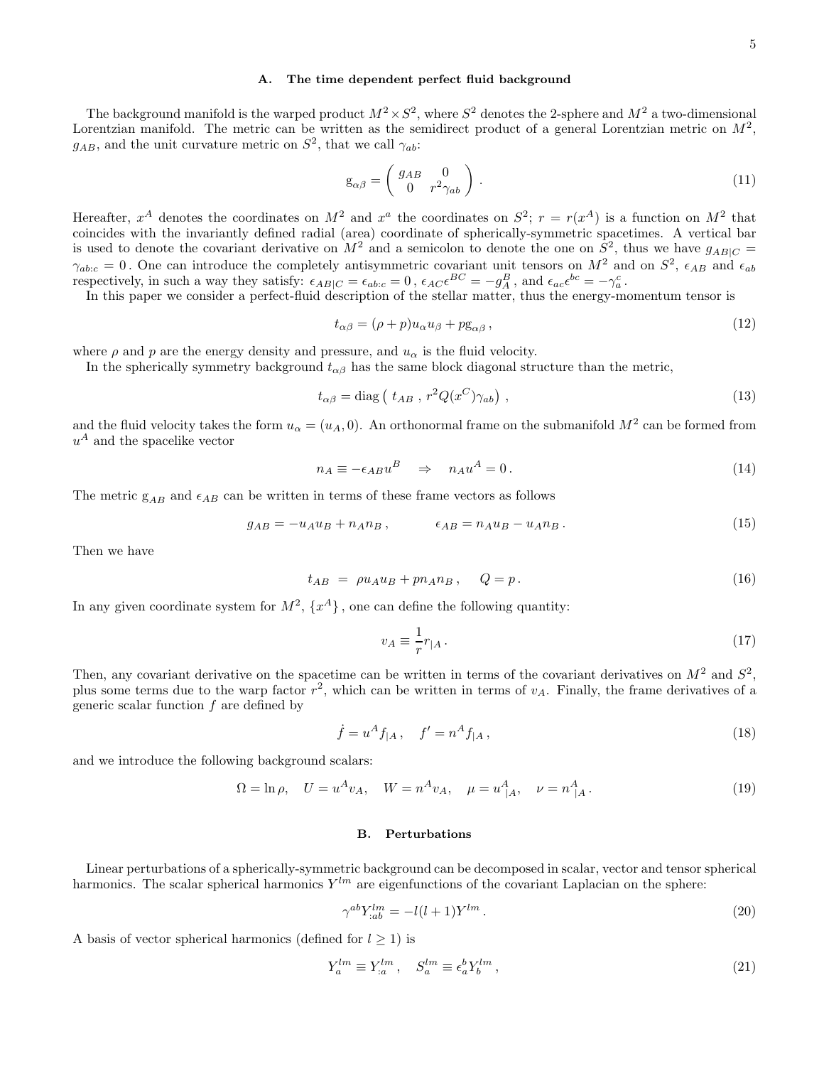### <span id="page-4-0"></span>A. The time dependent perfect fluid background

The background manifold is the warped product  $M^2 \times S^2$ , where  $S^2$  denotes the 2-sphere and  $M^2$  a two-dimensional Lorentzian manifold. The metric can be written as the semidirect product of a general Lorentzian metric on  $M^2$ ,  $g_{AB}$ , and the unit curvature metric on  $S^2$ , that we call  $\gamma_{ab}$ :

$$
g_{\alpha\beta} = \begin{pmatrix} g_{AB} & 0 \\ 0 & r^2 \gamma_{ab} \end{pmatrix} . \tag{11}
$$

Hereafter,  $x^A$  denotes the coordinates on  $M^2$  and  $x^a$  the coordinates on  $S^2$ ;  $r = r(x^A)$  is a function on  $M^2$  that coincides with the invariantly defined radial (area) coordinate of spherically-symmetric spacetimes. A vertical bar is used to denote the covariant derivative on  $M^2$  and a semicolon to denote the one on  $S^2$ , thus we have  $g_{AB|C}$  =  $\gamma_{abc} = 0$ . One can introduce the completely antisymmetric covariant unit tensors on  $M^2$  and on  $S^2$ ,  $\epsilon_{AB}$  and  $\epsilon_{ab}$ respectively, in such a way they satisfy:  $\epsilon_{AB|C} = \epsilon_{abc} = 0$ ,  $\epsilon_{AC}\epsilon^{BC} = -g_A^B$ , and  $\epsilon_{ac}\epsilon^{bc} = -\gamma_a^c$ .

In this paper we consider a perfect-fluid description of the stellar matter, thus the energy-momentum tensor is

$$
t_{\alpha\beta} = (\rho + p)u_{\alpha}u_{\beta} + p\mathbf{g}_{\alpha\beta},\tag{12}
$$

where  $\rho$  and  $p$  are the energy density and pressure, and  $u_{\alpha}$  is the fluid velocity.

In the spherically symmetry background  $t_{\alpha\beta}$  has the same block diagonal structure than the metric,

$$
t_{\alpha\beta} = \text{diag}\left(\ t_{AB} \ , \ r^2 Q(x^C) \gamma_{ab} \right) \ , \tag{13}
$$

and the fluid velocity takes the form  $u_{\alpha} = (u_A, 0)$ . An orthonormal frame on the submanifold  $M^2$  can be formed from  $u^A$  and the spacelike vector

$$
n_A \equiv -\epsilon_{AB} u^B \quad \Rightarrow \quad n_A u^A = 0 \,. \tag{14}
$$

The metric  $g_{AB}$  and  $\epsilon_{AB}$  can be written in terms of these frame vectors as follows

$$
g_{AB} = -u_A u_B + n_A n_B, \qquad \epsilon_{AB} = n_A u_B - u_A n_B. \tag{15}
$$

Then we have

$$
t_{AB} = \rho u_A u_B + p n_A n_B, \quad Q = p. \tag{16}
$$

In any given coordinate system for  $M^2$ ,  $\{x^A\}$ , one can define the following quantity:

$$
v_A \equiv \frac{1}{r} r_{|A} \,. \tag{17}
$$

Then, any covariant derivative on the spacetime can be written in terms of the covariant derivatives on  $M^2$  and  $S^2$ , plus some terms due to the warp factor  $r^2$ , which can be written in terms of  $v_A$ . Finally, the frame derivatives of a generic scalar function f are defined by

$$
\dot{f} = u^A f_{|A}, \quad f' = n^A f_{|A}, \tag{18}
$$

and we introduce the following background scalars:

$$
\Omega = \ln \rho, \quad U = u^A v_A, \quad W = n^A v_A, \quad \mu = u^A_{\ |A}, \quad \nu = n^A_{\ |A} \,. \tag{19}
$$

### B. Perturbations

Linear perturbations of a spherically-symmetric background can be decomposed in scalar, vector and tensor spherical harmonics. The scalar spherical harmonics  $Y^{lm}$  are eigenfunctions of the covariant Laplacian on the sphere:

$$
\gamma^{ab} Y_{:ab}^{lm} = -l(l+1)Y^{lm} \,. \tag{20}
$$

A basis of vector spherical harmonics (defined for  $l \geq 1$ ) is

$$
Y_a^{lm} \equiv Y_{:a}^{lm}, \quad S_a^{lm} \equiv \epsilon_a^b Y_b^{lm}, \tag{21}
$$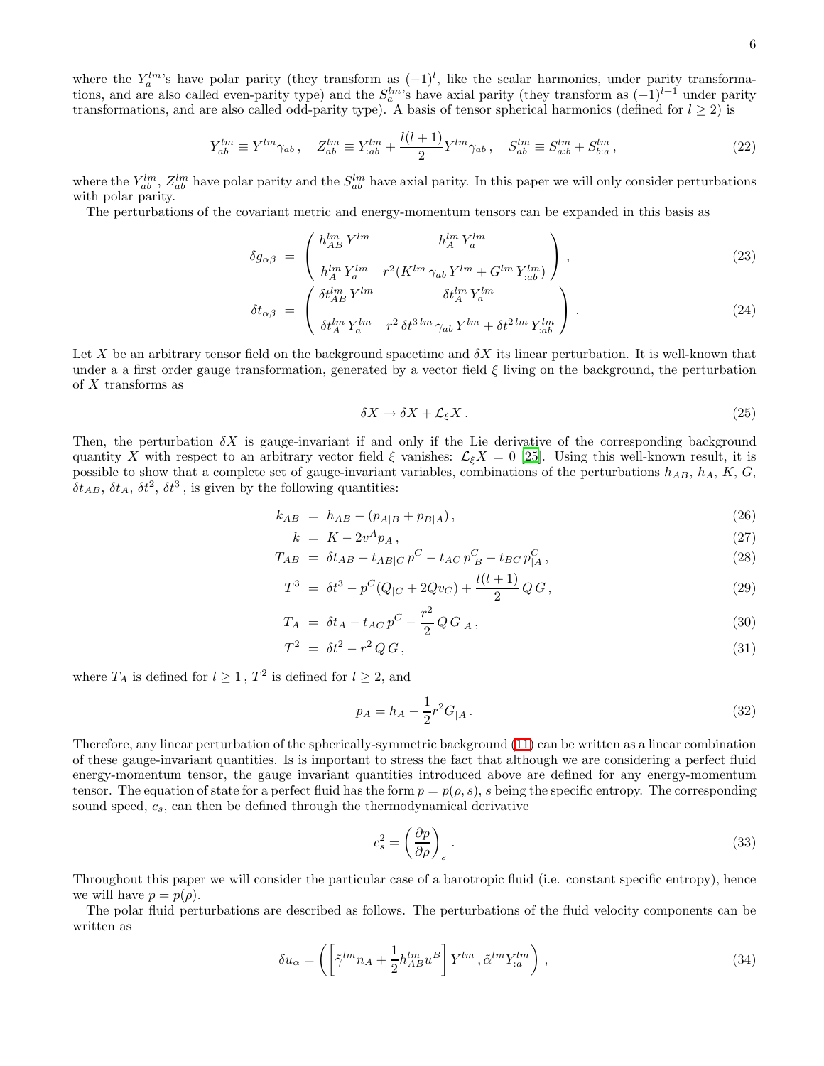where the  $Y_a^{lm}$ 's have polar parity (they transform as  $(-1)^l$ , like the scalar harmonics, under parity transformations, and are also called even-parity type) and the  $S_a^{lm}$ 's have axial parity (they transform as  $(-1)^{l+1}$  under parity transformations, and are also called odd-parity type). A basis of tensor spherical harmonics (defined for  $l \geq 2$ ) is

$$
Y_{ab}^{lm} \equiv Y^{lm} \gamma_{ab} \,, \quad Z_{ab}^{lm} \equiv Y_{;ab}^{lm} + \frac{l(l+1)}{2} Y^{lm} \gamma_{ab} \,, \quad S_{ab}^{lm} \equiv S_{a;b}^{lm} + S_{b;a}^{lm} \,, \tag{22}
$$

where the  $Y_{ab}^{lm}$ ,  $Z_{ab}^{lm}$  have polar parity and the  $S_{ab}^{lm}$  have axial parity. In this paper we will only consider perturbations with polar parity.

<span id="page-5-4"></span>The perturbations of the covariant metric and energy-momentum tensors can be expanded in this basis as

$$
\delta g_{\alpha\beta} = \begin{pmatrix} h_{AB}^{lm} Y^{lm} & h_A^{lm} Y_a^{lm} \\ h_A^{lm} Y_a^{lm} & r^2 (K^{lm} \gamma_{ab} Y^{lm} + G^{lm} Y_{,ab}^{lm}) \end{pmatrix},
$$
\n
$$
\begin{pmatrix} \xi_{lm} Y^{lm} & \xi_{lm} Y^{lm} \\ \end{pmatrix}
$$
\n
$$
(23)
$$

$$
\delta t_{\alpha\beta} = \begin{pmatrix} \delta t_{AB}^{lm} Y^{lm} & \delta t_A^{lm} Y_a^{lm} \\ \delta t_A^{lm} Y_a^{lm} & r^2 \delta t^{3\,lm} \gamma_{ab} Y^{lm} + \delta t^{2\,lm} Y_{;ab}^{lm} \end{pmatrix} . \tag{24}
$$

Let X be an arbitrary tensor field on the background spacetime and  $\delta X$  its linear perturbation. It is well-known that under a a first order gauge transformation, generated by a vector field  $\xi$  living on the background, the perturbation of X transforms as

<span id="page-5-2"></span>
$$
\delta X \to \delta X + \mathcal{L}_{\xi} X. \tag{25}
$$

Then, the perturbation  $\delta X$  is gauge-invariant if and only if the Lie derivative of the corresponding background quantity X with respect to an arbitrary vector field  $\xi$  vanishes:  $\mathcal{L}_{\xi}X = 0$  [\[25](#page-23-24)]. Using this well-known result, it is possible to show that a complete set of gauge-invariant variables, combinations of the perturbations  $h_{AB}$ ,  $h_A$ ,  $K$ ,  $G$ ,  $\delta t_{AB}, \, \delta t_A, \, \delta t^2, \, \delta t^3$ , is given by the following quantities:

<span id="page-5-1"></span>
$$
k_{AB} = h_{AB} - (p_{A|B} + p_{B|A}), \tag{26}
$$

$$
k = K - 2v^A p_A, \qquad (27)
$$

$$
T_{AB} = \delta t_{AB} - t_{AB|C} p^C - t_{AC} p^C_{|B} - t_{BC} p^C_{|A}, \qquad (28)
$$

$$
T^3 = \delta t^3 - p^C (Q_{|C} + 2Qv_C) + \frac{l(l+1)}{2} Q G,
$$
\n(29)

$$
T_A = \delta t_A - t_{AC} p^C - \frac{r^2}{2} Q G_{|A}, \qquad (30)
$$

<span id="page-5-3"></span>
$$
T^2 = \delta t^2 - r^2 Q G, \qquad (31)
$$

where  $T_A$  is defined for  $l \geq 1$ ,  $T^2$  is defined for  $l \geq 2$ , and

$$
p_A = h_A - \frac{1}{2}r^2 G_{|A} \,. \tag{32}
$$

Therefore, any linear perturbation of the spherically-symmetric background [\(11\)](#page-4-0) can be written as a linear combination of these gauge-invariant quantities. Is is important to stress the fact that although we are considering a perfect fluid energy-momentum tensor, the gauge invariant quantities introduced above are defined for any energy-momentum tensor. The equation of state for a perfect fluid has the form  $p = p(\rho, s)$ , s being the specific entropy. The corresponding sound speed,  $c_s$ , can then be defined through the thermodynamical derivative

$$
c_s^2 = \left(\frac{\partial p}{\partial \rho}\right)_s \tag{33}
$$

Throughout this paper we will consider the particular case of a barotropic fluid (i.e. constant specific entropy), hence we will have  $p = p(\rho)$ .

The polar fluid perturbations are described as follows. The perturbations of the fluid velocity components can be written as

<span id="page-5-0"></span>
$$
\delta u_{\alpha} = \left( \left[ \tilde{\gamma}^{lm} n_A + \frac{1}{2} h_{AB}^{lm} u^B \right] Y^{lm} , \tilde{\alpha}^{lm} Y_{;a}^{lm} \right) , \qquad (34)
$$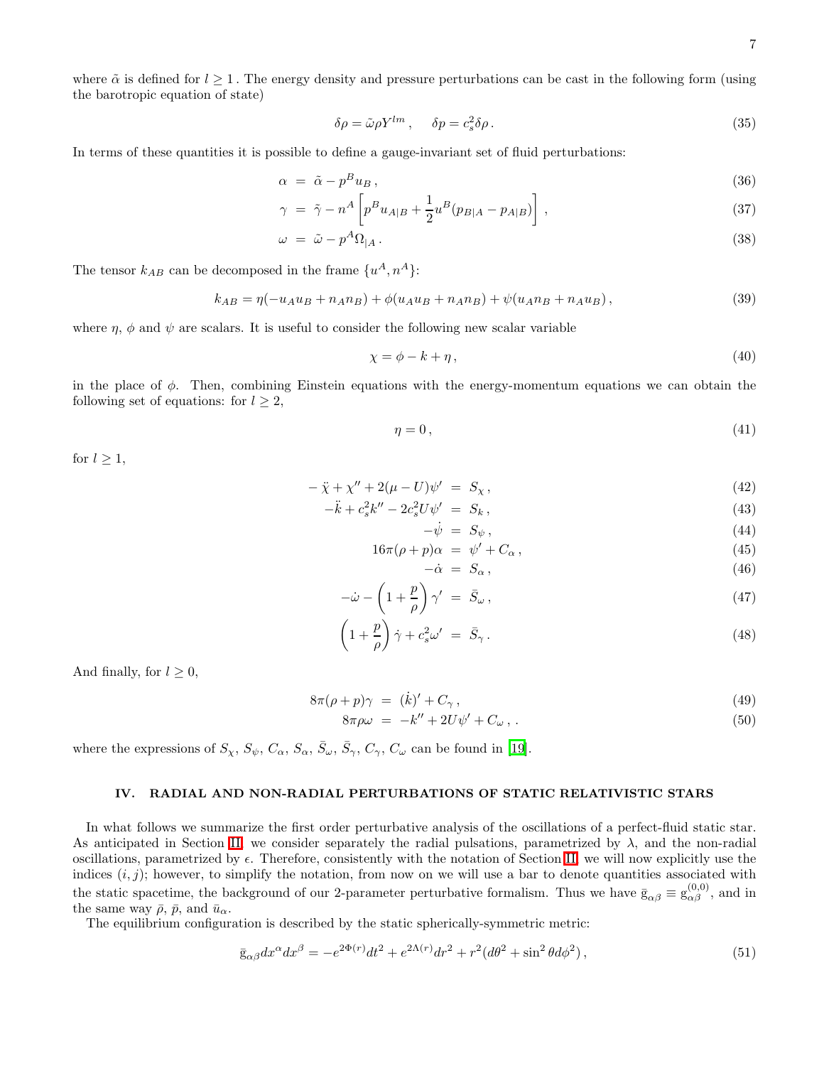where  $\tilde{\alpha}$  is defined for  $l \geq 1$ . The energy density and pressure perturbations can be cast in the following form (using the barotropic equation of state)

$$
\delta \rho = \tilde{\omega} \rho Y^{lm} , \quad \delta p = c_s^2 \delta \rho . \tag{35}
$$

In terms of these quantities it is possible to define a gauge-invariant set of fluid perturbations:

<span id="page-6-4"></span><span id="page-6-2"></span>
$$
\alpha = \tilde{\alpha} - p^B u_B, \tag{36}
$$

$$
\gamma = \tilde{\gamma} - n^A \left[ p^B u_{A|B} + \frac{1}{2} u^B (p_{B|A} - p_{A|B}) \right], \qquad (37)
$$

$$
\omega = \tilde{\omega} - p^A \Omega_{|A} \,. \tag{38}
$$

<span id="page-6-5"></span>The tensor  $k_{AB}$  can be decomposed in the frame  $\{u^A, n^A\}$ :

<span id="page-6-6"></span>
$$
k_{AB} = \eta(-u_A u_B + n_A n_B) + \phi(u_A u_B + n_A n_B) + \psi(u_A n_B + n_A u_B),
$$
\n(39)

where  $\eta$ ,  $\phi$  and  $\psi$  are scalars. It is useful to consider the following new scalar variable

$$
\chi = \phi - k + \eta, \tag{40}
$$

in the place of  $\phi$ . Then, combining Einstein equations with the energy-momentum equations we can obtain the following set of equations: for  $l \geq 2$ ,

$$
\eta = 0\,,\tag{41}
$$

for  $l \geq 1$ ,

<span id="page-6-3"></span><span id="page-6-0"></span>
$$
-\ddot{\chi} + \chi'' + 2(\mu - U)\psi' = S_{\chi}, \qquad (42)
$$

$$
-\ddot{k} + c_s^2 k'' - 2c_s^2 U \psi' = S_k, \qquad (43)
$$

$$
-\dot{\psi} = S_{\psi} \,, \tag{44}
$$

$$
16\pi(\rho + p)\alpha = \psi' + C_{\alpha}, \qquad (45)
$$

$$
-\dot{\alpha} = S_{\alpha},\tag{46}
$$

$$
-\dot{\omega} - \left(1 + \frac{p}{\rho}\right)\gamma' = \bar{S}_{\omega},\qquad(47)
$$

$$
\left(1+\frac{p}{\rho}\right)\dot{\gamma}+c_s^2\omega' = \bar{S}_{\gamma}.
$$
\n(48)

And finally, for  $l \geq 0$ ,

<span id="page-6-1"></span>
$$
8\pi(\rho + p)\gamma = (\dot{k})' + C_{\gamma},\tag{49}
$$

$$
8\pi\rho\omega = -k'' + 2U\psi' + C_{\omega},\qquad(50)
$$

where the expressions of  $S_{\chi}$ ,  $S_{\psi}$ ,  $C_{\alpha}$ ,  $S_{\alpha}$ ,  $\bar{S}_{\omega}$ ,  $\bar{S}_{\gamma}$ ,  $C_{\gamma}$ ,  $C_{\omega}$  can be found in [\[19\]](#page-23-18).

### IV. RADIAL AND NON-RADIAL PERTURBATIONS OF STATIC RELATIVISTIC STARS

In what follows we summarize the first order perturbative analysis of the oscillations of a perfect-fluid static star. As anticipated in Section [II,](#page-2-3) we consider separately the radial pulsations, parametrized by  $\lambda$ , and the non-radial oscillations, parametrized by  $\epsilon$ . Therefore, consistently with the notation of Section [II,](#page-2-3) we will now explicitly use the indices  $(i, j)$ ; however, to simplify the notation, from now on we will use a bar to denote quantities associated with the static spacetime, the background of our 2-parameter perturbative formalism. Thus we have  $\bar{g}_{\alpha\beta} \equiv g_{\alpha\beta}^{(0,0)}$ , and in the same way  $\bar{\rho}$ ,  $\bar{p}$ , and  $\bar{u}_{\alpha}$ .

The equilibrium configuration is described by the static spherically-symmetric metric:

$$
\bar{g}_{\alpha\beta}dx^{\alpha}dx^{\beta} = -e^{2\Phi(r)}dt^2 + e^{2\Lambda(r)}dr^2 + r^2(d\theta^2 + \sin^2\theta d\phi^2),
$$
\n(51)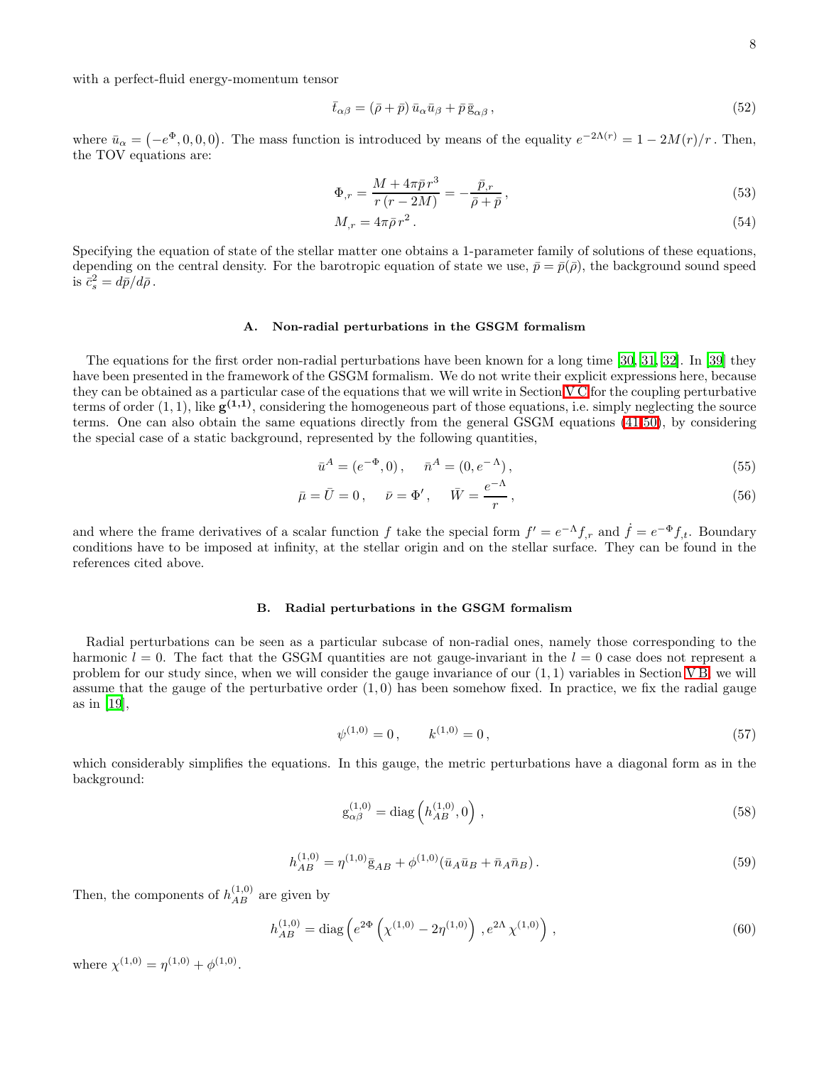with a perfect-fluid energy-momentum tensor

$$
\bar{t}_{\alpha\beta} = (\bar{\rho} + \bar{p}) \bar{u}_{\alpha} \bar{u}_{\beta} + \bar{p} \bar{g}_{\alpha\beta} , \qquad (52)
$$

where  $\bar{u}_{\alpha} = (-e^{\Phi}, 0, 0, 0)$ . The mass function is introduced by means of the equality  $e^{-2\Lambda(r)} = 1 - 2M(r)/r$ . Then, the TOV equations are:

$$
\Phi_{,r} = \frac{M + 4\pi\bar{p}r^3}{r\left(r - 2M\right)} = -\frac{\bar{p}_{,r}}{\bar{\rho} + \bar{p}},\tag{53}
$$

$$
M_{,r} = 4\pi\bar{\rho}\,r^2\,. \tag{54}
$$

Specifying the equation of state of the stellar matter one obtains a 1-parameter family of solutions of these equations, depending on the central density. For the barotropic equation of state we use,  $\bar{p} = \bar{p}(\bar{\rho})$ , the background sound speed is  $\bar{c}_s^2 = d\bar{p}/d\bar{\rho}$ .

### A. Non-radial perturbations in the GSGM formalism

The equations for the first order non-radial perturbations have been known for a long time [\[30](#page-23-29), [31,](#page-23-30) [32\]](#page-23-31). In [\[39](#page-23-38)] they have been presented in the framework of the GSGM formalism. We do not write their explicit expressions here, because they can be obtained as a particular case of the equations that we will write in Section [V C](#page-11-0) for the coupling perturbative terms of order  $(1,1)$ , like  $\mathbf{g}^{(1,1)}$ , considering the homogeneous part of those equations, i.e. simply neglecting the source terms. One can also obtain the same equations directly from the general GSGM equations [\(41](#page-6-0)[-50\)](#page-6-1), by considering the special case of a static background, represented by the following quantities,

$$
\bar{u}^A = (e^{-\Phi}, 0), \quad \bar{n}^A = (0, e^{-\Lambda}), \tag{55}
$$

<span id="page-7-1"></span>
$$
\bar{\mu} = \bar{U} = 0, \quad \bar{\nu} = \Phi', \quad \bar{W} = \frac{e^{-\Lambda}}{r}, \tag{56}
$$

and where the frame derivatives of a scalar function f take the special form  $f' = e^{-\Lambda} f_{,r}$  and  $\dot{f} = e^{-\Phi} f_{,t}$ . Boundary conditions have to be imposed at infinity, at the stellar origin and on the stellar surface. They can be found in the references cited above.

### B. Radial perturbations in the GSGM formalism

Radial perturbations can be seen as a particular subcase of non-radial ones, namely those corresponding to the harmonic  $l = 0$ . The fact that the GSGM quantities are not gauge-invariant in the  $l = 0$  case does not represent a problem for our study since, when we will consider the gauge invariance of our (1, 1) variables in Section [V B,](#page-9-0) we will assume that the gauge of the perturbative order  $(1,0)$  has been somehow fixed. In practice, we fix the radial gauge as in [\[19\]](#page-23-18),

<span id="page-7-0"></span>
$$
\psi^{(1,0)} = 0, \qquad k^{(1,0)} = 0, \tag{57}
$$

which considerably simplifies the equations. In this gauge, the metric perturbations have a diagonal form as in the background:

$$
g_{\alpha\beta}^{(1,0)} = \text{diag}\left(h_{AB}^{(1,0)}, 0\right),\tag{58}
$$

$$
h_{AB}^{(1,0)} = \eta^{(1,0)} \bar{\mathbf{g}}_{AB} + \phi^{(1,0)} (\bar{u}_A \bar{u}_B + \bar{n}_A \bar{n}_B). \tag{59}
$$

Then, the components of  $h_{AB}^{(1,0)}$  are given by

$$
h_{AB}^{(1,0)} = \text{diag}\left(e^{2\Phi}\left(\chi^{(1,0)} - 2\eta^{(1,0)}\right), e^{2\Lambda}\chi^{(1,0)}\right),\tag{60}
$$

where  $\chi^{(1,0)} = \eta^{(1,0)} + \phi^{(1,0)}$ .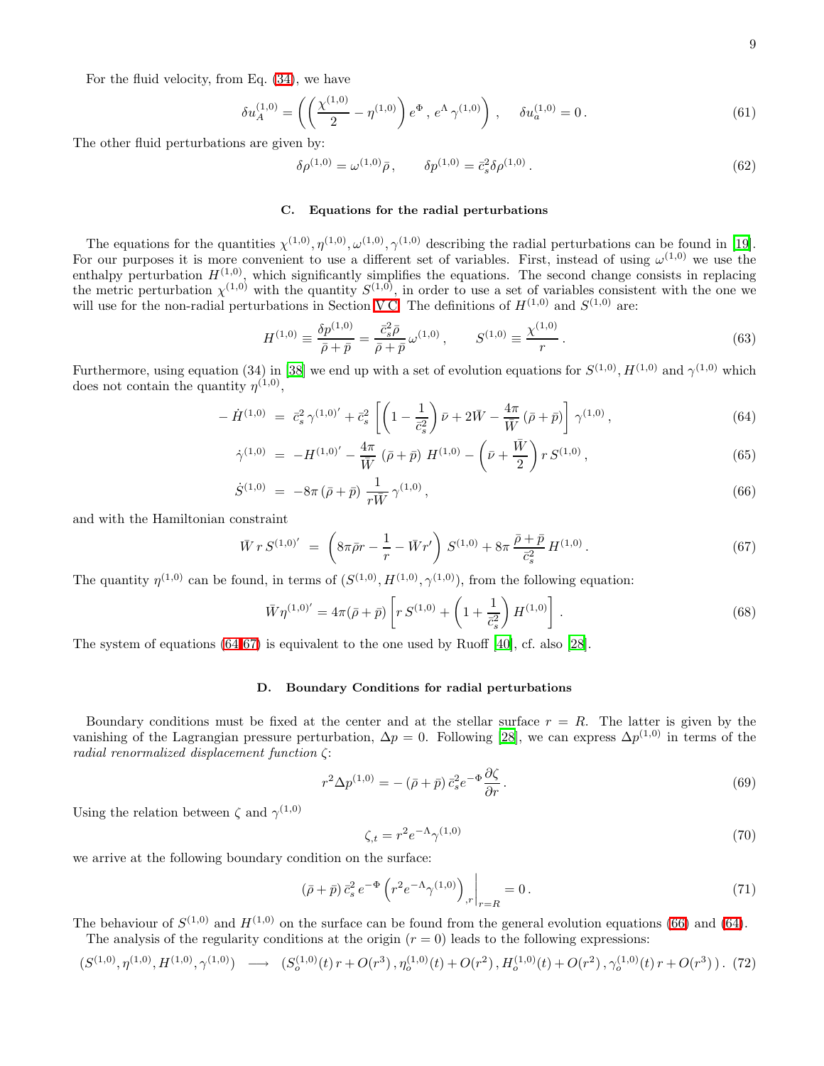For the fluid velocity, from Eq. [\(34\)](#page-5-0), we have

$$
\delta u_A^{(1,0)} = \left( \left( \frac{\chi^{(1,0)}}{2} - \eta^{(1,0)} \right) e^{\Phi}, e^{\Lambda} \gamma^{(1,0)} \right), \quad \delta u_a^{(1,0)} = 0. \tag{61}
$$

The other fluid perturbations are given by:

$$
\delta \rho^{(1,0)} = \omega^{(1,0)} \bar{\rho}, \qquad \delta p^{(1,0)} = \bar{c}_s^2 \delta \rho^{(1,0)}.
$$
\n(62)

### C. Equations for the radial perturbations

The equations for the quantities  $\chi^{(1,0)}, \eta^{(1,0)}, \omega^{(1,0)}, \gamma^{(1,0)}$  describing the radial perturbations can be found in [\[19\]](#page-23-18). For our purposes it is more convenient to use a different set of variables. First, instead of using  $\omega^{(1,0)}$  we use the enthalpy perturbation  $H^{(1,0)}$ , which significantly simplifies the equations. The second change consists in replacing the metric perturbation  $\chi^{(1,0)}$  with the quantity  $S^{(1,0)}$ , in order to use a set of variables consistent with the one we will use for the non-radial perturbations in Section [V C.](#page-11-0) The definitions of  $H^{(1,0)}$  and  $S^{(1,0)}$  are:

$$
H^{(1,0)} \equiv \frac{\delta p^{(1,0)}}{\bar{\rho} + \bar{p}} = \frac{\bar{c}_s^2 \bar{\rho}}{\bar{\rho} + \bar{p}} \omega^{(1,0)} , \qquad S^{(1,0)} \equiv \frac{\chi^{(1,0)}}{r} . \tag{63}
$$

<span id="page-8-0"></span>Furthermore, using equation (34) in [\[38\]](#page-23-37) we end up with a set of evolution equations for  $S^{(1,0)}, H^{(1,0)}$  and  $\gamma^{(1,0)}$  which does not contain the quantity  $\eta^{(1,0)}$ ,

$$
-\dot{H}^{(1,0)} = \bar{c}_s^2 \gamma^{(1,0)'} + \bar{c}_s^2 \left[ \left( 1 - \frac{1}{\bar{c}_s^2} \right) \bar{\nu} + 2\bar{W} - \frac{4\pi}{\bar{W}} (\bar{\rho} + \bar{p}) \right] \gamma^{(1,0)}, \tag{64}
$$

$$
\dot{\gamma}^{(1,0)} = -H^{(1,0)'} - \frac{4\pi}{\bar{W}} (\bar{\rho} + \bar{p}) H^{(1,0)} - \left(\bar{\nu} + \frac{\bar{W}}{2}\right) r S^{(1,0)}, \tag{65}
$$

$$
\dot{S}^{(1,0)} = -8\pi \left( \bar{\rho} + \bar{p} \right) \frac{1}{r\bar{W}} \gamma^{(1,0)},\tag{66}
$$

<span id="page-8-1"></span>and with the Hamiltonian constraint

<span id="page-8-2"></span>
$$
\bar{W} r S^{(1,0)'} = \left( 8\pi \bar{\rho} r - \frac{1}{r} - \bar{W} r' \right) S^{(1,0)} + 8\pi \frac{\bar{\rho} + \bar{p}}{\bar{c}_s^2} H^{(1,0)}.
$$
\n(67)

The quantity  $\eta^{(1,0)}$  can be found, in terms of  $(S^{(1,0)}, H^{(1,0)}, \gamma^{(1,0)})$ , from the following equation:

$$
\bar{W}\eta^{(1,0)'} = 4\pi(\bar{\rho} + \bar{p}) \left[ r S^{(1,0)} + \left( 1 + \frac{1}{\bar{c}_s^2} \right) H^{(1,0)} \right]. \tag{68}
$$

The system of equations [\(64](#page-8-0)[-67\)](#page-8-1) is equivalent to the one used by Ruoff [\[40](#page-23-39)], cf. also [\[28](#page-23-27)].

### D. Boundary Conditions for radial perturbations

Boundary conditions must be fixed at the center and at the stellar surface  $r = R$ . The latter is given by the vanishing of the Lagrangian pressure perturbation,  $\Delta p = 0$ . Following [\[28\]](#page-23-27), we can express  $\Delta p^{(1,0)}$  in terms of the radial renormalized displacement function ζ:

$$
r^2 \Delta p^{(1,0)} = -(\bar{\rho} + \bar{p}) \bar{c}_s^2 e^{-\Phi} \frac{\partial \zeta}{\partial r}.
$$
\n(69)

Using the relation between  $\zeta$  and  $\gamma^{(1,0)}$ 

$$
\zeta_{,t} = r^2 e^{-\Lambda} \gamma^{(1,0)} \tag{70}
$$

we arrive at the following boundary condition on the surface:

$$
\left(\bar{\rho} + \bar{p}\right)\bar{c}_s^2 e^{-\Phi} \left(r^2 e^{-\Lambda} \gamma^{(1,0)}\right)_{,r}\bigg|_{r=R} = 0\,. \tag{71}
$$

<span id="page-8-3"></span>The behaviour of  $S^{(1,0)}$  and  $H^{(1,0)}$  on the surface can be found from the general evolution equations [\(66\)](#page-8-0) and [\(64\)](#page-8-0). The analysis of the regularity conditions at the origin  $(r = 0)$  leads to the following expressions:

$$
(S^{(1,0)},\eta^{(1,0)},H^{(1,0)},\gamma^{(1,0)}) \longrightarrow (S_o^{(1,0)}(t) \, r + O(r^3) \, , \eta_o^{(1,0)}(t) + O(r^2) \, , H_o^{(1,0)}(t) + O(r^2) \, , \gamma_o^{(1,0)}(t) \, r + O(r^3) \, ) \, . \tag{72}
$$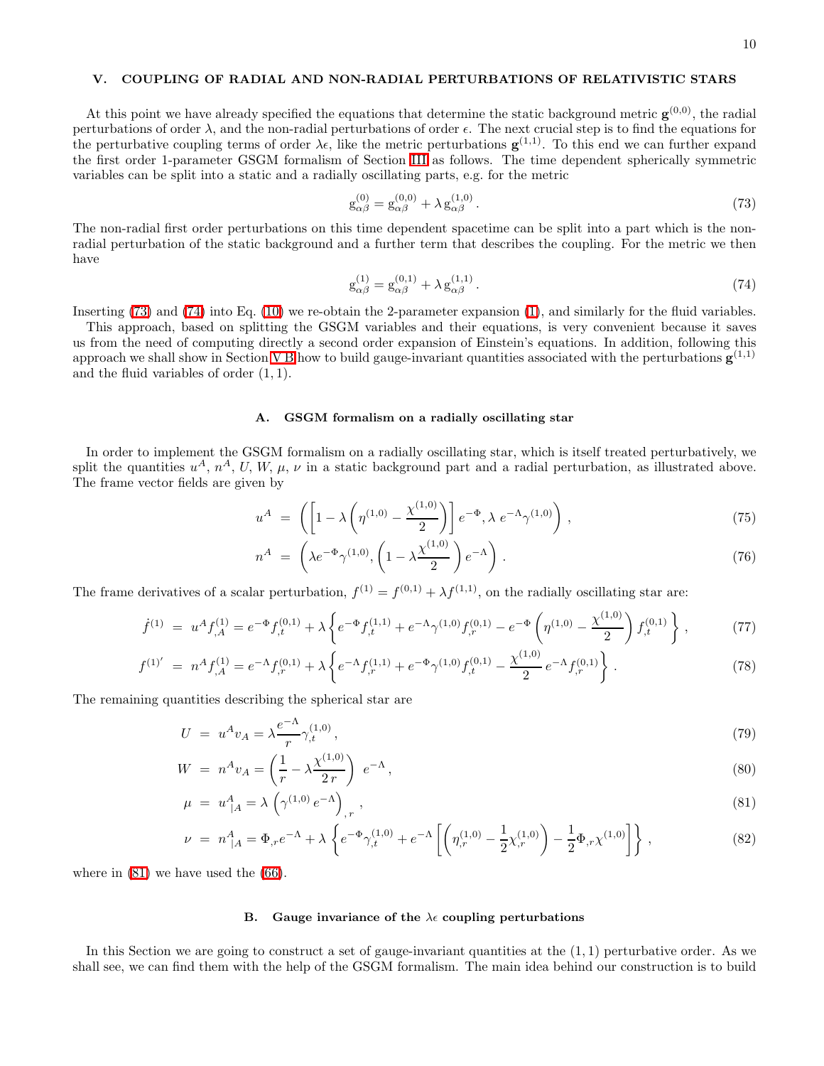### V. COUPLING OF RADIAL AND NON-RADIAL PERTURBATIONS OF RELATIVISTIC STARS

<span id="page-9-5"></span>At this point we have already specified the equations that determine the static background metric  $\mathbf{g}^{(0,0)}$ , the radial perturbations of order  $\lambda$ , and the non-radial perturbations of order  $\epsilon$ . The next crucial step is to find the equations for the perturbative coupling terms of order  $\lambda \epsilon$ , like the metric perturbations  $\mathbf{g}^{(1,1)}$ . To this end we can further expand the first order 1-parameter GSGM formalism of Section [III](#page-3-3) as follows. The time dependent spherically symmetric variables can be split into a static and a radially oscillating parts, e.g. for the metric

<span id="page-9-1"></span>
$$
g_{\alpha\beta}^{(0)} = g_{\alpha\beta}^{(0,0)} + \lambda g_{\alpha\beta}^{(1,0)}.
$$
 (73)

The non-radial first order perturbations on this time dependent spacetime can be split into a part which is the nonradial perturbation of the static background and a further term that describes the coupling. For the metric we then have

<span id="page-9-2"></span>
$$
g_{\alpha\beta}^{(1)} = g_{\alpha\beta}^{(0,1)} + \lambda g_{\alpha\beta}^{(1,1)}.
$$
\n(74)

Inserting [\(73\)](#page-9-1) and [\(74\)](#page-9-2) into Eq. [\(10\)](#page-3-4) we re-obtain the 2-parameter expansion [\(1\)](#page-2-0), and similarly for the fluid variables.

This approach, based on splitting the GSGM variables and their equations, is very convenient because it saves us from the need of computing directly a second order expansion of Einstein's equations. In addition, following this approach we shall show in Section [V B](#page-9-0) how to build gauge-invariant quantities associated with the perturbations  $\mathbf{g}^{(1,1)}$ and the fluid variables of order  $(1, 1)$ .

### A. GSGM formalism on a radially oscillating star

In order to implement the GSGM formalism on a radially oscillating star, which is itself treated perturbatively, we split the quantities  $u^A$ ,  $n^A$ , U, W,  $\mu$ ,  $\nu$  in a static background part and a radial perturbation, as illustrated above. The frame vector fields are given by

<span id="page-9-4"></span>
$$
u^A = \left( \left[ 1 - \lambda \left( \eta^{(1,0)} - \frac{\chi^{(1,0)}}{2} \right) \right] e^{-\Phi}, \lambda \ e^{-\Lambda} \gamma^{(1,0)} \right), \tag{75}
$$

$$
n^A = \left(\lambda e^{-\Phi} \gamma^{(1,0)}, \left(1 - \lambda \frac{\chi^{(1,0)}}{2}\right) e^{-\Lambda}\right). \tag{76}
$$

The frame derivatives of a scalar perturbation,  $f^{(1)} = f^{(0,1)} + \lambda f^{(1,1)}$ , on the radially oscillating star are:

$$
\dot{f}^{(1)} = u^A f^{(1)}_{,A} = e^{-\Phi} f^{(0,1)}_{,t} + \lambda \left\{ e^{-\Phi} f^{(1,1)}_{,t} + e^{-\Lambda} \gamma^{(1,0)} f^{(0,1)}_{,r} - e^{-\Phi} \left( \eta^{(1,0)} - \frac{\chi^{(1,0)}}{2} \right) f^{(0,1)}_{,t} \right\},\tag{77}
$$

$$
f^{(1)'} = n^A f_{,A}^{(1)} = e^{-\Lambda} f_{,r}^{(0,1)} + \lambda \left\{ e^{-\Lambda} f_{,r}^{(1,1)} + e^{-\Phi} \gamma^{(1,0)} f_{,t}^{(0,1)} - \frac{\chi^{(1,0)}}{2} e^{-\Lambda} f_{,r}^{(0,1)} \right\}.
$$
 (78)

<span id="page-9-3"></span>The remaining quantities describing the spherical star are

$$
U = u^A v_A = \lambda \frac{e^{-\Lambda}}{r} \gamma_t^{(1,0)},\tag{79}
$$

$$
W = n^A v_A = \left(\frac{1}{r} - \lambda \frac{\chi^{(1,0)}}{2r}\right) e^{-\Lambda},
$$
\n(80)

$$
\mu = u_{|A}^A = \lambda \left( \gamma^{(1,0)} e^{-\Lambda} \right)_{,r}, \qquad (81)
$$

$$
\nu = n_{|A}^A = \Phi_{,r} e^{-\Lambda} + \lambda \left\{ e^{-\Phi} \gamma_{,t}^{(1,0)} + e^{-\Lambda} \left[ \left( \eta_{,r}^{(1,0)} - \frac{1}{2} \chi_{,r}^{(1,0)} \right) - \frac{1}{2} \Phi_{,r} \chi^{(1,0)} \right] \right\},\tag{82}
$$

<span id="page-9-0"></span>where in [\(81\)](#page-9-3) we have used the [\(66\)](#page-8-0).

### B. Gauge invariance of the  $\lambda \epsilon$  coupling perturbations

In this Section we are going to construct a set of gauge-invariant quantities at the  $(1,1)$  perturbative order. As we shall see, we can find them with the help of the GSGM formalism. The main idea behind our construction is to build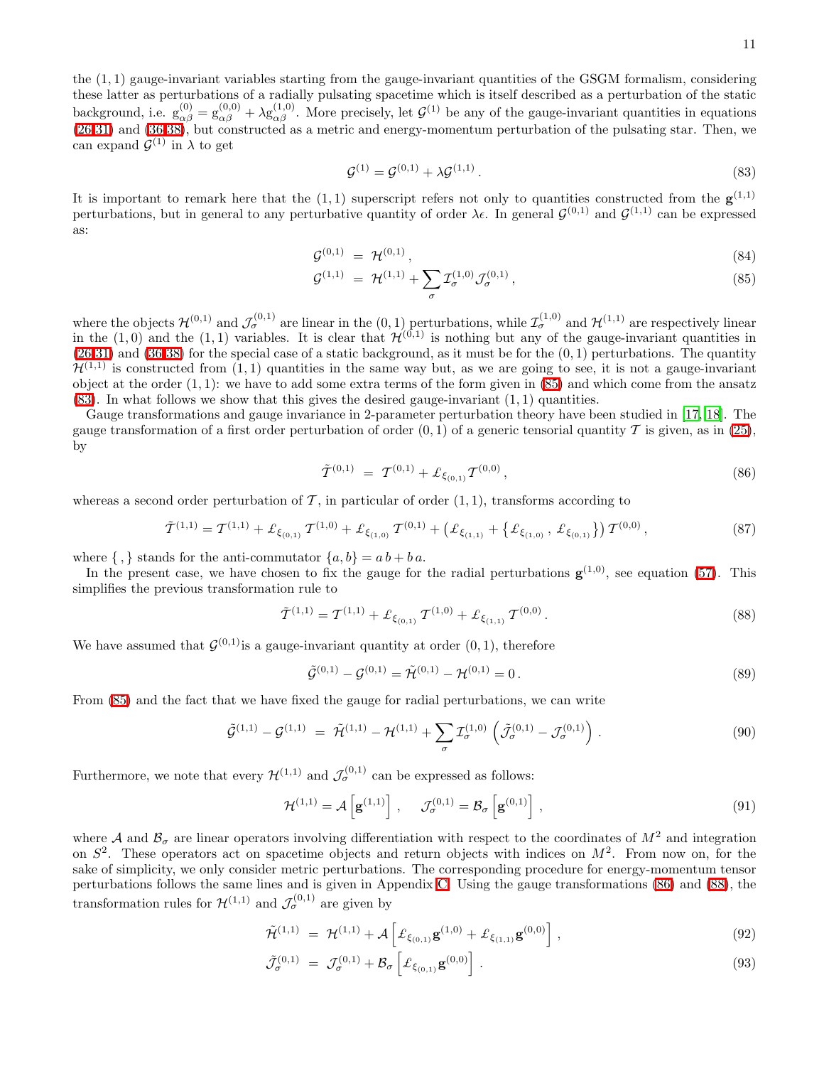the (1, 1) gauge-invariant variables starting from the gauge-invariant quantities of the GSGM formalism, considering these latter as perturbations of a radially pulsating spacetime which is itself described as a perturbation of the static background, i.e.  $g_{\alpha\beta}^{(0)} = g_{\alpha\beta}^{(0,0)} + \lambda g_{\alpha\beta}^{(1,0)}$ . More precisely, let  $\mathcal{G}^{(1)}$  be any of the gauge-invariant quantities in equations [\(26-31\)](#page-5-1) and [\(36-38\)](#page-6-2), but constructed as a metric and energy-momentum perturbation of the pulsating star. Then, we can expand  $\mathcal{G}^{(1)}$  in  $\lambda$  to get

<span id="page-10-1"></span>
$$
\mathcal{G}^{(1)} = \mathcal{G}^{(0,1)} + \lambda \mathcal{G}^{(1,1)}.
$$
\n(83)

It is important to remark here that the  $(1,1)$  superscript refers not only to quantities constructed from the  $g^{(1,1)}$ perturbations, but in general to any perturbative quantity of order  $\lambda \epsilon$ . In general  $\mathcal{G}^{(0,1)}$  and  $\mathcal{G}^{(1,1)}$  can be expressed as:

<span id="page-10-0"></span>
$$
\mathcal{G}^{(0,1)} = \mathcal{H}^{(0,1)},\tag{84}
$$

$$
\mathcal{G}^{(1,1)} = \mathcal{H}^{(1,1)} + \sum_{\sigma} \mathcal{I}^{(1,0)}_{\sigma} \mathcal{J}^{(0,1)}_{\sigma}, \qquad (85)
$$

where the objects  $\mathcal{H}^{(0,1)}$  and  $\mathcal{J}_{\sigma}^{(0,1)}$  are linear in the  $(0,1)$  perturbations, while  $\mathcal{I}_{\sigma}^{(1,0)}$  and  $\mathcal{H}^{(1,1)}$  are respectively linear in the  $(1,0)$  and the  $(1,1)$  variables. It is clear that  $\mathcal{H}^{(0,1)}$  is nothing but any of the gauge-invariant quantities in  $(26-31)$  and  $(36-38)$  for the special case of a static background, as it must be for the  $(0, 1)$  perturbations. The quantity  $\mathcal{H}^{(1,1)}$  is constructed from  $(1,1)$  quantities in the same way but, as we are going to see, it is not a gauge-invariant object at the order  $(1, 1)$ : we have to add some extra terms of the form given in  $(85)$  and which come from the ansatz  $(83)$ . In what follows we show that this gives the desired gauge-invariant  $(1, 1)$  quantities.

Gauge transformations and gauge invariance in 2-parameter perturbation theory have been studied in [\[17](#page-23-16), [18](#page-23-17)]. The gauge transformation of a first order perturbation of order  $(0, 1)$  of a generic tensorial quantity T is given, as in [\(25\)](#page-5-2), by

$$
\tilde{\mathcal{T}}^{(0,1)} = \mathcal{T}^{(0,1)} + \pounds_{\xi_{(0,1)}} \mathcal{T}^{(0,0)}, \tag{86}
$$

whereas a second order perturbation of  $\mathcal T$ , in particular of order  $(1, 1)$ , transforms according to

<span id="page-10-3"></span><span id="page-10-2"></span>
$$
\tilde{\mathcal{T}}^{(1,1)} = \mathcal{T}^{(1,1)} + \pounds_{\xi_{(0,1)}} \mathcal{T}^{(1,0)} + \pounds_{\xi_{(1,0)}} \mathcal{T}^{(0,1)} + \left( \pounds_{\xi_{(1,1)}} + \left\{ \pounds_{\xi_{(1,0)}}, \pounds_{\xi_{(0,1)}} \right\} \right) \mathcal{T}^{(0,0)},\tag{87}
$$

where  $\{ , \}$  stands for the anti-commutator  $\{a, b\} = a b + b a$ .

In the present case, we have chosen to fix the gauge for the radial perturbations  $g^{(1,0)}$ , see equation [\(57\)](#page-7-0). This simplifies the previous transformation rule to

$$
\tilde{\mathcal{T}}^{(1,1)} = \mathcal{T}^{(1,1)} + \pounds_{\xi_{(0,1)}} \mathcal{T}^{(1,0)} + \pounds_{\xi_{(1,1)}} \mathcal{T}^{(0,0)}.
$$
\n(88)

We have assumed that  $\mathcal{G}^{(0,1)}$  is a gauge-invariant quantity at order  $(0,1)$ , therefore

$$
\tilde{\mathcal{G}}^{(0,1)} - \mathcal{G}^{(0,1)} = \tilde{\mathcal{H}}^{(0,1)} - \mathcal{H}^{(0,1)} = 0.
$$
\n(89)

<span id="page-10-5"></span>From [\(85\)](#page-10-0) and the fact that we have fixed the gauge for radial perturbations, we can write

$$
\tilde{\mathcal{G}}^{(1,1)} - \mathcal{G}^{(1,1)} = \tilde{\mathcal{H}}^{(1,1)} - \mathcal{H}^{(1,1)} + \sum_{\sigma} \mathcal{I}_{\sigma}^{(1,0)} \left( \tilde{\mathcal{J}}_{\sigma}^{(0,1)} - \mathcal{J}_{\sigma}^{(0,1)} \right). \tag{90}
$$

Furthermore, we note that every  $\mathcal{H}^{(1,1)}$  and  $\mathcal{J}^{(0,1)}_{\sigma}$  can be expressed as follows:

$$
\mathcal{H}^{(1,1)} = \mathcal{A}\left[\mathbf{g}^{(1,1)}\right], \quad \mathcal{J}^{(0,1)}_{\sigma} = \mathcal{B}_{\sigma}\left[\mathbf{g}^{(0,1)}\right],\tag{91}
$$

where A and  $\mathcal{B}_{\sigma}$  are linear operators involving differentiation with respect to the coordinates of  $M^2$  and integration on  $S^2$ . These operators act on spacetime objects and return objects with indices on  $M^2$ . From now on, for the sake of simplicity, we only consider metric perturbations. The corresponding procedure for energy-momentum tensor perturbations follows the same lines and is given in Appendix [C.](#page-20-0) Using the gauge transformations [\(86\)](#page-10-2) and [\(88\)](#page-10-3), the transformation rules for  $\mathcal{H}^{(1,1)}$  and  $\mathcal{J}^{(0,1)}_{\sigma}$  are given by

<span id="page-10-4"></span>
$$
\tilde{\mathcal{H}}^{(1,1)} = \mathcal{H}^{(1,1)} + \mathcal{A}\left[\mathcal{L}_{\xi_{(0,1)}}\mathbf{g}^{(1,0)} + \mathcal{L}_{\xi_{(1,1)}}\mathbf{g}^{(0,0)}\right],\tag{92}
$$

$$
\tilde{\mathcal{J}}_{\sigma}^{(0,1)} = \mathcal{J}_{\sigma}^{(0,1)} + \mathcal{B}_{\sigma} \left[ \pounds_{\xi_{(0,1)}} \mathbf{g}^{(0,0)} \right]. \tag{93}
$$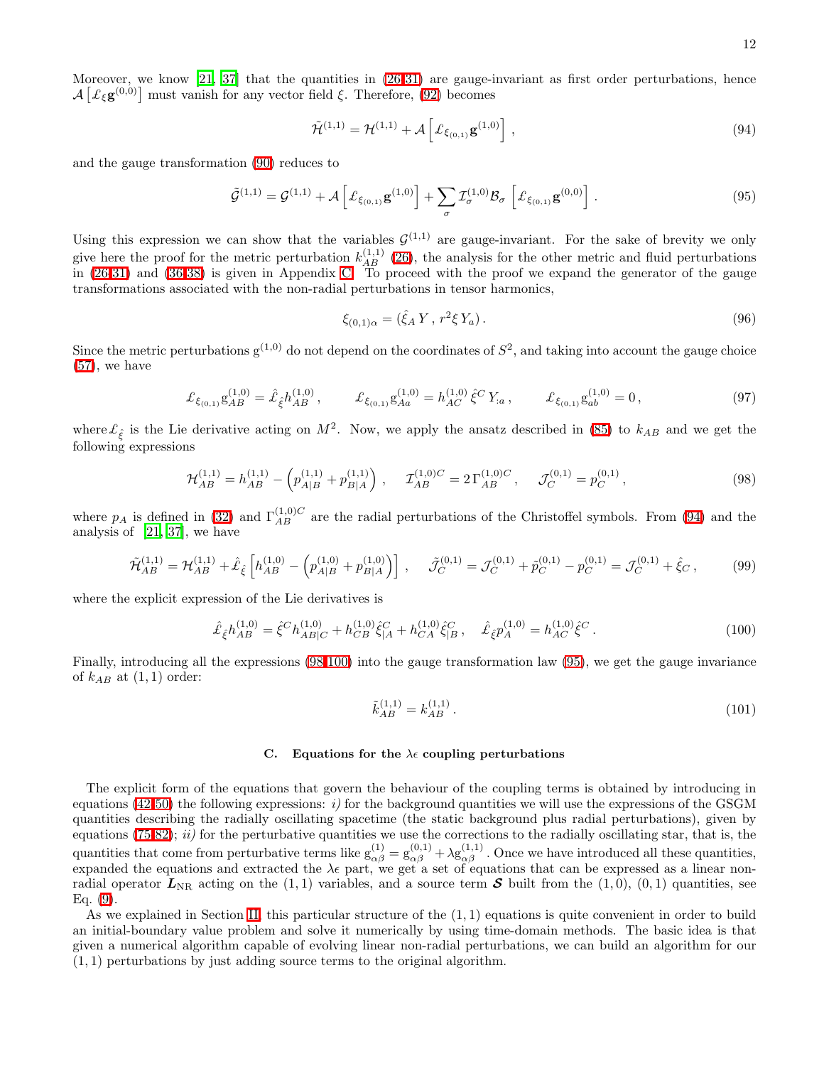Moreover, we know [\[21,](#page-23-20) [37\]](#page-23-36) that the quantities in [\(26-31\)](#page-5-1) are gauge-invariant as first order perturbations, hence  $\mathcal{A}\left[\mathcal{L}_{\xi}\mathbf{g}^{(0,0)}\right]$  must vanish for any vector field  $\xi$ . Therefore, [\(92\)](#page-10-4) becomes

$$
\tilde{\mathcal{H}}^{(1,1)} = \mathcal{H}^{(1,1)} + \mathcal{A}\left[\mathcal{L}_{\xi_{(0,1)}}\mathbf{g}^{(1,0)}\right],\tag{94}
$$

<span id="page-11-4"></span>and the gauge transformation [\(90\)](#page-10-5) reduces to

<span id="page-11-1"></span>
$$
\tilde{\mathcal{G}}^{(1,1)} = \mathcal{G}^{(1,1)} + \mathcal{A}\left[\pounds_{\xi_{(0,1)}}\mathbf{g}^{(1,0)}\right] + \sum_{\sigma} \mathcal{I}_{\sigma}^{(1,0)} \mathcal{B}_{\sigma}\left[\pounds_{\xi_{(0,1)}}\mathbf{g}^{(0,0)}\right].
$$
\n(95)

Using this expression we can show that the variables  $G^{(1,1)}$  are gauge-invariant. For the sake of brevity we only give here the proof for the metric perturbation  $k_{AB}^{(1,1)}$  [\(26\)](#page-5-1), the analysis for the other metric and fluid perturbations in [\(26-31\)](#page-5-1) and [\(36-38\)](#page-6-2) is given in Appendix [C.](#page-20-0) To proceed with the proof we expand the generator of the gauge transformations associated with the non-radial perturbations in tensor harmonics,

$$
\xi_{(0,1)\alpha} = (\hat{\xi}_A Y, r^2 \xi Y_a). \tag{96}
$$

<span id="page-11-5"></span>Since the metric perturbations  $g^{(1,0)}$  do not depend on the coordinates of  $S^2$ , and taking into account the gauge choice  $(57)$ , we have

$$
\mathcal{L}_{\xi_{(0,1)}} g_{AB}^{(1,0)} = \hat{\mathcal{L}}_{\hat{\xi}} h_{AB}^{(1,0)}, \qquad \mathcal{L}_{\xi_{(0,1)}} g_{Aa}^{(1,0)} = h_{AC}^{(1,0)} \hat{\xi}^C Y_{:a}, \qquad \mathcal{L}_{\xi_{(0,1)}} g_{ab}^{(1,0)} = 0,
$$
\n(97)

where  $\mathcal{L}_{\hat{\xi}}$  is the Lie derivative acting on  $M^2$ . Now, we apply the ansatz described in [\(85\)](#page-10-0) to  $k_{AB}$  and we get the following expressions

$$
\mathcal{H}_{AB}^{(1,1)} = h_{AB}^{(1,1)} - \left( p_{A|B}^{(1,1)} + p_{B|A}^{(1,1)} \right) , \quad \mathcal{I}_{AB}^{(1,0)C} = 2 \Gamma_{AB}^{(1,0)C} , \quad \mathcal{J}_C^{(0,1)} = p_C^{(0,1)} , \tag{98}
$$

<span id="page-11-2"></span>where  $p_A$  is defined in [\(32\)](#page-5-3) and  $\Gamma_{AB}^{(1,0)C}$  are the radial perturbations of the Christoffel symbols. From [\(94\)](#page-11-1) and the analysis of [\[21,](#page-23-20) [37\]](#page-23-36), we have

$$
\tilde{\mathcal{H}}_{AB}^{(1,1)} = \mathcal{H}_{AB}^{(1,1)} + \hat{\mathcal{L}}_{\hat{\xi}} \left[ h_{AB}^{(1,0)} - \left( p_{A|B}^{(1,0)} + p_{B|A}^{(1,0)} \right) \right], \quad \tilde{\mathcal{J}}_{C}^{(0,1)} = \mathcal{J}_{C}^{(0,1)} + \tilde{p}_{C}^{(0,1)} - p_{C}^{(0,1)} = \mathcal{J}_{C}^{(0,1)} + \hat{\xi}_{C} \,, \tag{99}
$$

<span id="page-11-3"></span>where the explicit expression of the Lie derivatives is

$$
\hat{\mathcal{L}}_{\hat{\xi}} h_{AB}^{(1,0)} = \hat{\xi}^C h_{AB|C}^{(1,0)} + h_{CB}^{(1,0)} \hat{\xi}_{|A}^C + h_{CA}^{(1,0)} \hat{\xi}_{|B}^C, \quad \hat{\mathcal{L}}_{\hat{\xi}} p_A^{(1,0)} = h_{AC}^{(1,0)} \hat{\xi}^C.
$$
\n(100)

Finally, introducing all the expressions [\(98](#page-11-2)[-100\)](#page-11-3) into the gauge transformation law [\(95\)](#page-11-4), we get the gauge invariance of  $k_{AB}$  at  $(1,1)$  order:

$$
\tilde{k}_{AB}^{(1,1)} = k_{AB}^{(1,1)} \,. \tag{101}
$$

### <span id="page-11-0"></span>C. Equations for the  $\lambda \epsilon$  coupling perturbations

The explicit form of the equations that govern the behaviour of the coupling terms is obtained by introducing in equations [\(42](#page-6-3)[-50\)](#page-6-1) the following expressions:  $i$ ) for the background quantities we will use the expressions of the GSGM quantities describing the radially oscillating spacetime (the static background plus radial perturbations), given by equations  $(75-82)$  $(75-82)$ ; ii) for the perturbative quantities we use the corrections to the radially oscillating star, that is, the quantities that come from perturbative terms like  $g_{\alpha\beta}^{(1)} = g_{\alpha\beta}^{(0,1)} + \lambda g_{\alpha\beta}^{(1,1)}$ . Once we have introduced all these quantities, expanded the equations and extracted the  $\lambda \epsilon$  part, we get a set of equations that can be expressed as a linear nonradial operator  $L_{\text{NR}}$  acting on the (1,1) variables, and a source term S built from the (1,0), (0,1) quantities, see Eq. [\(9\)](#page-3-5).

As we explained in Section [II,](#page-2-3) this particular structure of the  $(1, 1)$  equations is quite convenient in order to build an initial-boundary value problem and solve it numerically by using time-domain methods. The basic idea is that given a numerical algorithm capable of evolving linear non-radial perturbations, we can build an algorithm for our (1, 1) perturbations by just adding source terms to the original algorithm.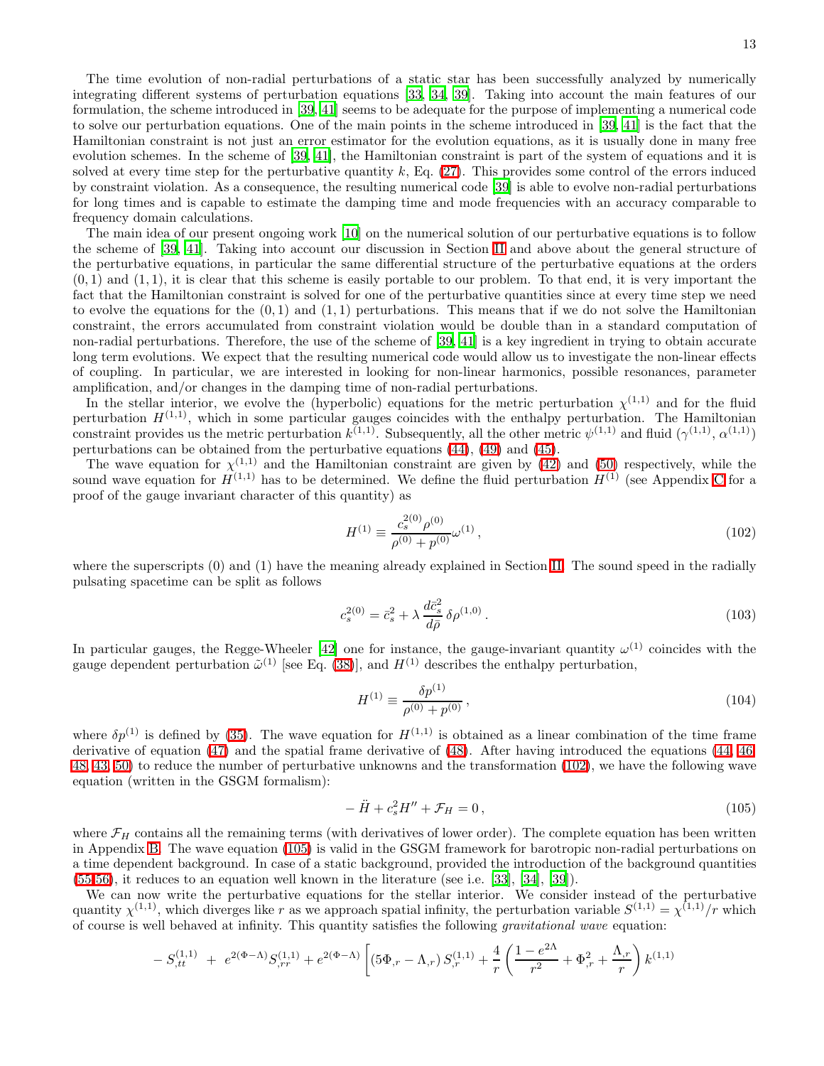The time evolution of non-radial perturbations of a static star has been successfully analyzed by numerically integrating different systems of perturbation equations [\[33,](#page-23-32) [34,](#page-23-33) [39\]](#page-23-38). Taking into account the main features of our formulation, the scheme introduced in [\[39](#page-23-38), [41](#page-23-40)] seems to be adequate for the purpose of implementing a numerical code to solve our perturbation equations. One of the main points in the scheme introduced in [\[39,](#page-23-38) [41\]](#page-23-40) is the fact that the Hamiltonian constraint is not just an error estimator for the evolution equations, as it is usually done in many free evolution schemes. In the scheme of [\[39](#page-23-38), [41\]](#page-23-40), the Hamiltonian constraint is part of the system of equations and it is solved at every time step for the perturbative quantity  $k$ , Eq. [\(27\)](#page-5-1). This provides some control of the errors induced by constraint violation. As a consequence, the resulting numerical code [\[39](#page-23-38)] is able to evolve non-radial perturbations for long times and is capable to estimate the damping time and mode frequencies with an accuracy comparable to frequency domain calculations.

The main idea of our present ongoing work [\[10](#page-23-9)] on the numerical solution of our perturbative equations is to follow the scheme of [\[39,](#page-23-38) [41\]](#page-23-40). Taking into account our discussion in Section [II](#page-2-3) and above about the general structure of the perturbative equations, in particular the same differential structure of the perturbative equations at the orders  $(0, 1)$  and  $(1, 1)$ , it is clear that this scheme is easily portable to our problem. To that end, it is very important the fact that the Hamiltonian constraint is solved for one of the perturbative quantities since at every time step we need to evolve the equations for the  $(0,1)$  and  $(1,1)$  perturbations. This means that if we do not solve the Hamiltonian constraint, the errors accumulated from constraint violation would be double than in a standard computation of non-radial perturbations. Therefore, the use of the scheme of [\[39](#page-23-38), [41\]](#page-23-40) is a key ingredient in trying to obtain accurate long term evolutions. We expect that the resulting numerical code would allow us to investigate the non-linear effects of coupling. In particular, we are interested in looking for non-linear harmonics, possible resonances, parameter amplification, and/or changes in the damping time of non-radial perturbations.

In the stellar interior, we evolve the (hyperbolic) equations for the metric perturbation  $\chi^{(1,1)}$  and for the fluid perturbation  $H^{(1,1)}$ , which in some particular gauges coincides with the enthalpy perturbation. The Hamiltonian constraint provides us the metric perturbation  $k^{(1,1)}$ . Subsequently, all the other metric  $\psi^{(1,1)}$  and fluid  $(\gamma^{(1,1)}, \alpha^{(1,1)})$ perturbations can be obtained from the perturbative equations [\(44\)](#page-6-3), [\(49\)](#page-6-1) and [\(45\)](#page-6-3).

The wave equation for  $\chi^{(1,1)}$  and the Hamiltonian constraint are given by [\(42\)](#page-6-3) and [\(50\)](#page-6-1) respectively, while the sound wave equation for  $H^{(1,1)}$  has to be determined. We define the fluid perturbation  $H^{(1)}$  (see Appendix [C](#page-20-0) for a proof of the gauge invariant character of this quantity) as

<span id="page-12-0"></span>
$$
H^{(1)} \equiv \frac{c_s^{2(0)} \rho^{(0)}}{\rho^{(0)} + p^{(0)}} \omega^{(1)}\,,\tag{102}
$$

where the superscripts (0) and (1) have the meaning already explained in Section [II.](#page-2-3) The sound speed in the radially pulsating spacetime can be split as follows

$$
c_s^{2(0)} = \bar{c}_s^2 + \lambda \frac{d\bar{c}_s^2}{d\bar{\rho}} \,\delta \rho^{(1,0)} \,. \tag{103}
$$

In particular gauges, the Regge-Wheeler [\[42\]](#page-23-41) one for instance, the gauge-invariant quantity  $\omega^{(1)}$  coincides with the gauge dependent perturbation  $\tilde{\omega}^{(1)}$  [see Eq. [\(38\)](#page-6-2)], and  $H^{(1)}$  describes the enthalpy perturbation,

$$
H^{(1)} \equiv \frac{\delta p^{(1)}}{\rho^{(0)} + p^{(0)}},\tag{104}
$$

where  $\delta p^{(1)}$  is defined by [\(35\)](#page-6-4). The wave equation for  $H^{(1,1)}$  is obtained as a linear combination of the time frame derivative of equation [\(47\)](#page-6-3) and the spatial frame derivative of [\(48\)](#page-6-3). After having introduced the equations [\(44, 46,](#page-6-3) [48, 43,](#page-6-3) [50\)](#page-6-1) to reduce the number of perturbative unknowns and the transformation [\(102\)](#page-12-0), we have the following wave equation (written in the GSGM formalism):

<span id="page-12-1"></span>
$$
-\ddot{H} + c_s^2 H'' + \mathcal{F}_H = 0, \qquad (105)
$$

where  $\mathcal{F}_H$  contains all the remaining terms (with derivatives of lower order). The complete equation has been written in Appendix [B.](#page-19-0) The wave equation [\(105\)](#page-12-1) is valid in the GSGM framework for barotropic non-radial perturbations on a time dependent background. In case of a static background, provided the introduction of the background quantities [\(55-56\)](#page-7-1), it reduces to an equation well known in the literature (see i.e. [\[33\]](#page-23-32), [\[34\]](#page-23-33), [\[39\]](#page-23-38)).

<span id="page-12-2"></span>We can now write the perturbative equations for the stellar interior. We consider instead of the perturbative quantity  $\chi^{(1,1)}$ , which diverges like r as we approach spatial infinity, the perturbation variable  $S^{(1,1)} = \chi^{(1,1)}/r$  which of course is well behaved at infinity. This quantity satisfies the following gravitational wave equation:

$$
-S_{,tt}^{(1,1)} + e^{2(\Phi-\Lambda)}S_{,rr}^{(1,1)} + e^{2(\Phi-\Lambda)} \left[ \left(5\Phi_{,r} - \Lambda_{,r}\right)S_{,r}^{(1,1)} + \frac{4}{r} \left( \frac{1 - e^{2\Lambda}}{r^2} + \Phi_{,r}^2 + \frac{\Lambda_{,r}}{r} \right)k^{(1,1)} \right]
$$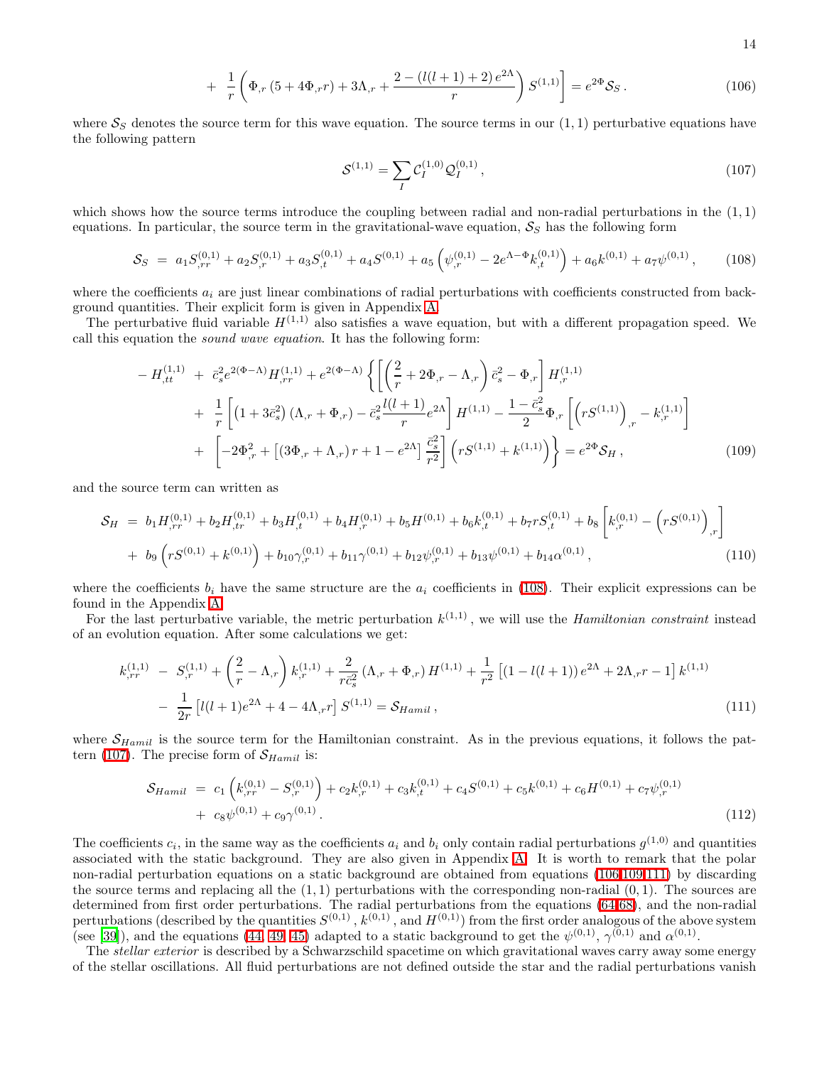14

<span id="page-13-1"></span>
$$
+ \frac{1}{r} \left( \Phi_{,r} \left( 5 + 4\Phi_{,r} r \right) + 3\Lambda_{,r} + \frac{2 - \left( l(l+1) + 2 \right) e^{2\Lambda}}{r} \right) S^{(1,1)} \right] = e^{2\Phi} S_S \,. \tag{106}
$$

where  $S_S$  denotes the source term for this wave equation. The source terms in our  $(1, 1)$  perturbative equations have the following pattern

$$
S^{(1,1)} = \sum_{I} C_{I}^{(1,0)} \mathcal{Q}_{I}^{(0,1)}, \qquad (107)
$$

which shows how the source terms introduce the coupling between radial and non-radial perturbations in the  $(1,1)$ equations. In particular, the source term in the gravitational-wave equation,  $S<sub>S</sub>$  has the following form

$$
S_S = a_1 S_{,rr}^{(0,1)} + a_2 S_{,r}^{(0,1)} + a_3 S_{,t}^{(0,1)} + a_4 S_{,r}^{(0,1)} + a_5 \left( \psi_{,r}^{(0,1)} - 2e^{\Lambda - \Phi} k_{,t}^{(0,1)} \right) + a_6 k^{(0,1)} + a_7 \psi_{,r}^{(0,1)}, \tag{108}
$$

<span id="page-13-0"></span>where the coefficients  $a_i$  are just linear combinations of radial perturbations with coefficients constructed from background quantities. Their explicit form is given in Appendix [A.](#page-16-0)

<span id="page-13-2"></span>The perturbative fluid variable  $H^{(1,1)}$  also satisfies a wave equation, but with a different propagation speed. We call this equation the sound wave equation. It has the following form:

$$
-H_{,tt}^{(1,1)} + \bar{c}_s^2 e^{2(\Phi-\Lambda)} H_{,rr}^{(1,1)} + e^{2(\Phi-\Lambda)} \left\{ \left[ \left( \frac{2}{r} + 2\Phi_{,r} - \Lambda_{,r} \right) \bar{c}_s^2 - \Phi_{,r} \right] H_{,r}^{(1,1)} + \frac{1}{r} \left[ \left( 1 + 3\bar{c}_s^2 \right) \left( \Lambda_{,r} + \Phi_{,r} \right) - \bar{c}_s^2 \frac{l(l+1)}{r} e^{2\Lambda} \right] H^{(1,1)} - \frac{1 - \bar{c}_s^2}{2} \Phi_{,r} \left[ \left( rS^{(1,1)} \right)_{,r} - k_{,r}^{(1,1)} \right] + \left[ -2\Phi_{,r}^2 + \left[ \left( 3\Phi_{,r} + \Lambda_{,r} \right) r + 1 - e^{2\Lambda} \right] \frac{\bar{c}_s^2}{r^2} \right] \left( rS^{(1,1)} + k_{,r}^{(1,1)} \right) \right\} = e^{2\Phi} \mathcal{S}_H,
$$
\n(109)

<span id="page-13-5"></span>and the source term can written as

$$
S_H = b_1 H_{,rr}^{(0,1)} + b_2 H_{,tr}^{(0,1)} + b_3 H_{,t}^{(0,1)} + b_4 H_{,r}^{(0,1)} + b_5 H^{(0,1)} + b_6 k_{,t}^{(0,1)} + b_7 r S_{,t}^{(0,1)} + b_8 \left[ k_{,r}^{(0,1)} - \left( r S^{(0,1)} \right)_{,r} \right] + b_9 \left( r S^{(0,1)} + k_{0,1}^{(0,1)} \right) + b_{10} \gamma_{,r}^{(0,1)} + b_{11} \gamma_{,0,1} + b_{12} \psi_{,r}^{(0,1)} + b_{13} \psi_{,0,1} + b_{14} \alpha_{,0,1} \right), \tag{110}
$$

where the coefficients  $b_i$  have the same structure are the  $a_i$  coefficients in [\(108\)](#page-13-0). Their explicit expressions can be found in the Appendix [A.](#page-16-0)

<span id="page-13-3"></span>For the last perturbative variable, the metric perturbation  $k^{(1,1)}$ , we will use the *Hamiltonian constraint* instead of an evolution equation. After some calculations we get:

$$
k_{,rr}^{(1,1)} - S_{,r}^{(1,1)} + \left(\frac{2}{r} - \Lambda_{,r}\right)k_{,r}^{(1,1)} + \frac{2}{r\bar{c}_s^2}\left(\Lambda_{,r} + \Phi_{,r}\right)H^{(1,1)} + \frac{1}{r^2}\left[\left(1 - l(l+1)\right)e^{2\Lambda} + 2\Lambda_{,r}r - 1\right]k_{,r}^{(1,1)} - \frac{1}{2r}\left[l(l+1)e^{2\Lambda} + 4 - 4\Lambda_{,r}r\right]S^{(1,1)} = \mathcal{S}_{Hamil} \,,\tag{111}
$$

<span id="page-13-4"></span>where  $S_{Hamilton}$  is the source term for the Hamiltonian constraint. As in the previous equations, it follows the pat-tern [\(107\)](#page-13-1). The precise form of  $\mathcal{S}_{Hamil}$  is:

$$
\mathcal{S}_{Hamil} = c_1 \left( k_{,rr}^{(0,1)} - S_{,r}^{(0,1)} \right) + c_2 k_{,r}^{(0,1)} + c_3 k_{,t}^{(0,1)} + c_4 S_{,t}^{(0,1)} + c_5 k_{,t}^{(0,1)} + c_6 H_{,r}^{(0,1)} + c_7 \psi_{,r}^{(0,1)} + c_8 \psi_{,r}^{(0,1)}.
$$
\n
$$
(112)
$$

The coefficients  $c_i$ , in the same way as the coefficients  $a_i$  and  $b_i$  only contain radial perturbations  $g^{(1,0)}$  and quantities associated with the static background. They are also given in Appendix [A.](#page-16-0) It is worth to remark that the polar non-radial perturbation equations on a static background are obtained from equations [\(106,](#page-12-2)[109](#page-13-2)[,111\)](#page-13-3) by discarding the source terms and replacing all the  $(1, 1)$  perturbations with the corresponding non-radial  $(0, 1)$ . The sources are determined from first order perturbations. The radial perturbations from the equations [\(64](#page-8-0)[-68\)](#page-8-2), and the non-radial perturbations (described by the quantities  $S^{(0,1)}$ ,  $k^{(0,1)}$ , and  $H^{(0,1)}$ ) from the first order analogous of the above system (see [\[39\]](#page-23-38)), and the equations [\(44,](#page-6-3) [49,](#page-6-1) [45\)](#page-6-3) adapted to a static background to get the  $\psi^{(0,1)}$ ,  $\gamma^{(0,1)}$  and  $\alpha^{(0,1)}$ .

The *stellar exterior* is described by a Schwarzschild spacetime on which gravitational waves carry away some energy of the stellar oscillations. All fluid perturbations are not defined outside the star and the radial perturbations vanish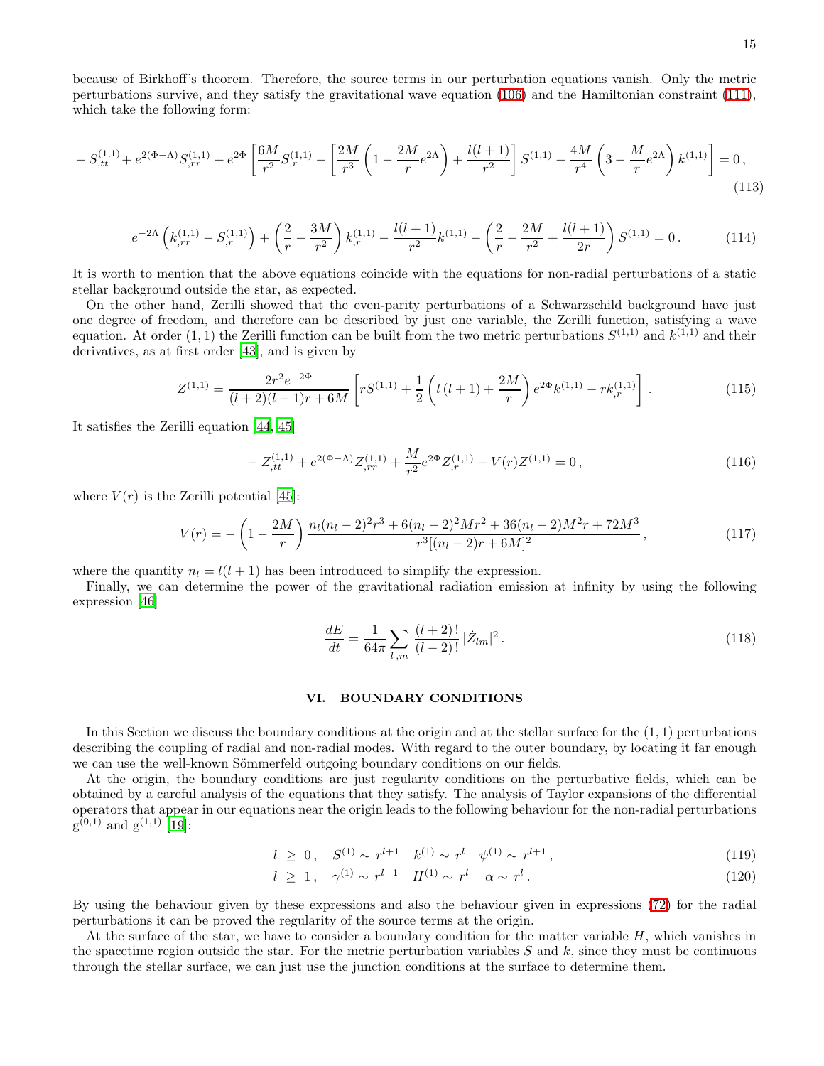because of Birkhoff's theorem. Therefore, the source terms in our perturbation equations vanish. Only the metric perturbations survive, and they satisfy the gravitational wave equation [\(106\)](#page-12-2) and the Hamiltonian constraint [\(111\)](#page-13-3), which take the following form:

$$
-S_{,tt}^{(1,1)} + e^{2(\Phi-\Lambda)}S_{,rr}^{(1,1)} + e^{2\Phi} \left[ \frac{6M}{r^2} S_{,r}^{(1,1)} - \left[ \frac{2M}{r^3} \left( 1 - \frac{2M}{r} e^{2\Lambda} \right) + \frac{l(l+1)}{r^2} \right] S^{(1,1)} - \frac{4M}{r^4} \left( 3 - \frac{M}{r} e^{2\Lambda} \right) k^{(1,1)} \right] = 0,
$$
\n(113)

$$
e^{-2\Lambda} \left( k_{,rr}^{(1,1)} - S_{,r}^{(1,1)} \right) + \left( \frac{2}{r} - \frac{3M}{r^2} \right) k_{,r}^{(1,1)} - \frac{l(l+1)}{r^2} k_{,1}^{(1,1)} - \left( \frac{2}{r} - \frac{2M}{r^2} + \frac{l(l+1)}{2r} \right) S_{,1}^{(1,1)} = 0 \,. \tag{114}
$$

It is worth to mention that the above equations coincide with the equations for non-radial perturbations of a static stellar background outside the star, as expected.

On the other hand, Zerilli showed that the even-parity perturbations of a Schwarzschild background have just one degree of freedom, and therefore can be described by just one variable, the Zerilli function, satisfying a wave equation. At order  $(1,1)$  the Zerilli function can be built from the two metric perturbations  $S^{(1,1)}$  and  $k^{(1,1)}$  and their derivatives, as at first order [\[43](#page-23-42)], and is given by

$$
Z^{(1,1)} = \frac{2r^2e^{-2\Phi}}{(l+2)(l-1)r+6M} \left[ rS^{(1,1)} + \frac{1}{2} \left( l(l+1) + \frac{2M}{r} \right) e^{2\Phi} k^{(1,1)} - rk_r^{(1,1)} \right].
$$
 (115)

It satisfies the Zerilli equation [\[44,](#page-23-43) [45\]](#page-23-44)

$$
-Z_{,tt}^{(1,1)} + e^{2(\Phi-\Lambda)}Z_{,rr}^{(1,1)} + \frac{M}{r^2}e^{2\Phi}Z_{,r}^{(1,1)} - V(r)Z^{(1,1)} = 0,
$$
\n(116)

where  $V(r)$  is the Zerilli potential [\[45\]](#page-23-44):

$$
V(r) = -\left(1 - \frac{2M}{r}\right) \frac{n_l(n_l - 2)^2 r^3 + 6(n_l - 2)^2 M r^2 + 36(n_l - 2) M^2 r + 72 M^3}{r^3 [(n_l - 2)r + 6M]^2},
$$
\n(117)

where the quantity  $n_l = l(l + 1)$  has been introduced to simplify the expression.

Finally, we can determine the power of the gravitational radiation emission at infinity by using the following expression [\[46\]](#page-23-45)

$$
\frac{dE}{dt} = \frac{1}{64\pi} \sum_{l,m} \frac{(l+2)!}{(l-2)!} |\dot{Z}_{lm}|^2.
$$
\n(118)

### VI. BOUNDARY CONDITIONS

In this Section we discuss the boundary conditions at the origin and at the stellar surface for the  $(1, 1)$  perturbations describing the coupling of radial and non-radial modes. With regard to the outer boundary, by locating it far enough we can use the well-known Sömmerfeld outgoing boundary conditions on our fields.

At the origin, the boundary conditions are just regularity conditions on the perturbative fields, which can be obtained by a careful analysis of the equations that they satisfy. The analysis of Taylor expansions of the differential operators that appear in our equations near the origin leads to the following behaviour for the non-radial perturbations  $g^{(0,1)}$  and  $g^{(1,1)}$  [\[19\]](#page-23-18):

$$
l \geq 0, \quad S^{(1)} \sim r^{l+1} \quad k^{(1)} \sim r^l \quad \psi^{(1)} \sim r^{l+1}, \tag{119}
$$

$$
l \ge 1, \quad \gamma^{(1)} \sim r^{l-1} \quad H^{(1)} \sim r^l \quad \alpha \sim r^l \,. \tag{120}
$$

By using the behaviour given by these expressions and also the behaviour given in expressions [\(72\)](#page-8-3) for the radial perturbations it can be proved the regularity of the source terms at the origin.

At the surface of the star, we have to consider a boundary condition for the matter variable  $H$ , which vanishes in the spacetime region outside the star. For the metric perturbation variables  $S$  and  $k$ , since they must be continuous through the stellar surface, we can just use the junction conditions at the surface to determine them.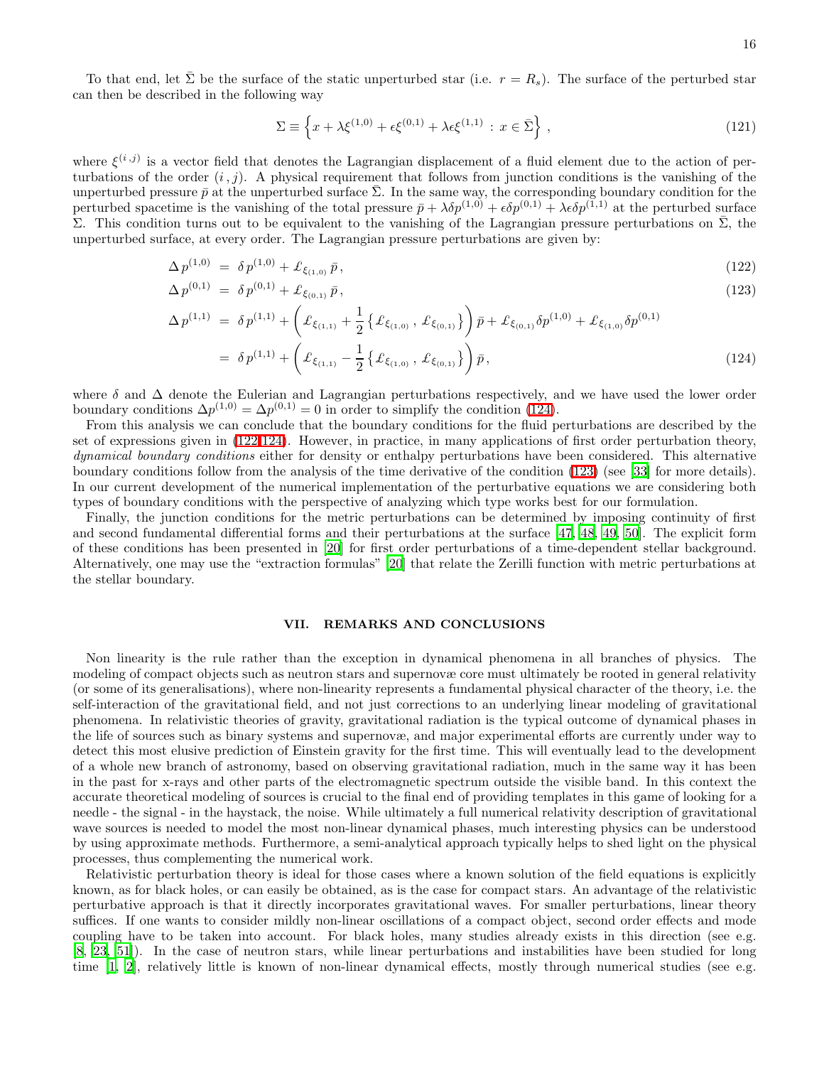To that end, let  $\bar{\Sigma}$  be the surface of the static unperturbed star (i.e.  $r = R_s$ ). The surface of the perturbed star can then be described in the following way

$$
\Sigma \equiv \left\{ x + \lambda \xi^{(1,0)} + \epsilon \xi^{(0,1)} + \lambda \epsilon \xi^{(1,1)} : x \in \bar{\Sigma} \right\},\tag{121}
$$

where  $\xi^{(i,j)}$  is a vector field that denotes the Lagrangian displacement of a fluid element due to the action of perturbations of the order  $(i, j)$ . A physical requirement that follows from junction conditions is the vanishing of the unperturbed pressure  $\bar{p}$  at the unperturbed surface  $\bar{\Sigma}$ . In the same way, the corresponding boundary condition for the perturbed spacetime is the vanishing of the total pressure  $\bar{p} + \lambda \delta p^{(1,0)} + \epsilon \delta p^{(0,1)} + \lambda \epsilon \delta p^{(1,1)}$  at the perturbed surface Σ. This condition turns out to be equivalent to the vanishing of the Lagrangian pressure perturbations on  $\bar{\Sigma}$ , the unperturbed surface, at every order. The Lagrangian pressure perturbations are given by:

<span id="page-15-0"></span>
$$
\Delta p^{(1,0)} = \delta p^{(1,0)} + \pounds_{\xi_{(1,0)}} \bar{p},\tag{122}
$$

$$
\Delta p^{(0,1)} = \delta p^{(0,1)} + \pounds_{\xi_{(0,1)}} \bar{p},\tag{123}
$$

$$
\Delta p^{(1,1)} = \delta p^{(1,1)} + \left( \pounds_{\xi_{(1,1)}} + \frac{1}{2} \{ \pounds_{\xi_{(1,0)}}, \pounds_{\xi_{(0,1)}} \} \right) \bar{p} + \pounds_{\xi_{(0,1)}} \delta p^{(1,0)} + \pounds_{\xi_{(1,0)}} \delta p^{(0,1)} \n= \delta p^{(1,1)} + \left( \pounds_{\xi_{(1,1)}} - \frac{1}{2} \{ \pounds_{\xi_{(1,0)}}, \pounds_{\xi_{(0,1)}} \} \right) \bar{p},
$$
\n(124)

where  $\delta$  and  $\Delta$  denote the Eulerian and Lagrangian perturbations respectively, and we have used the lower order boundary conditions  $\Delta p^{(1,0)} = \Delta p^{(0,1)} = 0$  in order to simplify the condition [\(124\)](#page-15-0).

From this analysis we can conclude that the boundary conditions for the fluid perturbations are described by the set of expressions given in [\(122-124\)](#page-15-0). However, in practice, in many applications of first order perturbation theory, dynamical boundary conditions either for density or enthalpy perturbations have been considered. This alternative boundary conditions follow from the analysis of the time derivative of the condition [\(123\)](#page-15-0) (see [\[33\]](#page-23-32) for more details). In our current development of the numerical implementation of the perturbative equations we are considering both types of boundary conditions with the perspective of analyzing which type works best for our formulation.

Finally, the junction conditions for the metric perturbations can be determined by imposing continuity of first and second fundamental differential forms and their perturbations at the surface [\[47](#page-23-46), [48,](#page-23-47) [49](#page-23-48), [50\]](#page-24-0). The explicit form of these conditions has been presented in [\[20\]](#page-23-19) for first order perturbations of a time-dependent stellar background. Alternatively, one may use the "extraction formulas" [\[20](#page-23-19)] that relate the Zerilli function with metric perturbations at the stellar boundary.

### VII. REMARKS AND CONCLUSIONS

Non linearity is the rule rather than the exception in dynamical phenomena in all branches of physics. The modeling of compact objects such as neutron stars and supernovæ core must ultimately be rooted in general relativity (or some of its generalisations), where non-linearity represents a fundamental physical character of the theory, i.e. the self-interaction of the gravitational field, and not just corrections to an underlying linear modeling of gravitational phenomena. In relativistic theories of gravity, gravitational radiation is the typical outcome of dynamical phases in the life of sources such as binary systems and supernovæ, and major experimental efforts are currently under way to detect this most elusive prediction of Einstein gravity for the first time. This will eventually lead to the development of a whole new branch of astronomy, based on observing gravitational radiation, much in the same way it has been in the past for x-rays and other parts of the electromagnetic spectrum outside the visible band. In this context the accurate theoretical modeling of sources is crucial to the final end of providing templates in this game of looking for a needle - the signal - in the haystack, the noise. While ultimately a full numerical relativity description of gravitational wave sources is needed to model the most non-linear dynamical phases, much interesting physics can be understood by using approximate methods. Furthermore, a semi-analytical approach typically helps to shed light on the physical processes, thus complementing the numerical work.

Relativistic perturbation theory is ideal for those cases where a known solution of the field equations is explicitly known, as for black holes, or can easily be obtained, as is the case for compact stars. An advantage of the relativistic perturbative approach is that it directly incorporates gravitational waves. For smaller perturbations, linear theory suffices. If one wants to consider mildly non-linear oscillations of a compact object, second order effects and mode coupling have to be taken into account. For black holes, many studies already exists in this direction (see e.g. [\[8,](#page-23-7) [23](#page-23-22), [51\]](#page-24-1)). In the case of neutron stars, while linear perturbations and instabilities have been studied for long time [\[1,](#page-23-0) [2](#page-23-1)], relatively little is known of non-linear dynamical effects, mostly through numerical studies (see e.g.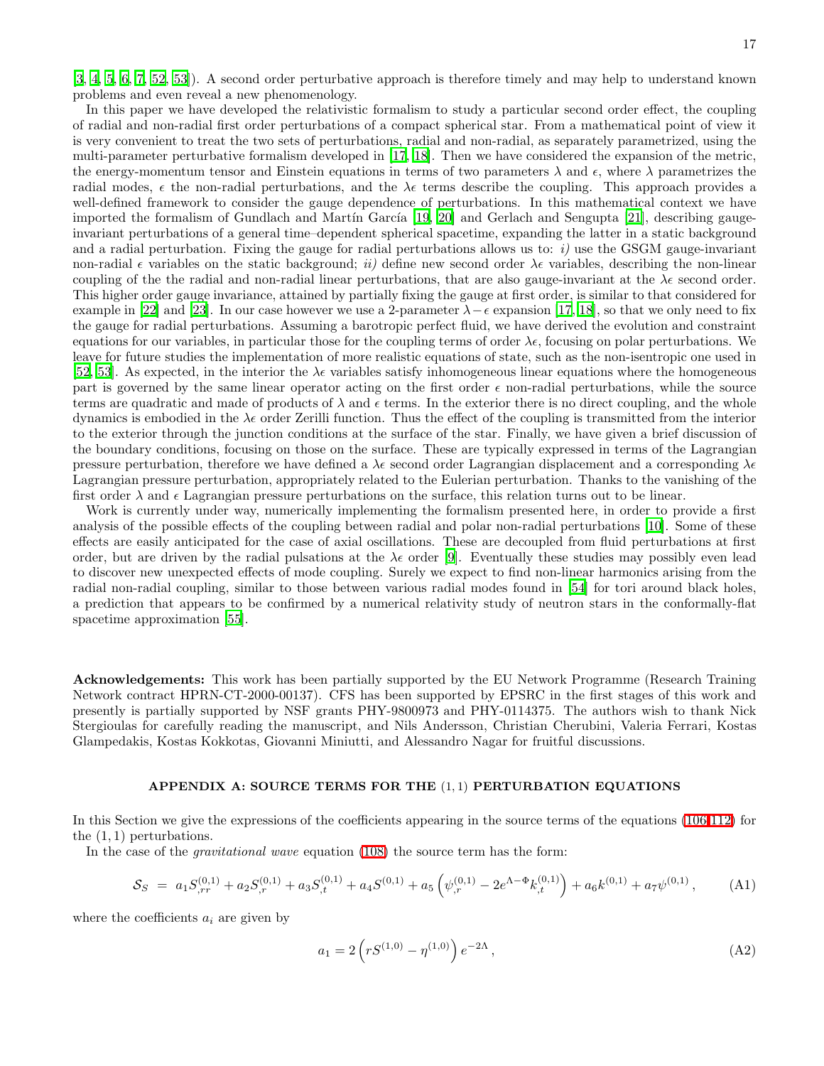[\[3,](#page-23-2) [4,](#page-23-3) [5](#page-23-4), [6,](#page-23-5) [7,](#page-23-6) [52,](#page-24-2) [53](#page-24-3)]). A second order perturbative approach is therefore timely and may help to understand known problems and even reveal a new phenomenology.

In this paper we have developed the relativistic formalism to study a particular second order effect, the coupling of radial and non-radial first order perturbations of a compact spherical star. From a mathematical point of view it is very convenient to treat the two sets of perturbations, radial and non-radial, as separately parametrized, using the multi-parameter perturbative formalism developed in [\[17,](#page-23-16) [18\]](#page-23-17). Then we have considered the expansion of the metric, the energy-momentum tensor and Einstein equations in terms of two parameters  $\lambda$  and  $\epsilon$ , where  $\lambda$  parametrizes the radial modes,  $\epsilon$  the non-radial perturbations, and the  $\lambda \epsilon$  terms describe the coupling. This approach provides a well-defined framework to consider the gauge dependence of perturbations. In this mathematical context we have imported the formalism of Gundlach and Martín García [\[19](#page-23-18), [20\]](#page-23-19) and Gerlach and Sengupta [\[21\]](#page-23-20), describing gaugeinvariant perturbations of a general time–dependent spherical spacetime, expanding the latter in a static background and a radial perturbation. Fixing the gauge for radial perturbations allows us to:  $i)$  use the GSGM gauge-invariant non-radial  $\epsilon$  variables on the static background; ii) define new second order  $\lambda \epsilon$  variables, describing the non-linear coupling of the the radial and non-radial linear perturbations, that are also gauge-invariant at the  $\lambda \epsilon$  second order. This higher order gauge invariance, attained by partially fixing the gauge at first order, is similar to that considered for example in [\[22](#page-23-21)] and [\[23](#page-23-22)]. In our case however we use a 2-parameter  $\lambda - \epsilon$  expansion [\[17](#page-23-16), [18\]](#page-23-17), so that we only need to fix the gauge for radial perturbations. Assuming a barotropic perfect fluid, we have derived the evolution and constraint equations for our variables, in particular those for the coupling terms of order  $\lambda \epsilon$ , focusing on polar perturbations. We leave for future studies the implementation of more realistic equations of state, such as the non-isentropic one used in [\[52,](#page-24-2) [53\]](#page-24-3). As expected, in the interior the  $\lambda \epsilon$  variables satisfy inhomogeneous linear equations where the homogeneous part is governed by the same linear operator acting on the first order  $\epsilon$  non-radial perturbations, while the source terms are quadratic and made of products of  $\lambda$  and  $\epsilon$  terms. In the exterior there is no direct coupling, and the whole dynamics is embodied in the  $\lambda \epsilon$  order Zerilli function. Thus the effect of the coupling is transmitted from the interior to the exterior through the junction conditions at the surface of the star. Finally, we have given a brief discussion of the boundary conditions, focusing on those on the surface. These are typically expressed in terms of the Lagrangian pressure perturbation, therefore we have defined a  $\lambda \epsilon$  second order Lagrangian displacement and a corresponding  $\lambda \epsilon$ Lagrangian pressure perturbation, appropriately related to the Eulerian perturbation. Thanks to the vanishing of the first order  $\lambda$  and  $\epsilon$  Lagrangian pressure perturbations on the surface, this relation turns out to be linear.

Work is currently under way, numerically implementing the formalism presented here, in order to provide a first analysis of the possible effects of the coupling between radial and polar non-radial perturbations [\[10\]](#page-23-9). Some of these effects are easily anticipated for the case of axial oscillations. These are decoupled from fluid perturbations at first order, but are driven by the radial pulsations at the  $\lambda \epsilon$  order [\[9\]](#page-23-8). Eventually these studies may possibly even lead to discover new unexpected effects of mode coupling. Surely we expect to find non-linear harmonics arising from the radial non-radial coupling, similar to those between various radial modes found in [\[54\]](#page-24-4) for tori around black holes, a prediction that appears to be confirmed by a numerical relativity study of neutron stars in the conformally-flat spacetime approximation [\[55](#page-24-5)].

Acknowledgements: This work has been partially supported by the EU Network Programme (Research Training Network contract HPRN-CT-2000-00137). CFS has been supported by EPSRC in the first stages of this work and presently is partially supported by NSF grants PHY-9800973 and PHY-0114375. The authors wish to thank Nick Stergioulas for carefully reading the manuscript, and Nils Andersson, Christian Cherubini, Valeria Ferrari, Kostas Glampedakis, Kostas Kokkotas, Giovanni Miniutti, and Alessandro Nagar for fruitful discussions.

### APPENDIX A: SOURCE TERMS FOR THE (1, 1) PERTURBATION EQUATIONS

<span id="page-16-0"></span>In this Section we give the expressions of the coefficients appearing in the source terms of the equations [\(106](#page-12-2)[-112\)](#page-13-4) for the  $(1, 1)$  perturbations.

In the case of the *gravitational wave* equation [\(108\)](#page-13-0) the source term has the form:

$$
S_S = a_1 S_{,rr}^{(0,1)} + a_2 S_{,r}^{(0,1)} + a_3 S_{,t}^{(0,1)} + a_4 S_{,r}^{(0,1)} + a_5 \left( \psi_{,r}^{(0,1)} - 2e^{\Lambda - \Phi} k_{,t}^{(0,1)} \right) + a_6 k_{,r}^{(0,1)} + a_7 \psi_{,r}^{(0,1)}, \tag{A1}
$$

where the coefficients  $a_i$  are given by

$$
a_1 = 2\left(rS^{(1,0)} - \eta^{(1,0)}\right)e^{-2\Lambda},\tag{A2}
$$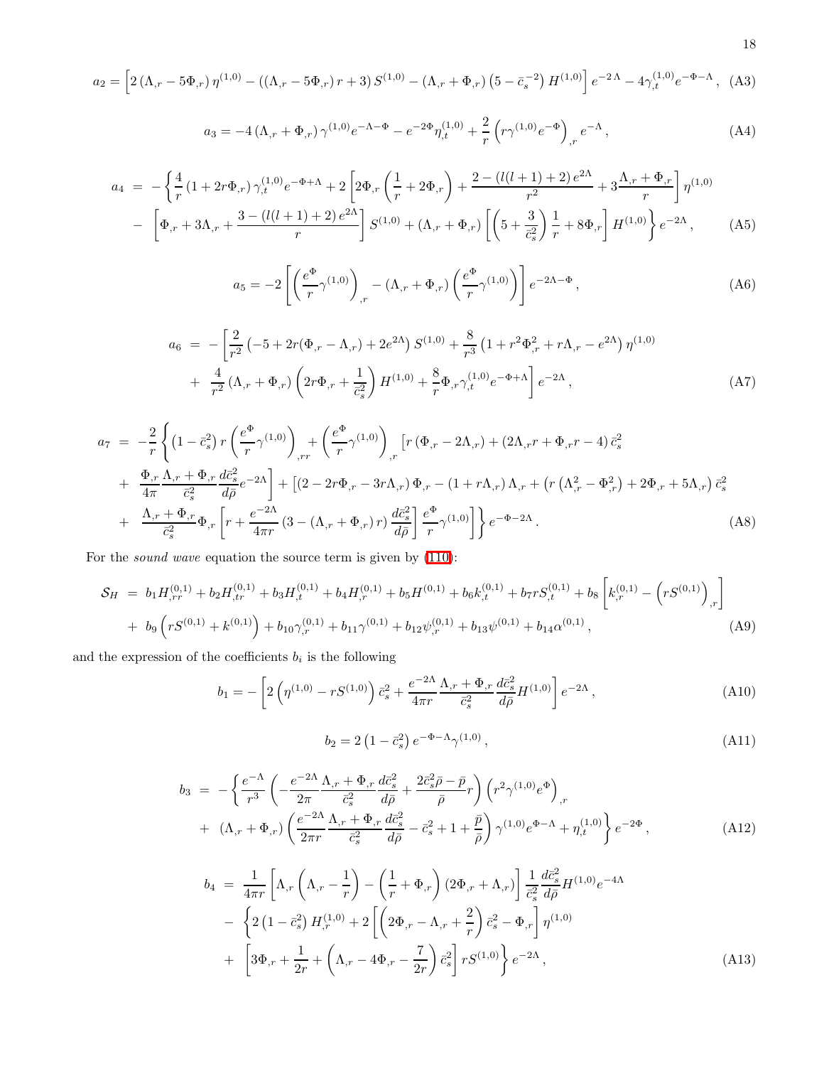$$
a_2 = \left[2\left(\Lambda_{,r} - 5\Phi_{,r}\right)\eta^{(1,0)} - \left(\left(\Lambda_{,r} - 5\Phi_{,r}\right)r + 3\right)S^{(1,0)} - \left(\Lambda_{,r} + \Phi_{,r}\right)\left(5 - \bar{c}_s^{-2}\right)H^{(1,0)}\right]e^{-2\Lambda} - 4\gamma_{,t}^{(1,0)}e^{-\Phi - \Lambda},\tag{A3}
$$

$$
a_3 = -4\left(\Lambda_{,r} + \Phi_{,r}\right)\gamma^{(1,0)}e^{-\Lambda - \Phi} - e^{-2\Phi}\eta^{(1,0)}_{,t} + \frac{2}{r}\left(r\gamma^{(1,0)}e^{-\Phi}\right)_{,r}e^{-\Lambda},\tag{A4}
$$

$$
a_4 = -\left\{\frac{4}{r}\left(1+2r\Phi_{,r}\right)\gamma_{,t}^{(1,0)}e^{-\Phi+\Lambda}+2\left[2\Phi_{,r}\left(\frac{1}{r}+2\Phi_{,r}\right)+\frac{2-\left(l(l+1)+2\right)e^{2\Lambda}}{r^2}+3\frac{\Lambda_{,r}+\Phi_{,r}}{r}\right]\eta^{(1,0)}\right.-\left[\Phi_{,r}+3\Lambda_{,r}+\frac{3-\left(l(l+1)+2\right)e^{2\Lambda}}{r}\right]S^{(1,0)}+(\Lambda_{,r}+\Phi_{,r})\left[\left(5+\frac{3}{\bar{c}_s^2}\right)\frac{1}{r}+8\Phi_{,r}\right]H^{(1,0)}\right\}e^{-2\Lambda},\tag{A5}
$$

$$
a_5 = -2\left[\left(\frac{e^{\Phi}}{r}\gamma^{(1,0)}\right)_{,r} - (\Lambda_{,r} + \Phi_{,r})\left(\frac{e^{\Phi}}{r}\gamma^{(1,0)}\right)\right]e^{-2\Lambda - \Phi},\tag{A6}
$$

$$
a_6 = -\left[\frac{2}{r^2} \left(-5 + 2r(\Phi_{,r} - \Lambda_{,r}) + 2e^{2\Lambda}\right) S^{(1,0)} + \frac{8}{r^3} \left(1 + r^2 \Phi_{,r}^2 + r\Lambda_{,r} - e^{2\Lambda}\right) \eta^{(1,0)} + \frac{4}{r^2} (\Lambda_{,r} + \Phi_{,r}) \left(2r\Phi_{,r} + \frac{1}{\bar{c}_s^2}\right) H^{(1,0)} + \frac{8}{r} \Phi_{,r} \gamma_{,t}^{(1,0)} e^{-\Phi_{,r}\Lambda} \right] e^{-2\Lambda}, \tag{A7}
$$

$$
a_7 = -\frac{2}{r} \left\{ \left(1 - \bar{c}_s^2\right) r \left(\frac{e^{\Phi}}{r} \gamma^{(1,0)}\right)_{,rr} + \left(\frac{e^{\Phi}}{r} \gamma^{(1,0)}\right)_{,r} \left[r \left(\Phi_{,r} - 2\Lambda_{,r}\right) + \left(2\Lambda_{,r}r + \Phi_{,r}r - 4\right)\bar{c}_s^2 \right.+ \frac{\Phi_{,r}}{4\pi} \frac{\Lambda_{,r} + \Phi_{,r}}{\bar{c}_s^2} \frac{d\bar{c}_s^2}{d\bar{\rho}} e^{-2\Lambda} \right\} + \left[ \left(2 - 2r\Phi_{,r} - 3r\Lambda_{,r}\right) \Phi_{,r} - \left(1 + r\Lambda_{,r}\right)\Lambda_{,r} + \left(r \left(\Lambda_{,r}^2 - \Phi_{,r}^2\right) + 2\Phi_{,r} + 5\Lambda_{,r}\right)\bar{c}_s^2 \right.+ \frac{\Lambda_{,r} + \Phi_{,r}}{\bar{c}_s^2} \Phi_{,r} \left[ r + \frac{e^{-2\Lambda}}{4\pi r} \left(3 - \left(\Lambda_{,r} + \Phi_{,r}\right)r\right) \frac{d\bar{c}_s^2}{d\bar{\rho}} \right] \frac{e^{\Phi}}{r} \gamma^{(1,0)} \right] \Big\} e^{-\Phi - 2\Lambda}.
$$
\n(A8)

For the sound wave equation the source term is given by [\(110\)](#page-13-5):

$$
S_H = b_1 H_{,rr}^{(0,1)} + b_2 H_{,tr}^{(0,1)} + b_3 H_{,t}^{(0,1)} + b_4 H_{,r}^{(0,1)} + b_5 H^{(0,1)} + b_6 k_{,t}^{(0,1)} + b_7 r S_{,t}^{(0,1)} + b_8 \left[ k_{,r}^{(0,1)} - \left( r S^{(0,1)} \right)_{,r} \right]
$$
  
+ 
$$
b_9 \left( r S^{(0,1)} + k_{,0,1}^{(0,1)} \right) + b_{10} \gamma_{,r}^{(0,1)} + b_{11} \gamma_{,0,1} + b_{12} \psi_{,r}^{(0,1)} + b_{13} \psi_{,0,1} + b_{14} \alpha_{,0,1} ,
$$
 (A9)

and the expression of the coefficients  $b_i$  is the following

$$
b_1 = -\left[2\left(\eta^{(1,0)} - rS^{(1,0)}\right)\bar{c}_s^2 + \frac{e^{-2\Lambda}}{4\pi r}\frac{\Lambda_{,r} + \Phi_{,r}}{\bar{c}_s^2}\frac{d\bar{c}_s^2}{d\bar{\rho}}H^{(1,0)}\right]e^{-2\Lambda},\tag{A10}
$$

$$
b_2 = 2\left(1 - \bar{c}_s^2\right)e^{-\Phi - \Lambda}\gamma^{(1,0)},\tag{A11}
$$

$$
b_3 = -\left\{ \frac{e^{-\Lambda}}{r^3} \left( -\frac{e^{-2\Lambda}}{2\pi} \frac{\Lambda_{,r} + \Phi_{,r}}{\bar{c}_s^2} \frac{d\bar{c}_s^2}{d\bar{\rho}} + \frac{2\bar{c}_s^2 \bar{\rho} - \bar{p}}{\bar{\rho}} r \right) \left( r^2 \gamma^{(1,0)} e^{\Phi} \right)_{,r} + (\Lambda_{,r} + \Phi_{,r}) \left( \frac{e^{-2\Lambda}}{2\pi r} \frac{\Lambda_{,r} + \Phi_{,r}}{\bar{c}_s^2} \frac{d\bar{c}_s^2}{d\bar{\rho}} - \bar{c}_s^2 + 1 + \frac{\bar{p}}{\bar{\rho}} \right) \gamma^{(1,0)} e^{\Phi - \Lambda} + \eta^{(1,0)}_{,t} \right\} e^{-2\Phi},
$$
\n(A12)

$$
b_4 = \frac{1}{4\pi r} \left[ \Lambda_{,r} \left( \Lambda_{,r} - \frac{1}{r} \right) - \left( \frac{1}{r} + \Phi_{,r} \right) (2\Phi_{,r} + \Lambda_{,r}) \right] \frac{1}{\bar{c}_s^2} \frac{d\bar{c}_s^2}{d\bar{\rho}} H^{(1,0)} e^{-4\Lambda} - \left\{ 2 \left( 1 - \bar{c}_s^2 \right) H_{,r}^{(1,0)} + 2 \left[ \left( 2\Phi_{,r} - \Lambda_{,r} + \frac{2}{r} \right) \bar{c}_s^2 - \Phi_{,r} \right] \eta^{(1,0)} + \left[ 3\Phi_{,r} + \frac{1}{2r} + \left( \Lambda_{,r} - 4\Phi_{,r} - \frac{7}{2r} \right) \bar{c}_s^2 \right] r S^{(1,0)} \right\} e^{-2\Lambda},
$$
\n(A13)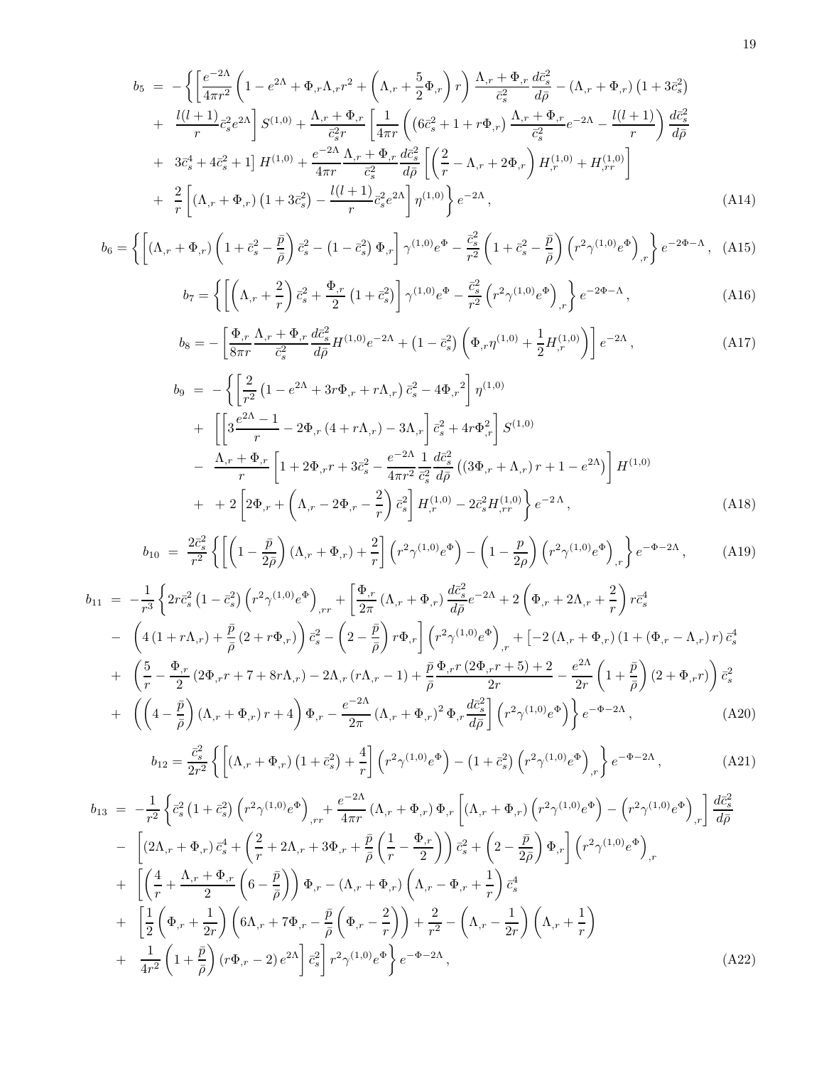$$
b_{5} = -\left\{ \left[ \frac{e^{-2\Lambda}}{4\pi r^{2}} \left( 1 - e^{2\Lambda} + \Phi_{,r}\Lambda_{,r}r^{2} + \left( \Lambda_{,r} + \frac{5}{2}\Phi_{,r} \right) r \right) \frac{\Lambda_{,r} + \Phi_{,r}}{\bar{c}_{s}^{2}} \frac{d\bar{c}_{s}^{2}}{d\bar{\rho}} - (\Lambda_{,r} + \Phi_{,r}) \left( 1 + 3\bar{c}_{s}^{2} \right) \right. \\ + \left. \frac{l(l+1)}{r} \bar{c}_{s}^{2} e^{2\Lambda} \right] S^{(1,0)} + \frac{\Lambda_{,r} + \Phi_{,r}}{\bar{c}_{s}^{2}r} \left[ \frac{1}{4\pi r} \left( \left( 6\bar{c}_{s}^{2} + 1 + r\Phi_{,r} \right) \frac{\Lambda_{,r} + \Phi_{,r}}{\bar{c}_{s}^{2}} e^{-2\Lambda} - \frac{l(l+1)}{r} \right) \frac{d\bar{c}_{s}^{2}}{d\bar{\rho}} \right. \\ + 3\bar{c}_{s}^{4} + 4\bar{c}_{s}^{2} + 1 \right] H^{(1,0)} + \frac{e^{-2\Lambda}}{4\pi r} \frac{\Lambda_{,r} + \Phi_{,r}}{\bar{c}_{s}^{2}} \frac{d\bar{c}_{s}^{2}}{d\bar{\rho}} \left[ \left( \frac{2}{r} - \Lambda_{,r} + 2\Phi_{,r} \right) H_{,r}^{(1,0)} + H_{,rr}^{(1,0)} \right] \\ + \frac{2}{r} \left[ \left( \Lambda_{,r} + \Phi_{,r} \right) \left( 1 + 3\bar{c}_{s}^{2} \right) - \frac{l(l+1)}{r} \bar{c}_{s}^{2} e^{2\Lambda} \right] \eta^{(1,0)} \right\} e^{-2\Lambda}, \tag{A14}
$$

$$
b_6 = \left\{ \left[ (\Lambda_{,r} + \Phi_{,r}) \left( 1 + \bar{c}_s^2 - \frac{\bar{p}}{\bar{\rho}} \right) \bar{c}_s^2 - (1 - \bar{c}_s^2) \Phi_{,r} \right] \gamma^{(1,0)} e^{\Phi} - \frac{\bar{c}_s^2}{r^2} \left( 1 + \bar{c}_s^2 - \frac{\bar{p}}{\bar{\rho}} \right) \left( r^2 \gamma^{(1,0)} e^{\Phi} \right)_{,r} \right\} e^{-2\Phi - \Lambda}, \quad (A15)
$$

$$
b_7 = \left\{ \left[ \left( \Lambda_{,r} + \frac{2}{r} \right) \bar{c}_s^2 + \frac{\Phi_{,r}}{2} \left( 1 + \bar{c}_s^2 \right) \right] \gamma^{(1,0)} e^{\Phi} - \frac{\bar{c}_s^2}{r^2} \left( r^2 \gamma^{(1,0)} e^{\Phi} \right)_{,r} \right\} e^{-2\Phi - \Lambda}, \tag{A16}
$$

$$
b_8 = -\left[\frac{\Phi_{,r}}{8\pi r} \frac{\Lambda_{,r} + \Phi_{,r}}{\bar{c}_s^2} \frac{d\bar{c}_s^2}{d\bar{\rho}} H^{(1,0)} e^{-2\Lambda} + \left(1 - \bar{c}_s^2\right) \left(\Phi_{,r} \eta^{(1,0)} + \frac{1}{2} H_{,r}^{(1,0)}\right)\right] e^{-2\Lambda},\tag{A17}
$$

$$
b_9 = -\left\{ \left[ \frac{2}{r^2} \left( 1 - e^{2\Lambda} + 3r \Phi_{,r} + r \Lambda_{,r} \right) \bar{c}_s^2 - 4 \Phi_{,r}^2 \right] \eta^{(1,0)} \right.+ \left[ \left[ 3 \frac{e^{2\Lambda} - 1}{r} - 2 \Phi_{,r} \left( 4 + r \Lambda_{,r} \right) - 3 \Lambda_{,r} \right] \bar{c}_s^2 + 4r \Phi_{,r}^2 \right] S^{(1,0)} - \frac{\Lambda_{,r} + \Phi_{,r}}{r} \left[ 1 + 2 \Phi_{,r} r + 3 \bar{c}_s^2 - \frac{e^{-2\Lambda}}{4\pi r^2} \frac{1}{\bar{c}_s^2} \frac{d \bar{c}_s^2}{d \bar{\rho}} \left( (3 \Phi_{,r} + \Lambda_{,r}) r + 1 - e^{2\Lambda} \right) \right] H^{(1,0)} + + 2 \left[ 2 \Phi_{,r} + \left( \Lambda_{,r} - 2 \Phi_{,r} - \frac{2}{r} \right) \bar{c}_s^2 \right] H_{,r}^{(1,0)} - 2 \bar{c}_s^2 H_{,rr}^{(1,0)} \right\} e^{-2\Lambda}, \tag{A18}
$$

$$
b_{10} = \frac{2\bar{c}_s^2}{r^2} \left\{ \left[ \left( 1 - \frac{\bar{p}}{2\bar{\rho}} \right) (\Lambda_{,r} + \Phi_{,r}) + \frac{2}{r} \right] \left( r^2 \gamma^{(1,0)} e^{\Phi} \right) - \left( 1 - \frac{p}{2\rho} \right) \left( r^2 \gamma^{(1,0)} e^{\Phi} \right)_{,r} \right\} e^{-\Phi - 2\Lambda}, \tag{A19}
$$

$$
b_{11} = -\frac{1}{r^3} \left\{ 2r\bar{c}_s^2 \left(1 - \bar{c}_s^2\right) \left(r^2 \gamma^{(1,0)} e^{\Phi}\right)_{,rr} + \left[\frac{\Phi_{,r}}{2\pi} \left(\Lambda_{,r} + \Phi_{,r}\right) \frac{d\bar{c}_s^2}{d\bar{\rho}} e^{-2\Lambda} + 2 \left(\Phi_{,r} + 2\Lambda_{,r} + \frac{2}{r}\right) r\bar{c}_s^4 \right. \\ \left. - \left(4\left(1 + r\Lambda_{,r}\right) + \frac{\bar{p}}{\bar{\rho}} \left(2 + r\Phi_{,r}\right)\right) \bar{c}_s^2 - \left(2 - \frac{\bar{p}}{\bar{\rho}}\right) r\Phi_{,r}\right] \left(r^2 \gamma^{(1,0)} e^{\Phi}\right)_{,r} + \left[-2\left(\Lambda_{,r} + \Phi_{,r}\right) \left(1 + \left(\Phi_{,r} - \Lambda_{,r}\right) r\right) \bar{c}_s^4 \right. \\ \left. + \left(\frac{5}{r} - \frac{\Phi_{,r}}{2} \left(2\Phi_{,r} r + 7 + 8r\Lambda_{,r}\right) - 2\Lambda_{,r} \left(r\Lambda_{,r} - 1\right) + \frac{\bar{p}}{\bar{\rho}} \frac{\Phi_{,r} r \left(2\Phi_{,r} r + 5\right) + 2}{2r} - \frac{e^{2\Lambda}}{2r} \left(1 + \frac{\bar{p}}{\bar{\rho}}\right) \left(2 + \Phi_{,r} r\right)\right) \bar{c}_s^2 \right. \\ \left. + \left(\left(4 - \frac{\bar{p}}{\bar{\rho}}\right) \left(\Lambda_{,r} + \Phi_{,r}\right) r + 4\right) \Phi_{,r} - \frac{e^{-2\Lambda}}{2\pi} \left(\Lambda_{,r} + \Phi_{,r}\right)^2 \Phi_{,r} \frac{d\bar{c}_s^2}{d\bar{\rho}} \right] \left(r^2 \gamma^{(1,0)} e^{\Phi}\right) \right\} e^{-\Phi - 2\Lambda}, \tag{A20}
$$

$$
b_{12} = \frac{\bar{c}_s^2}{2r^2} \left\{ \left[ (\Lambda_{,r} + \Phi_{,r}) \left( 1 + \bar{c}_s^2 \right) + \frac{4}{r} \right] \left( r^2 \gamma^{(1,0)} e^{\Phi} \right) - \left( 1 + \bar{c}_s^2 \right) \left( r^2 \gamma^{(1,0)} e^{\Phi} \right)_{,r} \right\} e^{-\Phi - 2\Lambda}, \tag{A21}
$$

$$
b_{13} = -\frac{1}{r^2} \left\{ \bar{c}_s^2 \left( 1 + \bar{c}_s^2 \right) \left( r^2 \gamma^{(1,0)} e^{\Phi} \right)_{,rr} + \frac{e^{-2\Lambda}}{4\pi r} \left( \Lambda_{,r} + \Phi_{,r} \right) \Phi_{,r} \left[ \left( \Lambda_{,r} + \Phi_{,r} \right) \left( r^2 \gamma^{(1,0)} e^{\Phi} \right) - \left( r^2 \gamma^{(1,0)} e^{\Phi} \right)_{,r} \right] \frac{d\bar{c}_s^2}{d\bar{\rho}} - \left[ \left( 2\Lambda_{,r} + \Phi_{,r} \right) \bar{c}_s^4 + \left( \frac{2}{r} + 2\Lambda_{,r} + 3\Phi_{,r} + \frac{\bar{p}}{\bar{\rho}} \left( \frac{1}{r} - \frac{\Phi_{,r}}{2} \right) \right) \bar{c}_s^2 + \left( 2 - \frac{\bar{p}}{2\bar{\rho}} \right) \Phi_{,r} \right] \left( r^2 \gamma^{(1,0)} e^{\Phi} \right)_{,r} + \left[ \left( \frac{4}{r} + \frac{\Lambda_{,r} + \Phi_{,r}}{2} \left( 6 - \frac{\bar{p}}{\bar{\rho}} \right) \right) \Phi_{,r} - (\Lambda_{,r} + \Phi_{,r}) \left( \Lambda_{,r} - \Phi_{,r} + \frac{1}{r} \right) \bar{c}_s^4 + \left[ \frac{1}{2} \left( \Phi_{,r} + \frac{1}{2r} \right) \left( 6\Lambda_{,r} + 7\Phi_{,r} - \frac{\bar{p}}{\bar{\rho}} \left( \Phi_{,r} - \frac{2}{r} \right) \right) + \frac{2}{r^2} - \left( \Lambda_{,r} - \frac{1}{2r} \right) \left( \Lambda_{,r} + \frac{1}{r} \right) + \frac{1}{4r^2} \left( 1 + \frac{\bar{p}}{\bar{\rho}} \right) \left( r\Phi_{,r} - 2 \right) e^{2\Lambda} \right] \bar{c}_s^2 \right] r^2 \gamma^{(1,0)} e^{\Phi} \right\} e^{-\Phi - 2\Lambda}, \tag{A22}
$$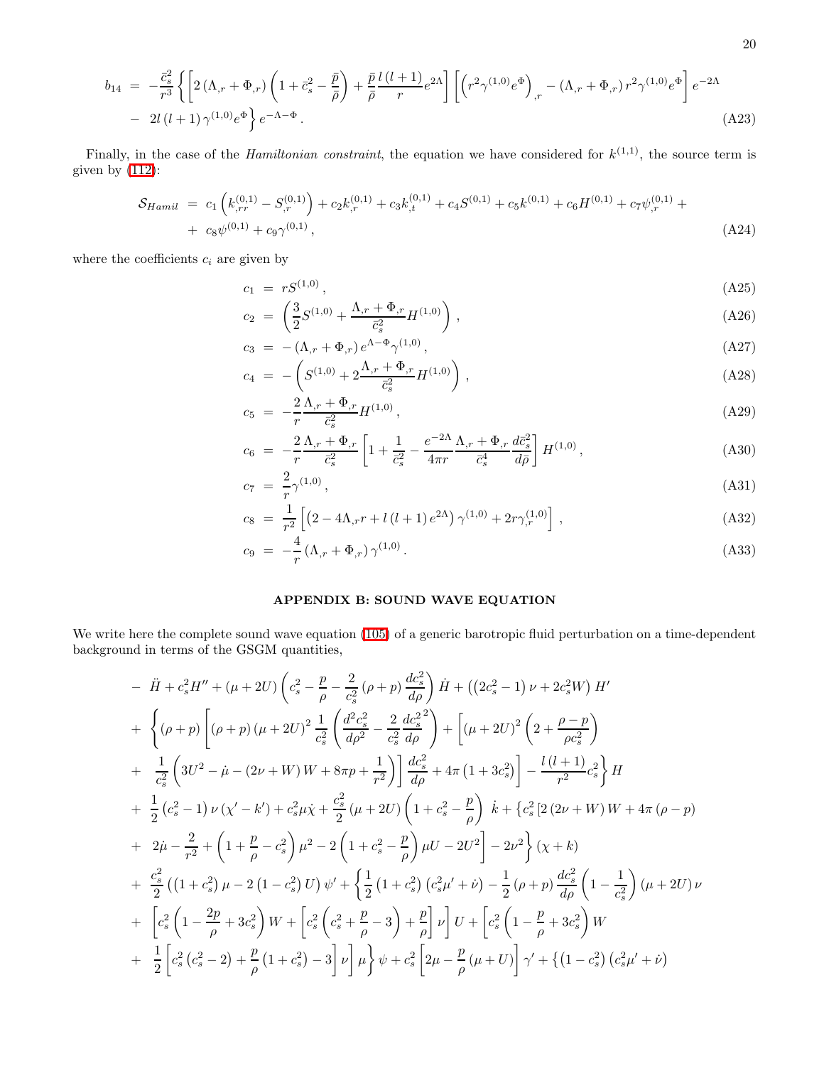$$
b_{14} = -\frac{\bar{c}_s^2}{r^3} \left\{ \left[ 2\left( \Lambda_{,r} + \Phi_{,r} \right) \left( 1 + \bar{c}_s^2 - \frac{\bar{p}}{\bar{\rho}} \right) + \frac{\bar{p}}{\bar{\rho}} \frac{l\left( l+1 \right)}{r} e^{2\Lambda} \right] \left[ \left( r^2 \gamma^{(1,0)} e^{\Phi} \right)_{,r} - \left( \Lambda_{,r} + \Phi_{,r} \right) r^2 \gamma^{(1,0)} e^{\Phi} \right] e^{-2\Lambda} - 2l \left( l+1 \right) \gamma^{(1,0)} e^{\Phi} \right\} e^{-\Lambda - \Phi}.
$$
\n(A23)

Finally, in the case of the *Hamiltonian constraint*, the equation we have considered for  $k^{(1,1)}$ , the source term is given by [\(112\)](#page-13-4):

$$
S_{Hamil} = c_1 \left( k_{,rr}^{(0,1)} - S_{,r}^{(0,1)} \right) + c_2 k_{,r}^{(0,1)} + c_3 k_{,t}^{(0,1)} + c_4 S^{(0,1)} + c_5 k_{,0}^{(0,1)} + c_6 H^{(0,1)} + c_7 \psi_{,r}^{(0,1)} + c_8 \psi_{,0}^{(0,1)} + c_9 \gamma_{,0}^{(0,1)}, \tag{A24}
$$

where the coefficients  $c_i$  are given by

$$
c_1 = rS^{(1,0)}, \t\t (A25)
$$

$$
c_2 = \left(\frac{3}{2}S^{(1,0)} + \frac{\Lambda_{,r} + \Phi_{,r}}{\bar{c}_s^2}H^{(1,0)}\right),\tag{A26}
$$

$$
c_3 = -(\Lambda_{,r} + \Phi_{,r}) e^{\Lambda - \Phi} \gamma^{(1,0)}, \tag{A27}
$$

$$
c_4 = -\left(S^{(1,0)} + 2\frac{\Lambda_{,r} + \Phi_{,r}}{\bar{c}_s^2}H^{(1,0)}\right),\tag{A28}
$$

$$
c_5 = -\frac{2}{r} \frac{\Lambda_{,r} + \Phi_{,r}}{\bar{c}_s^2} H^{(1,0)},\tag{A29}
$$

$$
c_6 = -\frac{2}{r} \frac{\Lambda_{,r} + \Phi_{,r}}{\bar{c}_s^2} \left[ 1 + \frac{1}{\bar{c}_s^2} - \frac{e^{-2\Lambda}}{4\pi r} \frac{\Lambda_{,r} + \Phi_{,r}}{\bar{c}_s^4} \frac{d\bar{c}_s^2}{d\bar{\rho}} \right] H^{(1,0)},\tag{A30}
$$

$$
c_7 = \frac{2}{r} \gamma^{(1,0)},\tag{A31}
$$

$$
c_8 = \frac{1}{r^2} \left[ \left( 2 - 4\Lambda_{,r} r + l \left( l+1 \right) e^{2\Lambda} \right) \gamma^{(1,0)} + 2r \gamma^{(1,0)}_{,r} \right],\tag{A32}
$$

<span id="page-19-0"></span>
$$
c_9 = -\frac{4}{r} (\Lambda_{,r} + \Phi_{,r}) \gamma^{(1,0)}.
$$
 (A33)

# APPENDIX B: SOUND WAVE EQUATION

We write here the complete sound wave equation [\(105\)](#page-12-1) of a generic barotropic fluid perturbation on a time-dependent background in terms of the GSGM quantities,

$$
-\ddot{H} + c_s^2 H'' + (\mu + 2U) \left(c_s^2 - \frac{p}{\rho} - \frac{2}{c_s^2} (\rho + p) \frac{dc_s^2}{d\rho}\right) \dot{H} + \left((2c_s^2 - 1) \nu + 2c_s^2 W\right) H'
$$
  
+ 
$$
\left\{ (\rho + p) \left[ (\rho + p) (\mu + 2U)^2 \frac{1}{c_s^2} \left( \frac{d^2 c_s^2}{d\rho^2} - \frac{2}{c_s^2} \frac{dc_s^2}{d\rho} \right) + \left[ (\mu + 2U)^2 \left( 2 + \frac{\rho - p}{\rho c_s^2} \right) \right. \right.\left. + \frac{1}{c_s^2} \left( 3U^2 - \dot{\mu} - (2\nu + W) W + 8\pi p + \frac{1}{r^2} \right) \right] \frac{dc_s^2}{d\rho} + 4\pi \left( 1 + 3c_s^2 \right) \left[ -\frac{l (l+1)}{r^2} c_s^2 \right] H
$$
  
+ 
$$
\frac{1}{2} \left( c_s^2 - 1 \right) \nu \left( \chi' - k' \right) + c_s^2 \mu \dot{\chi} + \frac{c_s^2}{2} \left( \mu + 2U \right) \left( 1 + c_s^2 - \frac{p}{\rho} \right) \dot{k} + \left\{ c_s^2 \left[ 2(2\nu + W) W + 4\pi \left( \rho - p \right) \right. \right.\left. + 2\dot{\mu} - \frac{2}{r^2} + \left( 1 + \frac{p}{\rho} - c_s^2 \right) \mu^2 - 2 \left( 1 + c_s^2 - \frac{p}{\rho} \right) \mu U - 2U^2 \right] - 2\nu^2 \right\} (\chi + k)
$$
  
+ 
$$
\frac{c_s^2}{2} \left( \left( 1 + c_s^2 \right) \mu - 2 \left( 1 - c_s^2 \right) U \right) \psi' + \left\{ \frac{1}{2} \left( 1 + c_s^2 \right) \left( c_s^2 \mu' + \dot{\nu} \right) - \frac{1}{2} \left( \rho + p \right) \frac{dc_s^2}{d\rho} \left( 1 - \frac{1}{c_s^2} \right) \left( \mu + 2U
$$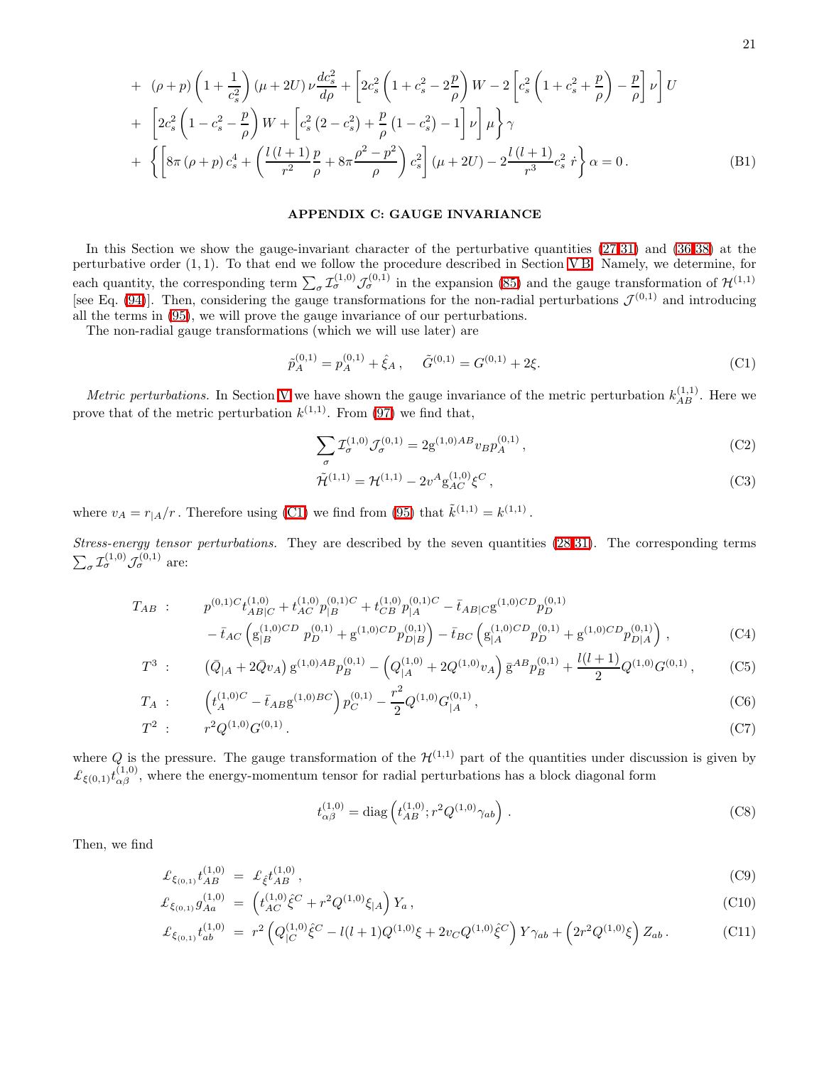+ 
$$
(\rho + p) \left( 1 + \frac{1}{c_s^2} \right) (\mu + 2U) \nu \frac{dc_s^2}{d\rho} + \left[ 2c_s^2 \left( 1 + c_s^2 - 2\frac{p}{\rho} \right) W - 2 \left[ c_s^2 \left( 1 + c_s^2 + \frac{p}{\rho} \right) - \frac{p}{\rho} \right] \nu \right] U
$$
  
+  $\left[ 2c_s^2 \left( 1 - c_s^2 - \frac{p}{\rho} \right) W + \left[ c_s^2 \left( 2 - c_s^2 \right) + \frac{p}{\rho} \left( 1 - c_s^2 \right) - 1 \right] \nu \right] \mu \right\} \gamma$   
+  $\left\{ \left[ 8\pi \left( \rho + p \right) c_s^4 + \left( \frac{l \left( l + 1 \right)}{r^2} \frac{p}{\rho} + 8\pi \frac{\rho^2 - p^2}{\rho} \right) c_s^2 \right] (\mu + 2U) - 2 \frac{l \left( l + 1 \right)}{r^3} c_s^2 \dot{r} \right\} \alpha = 0.$  (B1)

### <span id="page-20-0"></span>APPENDIX C: GAUGE INVARIANCE

In this Section we show the gauge-invariant character of the perturbative quantities [\(27-31\)](#page-5-1) and [\(36-38\)](#page-6-2) at the perturbative order  $(1, 1)$ . To that end we follow the procedure described in Section [V](#page-9-0)B. Namely, we determine, for each quantity, the corresponding term  $\sum_{\sigma} \mathcal{I}_{\sigma}^{(1,0)} \mathcal{J}_{\sigma}^{(0,1)}$  in the expansion [\(85\)](#page-10-0) and the gauge transformation of  $\mathcal{H}^{(1,1)}$ [see Eq. [\(94\)](#page-11-1)]. Then, considering the gauge transformations for the non-radial perturbations  $\mathcal{J}^{(0,1)}$  and introducing all the terms in [\(95\)](#page-11-4), we will prove the gauge invariance of our perturbations.

The non-radial gauge transformations (which we will use later) are

<span id="page-20-1"></span>
$$
\tilde{p}_A^{(0,1)} = p_A^{(0,1)} + \hat{\xi}_A \,, \quad \tilde{G}^{(0,1)} = G^{(0,1)} + 2\xi. \tag{C1}
$$

*Metric perturbations*. In Section [V](#page-9-5) we have shown the gauge invariance of the metric perturbation  $k_{AB}^{(1,1)}$ . Here we prove that of the metric perturbation  $k^{(1,1)}$ . From [\(97\)](#page-11-5) we find that,

$$
\sum_{\sigma} \mathcal{I}_{\sigma}^{(1,0)} \mathcal{J}_{\sigma}^{(0,1)} = 2g^{(1,0)AB} v_B p_A^{(0,1)}, \qquad (C2)
$$

$$
\tilde{\mathcal{H}}^{(1,1)} = \mathcal{H}^{(1,1)} - 2v^A g_{AC}^{(1,0)} \xi^C ,\qquad (C3)
$$

where  $v_A = r_{|A}/r$ . Therefore using [\(C1\)](#page-20-1) we find from [\(95\)](#page-11-4) that  $\tilde{k}^{(1,1)} = k^{(1,1)}$ .

Stress-energy tensor perturbations. They are described by the seven quantities [\(28-31\)](#page-5-1). The corresponding terms  $\sum_{\sigma} \mathcal{I}_{\sigma}^{(1,0)} \mathcal{J}_{\sigma}^{(0,1)}$  are:

$$
T_{AB} : p^{(0,1)C}t_{AB|C}^{(1,0)} + t_{AC}^{(1,0)}p_{|B}^{(0,1)C} + t_{CB}^{(1,0)}p_{|A}^{(0,1)C} - \bar{t}_{AB|C}g^{(1,0)CD}p_{D}^{(0,1)} - \bar{t}_{AC}\left(g_{|B}^{(1,0)CD}p_{D}^{(0,1)} + g^{(1,0)CD}p_{D|B}^{(0,1)}\right) - \bar{t}_{BC}\left(g_{|A}^{(1,0)CD}p_{D}^{(0,1)} + g^{(1,0)CD}p_{D|A}^{(0,1)}\right),
$$
\n(C4)

$$
T^3: \qquad (\bar{Q}_{|A} + 2\bar{Q}v_A) \, \mathbf{g}^{(1,0)AB} p_B^{(0,1)} - \left( Q_{|A}^{(1,0)} + 2Q^{(1,0)}v_A \right) \bar{\mathbf{g}}^{AB} p_B^{(0,1)} + \frac{l(l+1)}{2} Q^{(1,0)} G^{(0,1)},\tag{C5}
$$

$$
T_A : \qquad \left( t_A^{(1,0)C} - \bar{t}_{AB} g^{(1,0)BC} \right) p_C^{(0,1)} - \frac{r^2}{2} Q^{(1,0)} G_{|A}^{(0,1)}, \tag{C6}
$$

$$
T^2: r^2 Q^{(1,0)} G^{(0,1)}.
$$
 (C7)

where Q is the pressure. The gauge transformation of the  $\mathcal{H}^{(1,1)}$  part of the quantities under discussion is given by  $\mathcal{L}_{\xi(0,1)} t_{\alpha\beta}^{(1,0)}$ , where the energy-momentum tensor for radial perturbations has a block diagonal form

$$
t_{\alpha\beta}^{(1,0)} = \text{diag}\left(t_{AB}^{(1,0)}; r^2 Q^{(1,0)} \gamma_{ab}\right). \tag{C8}
$$

Then, we find

$$
\mathcal{L}_{\xi_{(0,1)}} t_{AB}^{(1,0)} = \mathcal{L}_{\xi} t_{AB}^{(1,0)} \,, \tag{C9}
$$

$$
\mathcal{L}_{\xi_{(0,1)}} g_{Aa}^{(1,0)} = \left( t_{AC}^{(1,0)} \hat{\xi}^C + r^2 Q^{(1,0)} \xi_{|A} \right) Y_a, \tag{C10}
$$

$$
\mathcal{L}_{\xi_{(0,1)}} t_{ab}^{(1,0)} = r^2 \left( Q_{|C}^{(1,0)} \hat{\xi}^C - l(l+1) Q^{(1,0)} \xi + 2v_C Q^{(1,0)} \hat{\xi}^C \right) Y \gamma_{ab} + \left( 2r^2 Q^{(1,0)} \xi \right) Z_{ab} \,. \tag{C11}
$$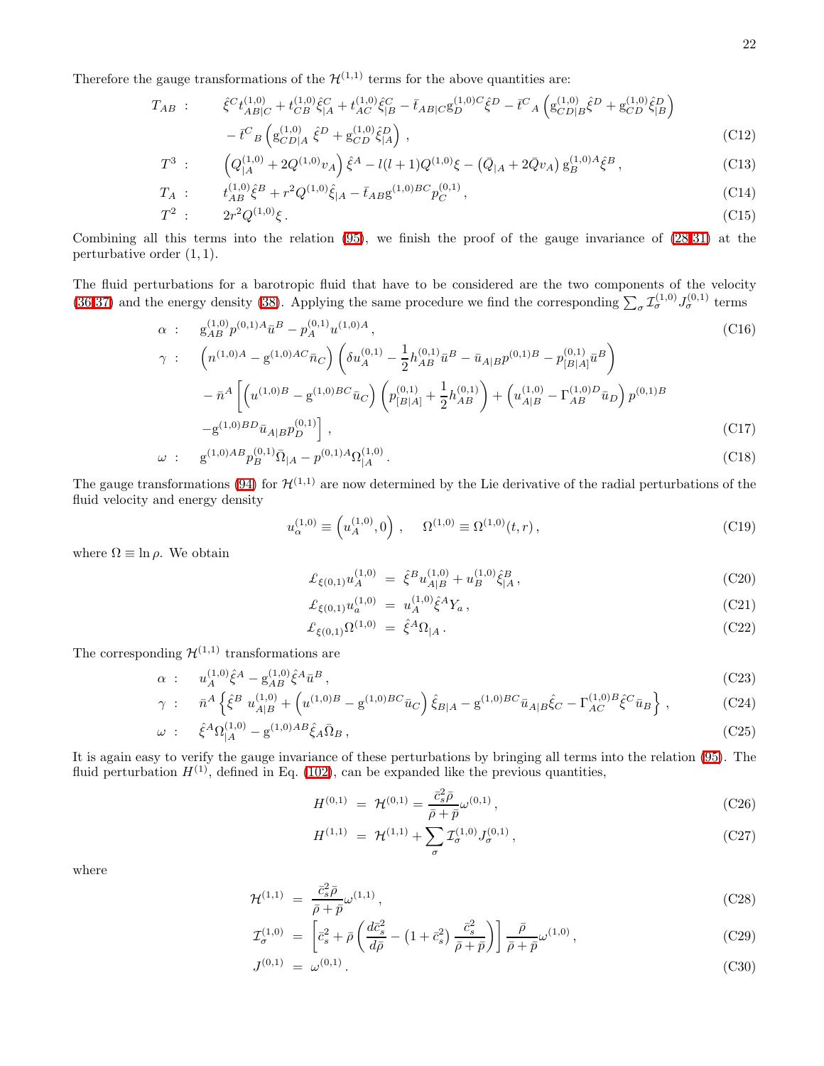Therefore the gauge transformations of the  $\mathcal{H}^{(1,1)}$  terms for the above quantities are:

$$
T_{AB} : \hat{\xi}^{C} t_{AB|C}^{(1,0)} + t_{CB}^{(1,0)} \hat{\xi}_{|A}^{C} + t_{AC}^{(1,0)} \hat{\xi}_{|B}^{C} - \bar{t}_{AB|C} \mathbf{g}_{D}^{(1,0)C} \hat{\xi}^{D} - \bar{t}^{C}{}_{A} \left( \mathbf{g}_{CD|B}^{(1,0)} \hat{\xi}^{D} + \mathbf{g}_{CD}^{(1,0)} \hat{\xi}_{|B}^{D} \right) - \bar{t}^{C}{}_{B} \left( \mathbf{g}_{CD|A}^{(1,0)} \hat{\xi}^{D} + \mathbf{g}_{CD}^{(1,0)} \hat{\xi}_{|A}^{D} \right), \tag{C12}
$$

$$
T^3: \qquad \left(Q_{|A}^{(1,0)} + 2Q^{(1,0)}v_A\right)\hat{\xi}^A - l(l+1)Q^{(1,0)}\xi - \left(\bar{Q}_{|A} + 2\bar{Q}v_A\right)g_B^{(1,0)A}\hat{\xi}^B,
$$
\n(C13)

$$
T_A : t_{AB}^{(1,0)} \hat{\xi}^B + r^2 Q^{(1,0)} \hat{\xi}_{|A} - \bar{t}_{AB} g^{(1,0)BC} p_C^{(0,1)}, \qquad (C14)
$$

$$
T^2: \t 2r^2Q^{(1,0)}\xi. \t (C15)
$$

Combining all this terms into the relation [\(95\)](#page-11-4), we finish the proof of the gauge invariance of [\(28-31\)](#page-5-1) at the perturbative order  $(1, 1)$ .

The fluid perturbations for a barotropic fluid that have to be considered are the two components of the velocity [\(36-37\)](#page-6-2) and the energy density [\(38\)](#page-6-2). Applying the same procedure we find the corresponding  $\sum_{\sigma} \mathcal{I}_{\sigma}^{(1,0)} J_{\sigma}^{(0,1)}$  terms

$$
\alpha : g_{AB}^{(1,0)} p^{(0,1)A} \bar{u}^B - p_A^{(0,1)} u^{(1,0)A},
$$
\n
$$
\gamma : \left( n^{(1,0)A} - g^{(1,0)AC} \bar{n}_C \right) \left( \delta u_A^{(0,1)} - \frac{1}{2} h_{AB}^{(0,1)} \bar{u}^B - \bar{u}_{A|B} p^{(0,1)B} - p_{[B|A]}^{(0,1)} \bar{u}^B \right)
$$
\n
$$
- \bar{n}^A \left[ \left( u^{(1,0)B} - g^{(1,0)BC} \bar{u}_C \right) \left( p_{[B|A]}^{(0,1)} + \frac{1}{2} h_{AB}^{(0,1)} \right) + \left( u_{A|B}^{(1,0)} - \Gamma_{AB}^{(1,0)D} \bar{u}_D \right) p^{(0,1)B} \right]
$$
\n
$$
- g^{(1,0)BD} \bar{u}_{A|B} p_D^{(0,1)} \right],
$$
\n(0.10.48, (0.1)5, (0.1)40, (1.0)

$$
\omega : \quad g^{(1,0)AB} p_B^{(0,1)} \bar{\Omega}_{|A} - p^{(0,1)A} \Omega_{|A}^{(1,0)} \,. \tag{C18}
$$

The gauge transformations [\(94\)](#page-11-1) for  $\mathcal{H}^{(1,1)}$  are now determined by the Lie derivative of the radial perturbations of the fluid velocity and energy density

$$
u_{\alpha}^{(1,0)} \equiv \left(u_A^{(1,0)}, 0\right), \quad \Omega^{(1,0)} \equiv \Omega^{(1,0)}(t,r), \tag{C19}
$$

where  $\Omega \equiv \ln \rho$ . We obtain

$$
\mathcal{L}_{\xi(0,1)} u_A^{(1,0)} = \hat{\xi}^B u_{A|B}^{(1,0)} + u_B^{(1,0)} \hat{\xi}_A^B,
$$
\n(C20)

$$
\mathcal{L}_{\xi(0,1)} u_a^{(1,0)} = u_A^{(1,0)} \hat{\xi}^A Y_a , \qquad (C21)
$$

$$
\mathcal{L}_{\xi(0,1)}\Omega^{(1,0)} = \hat{\xi}^A \Omega_{|A} \,. \tag{C22}
$$

The corresponding  $\mathcal{H}^{(1,1)}$  transformations are

$$
\alpha : \quad u_A^{(1,0)} \hat{\xi}^A - g_{AB}^{(1,0)} \hat{\xi}^A \bar{u}^B \,, \tag{C23}
$$

$$
\gamma : \bar{n}^A \left\{ \hat{\xi}^B u_{A|B}^{(1,0)} + \left( u^{(1,0)B} - g^{(1,0)BC} \bar{u}_C \right) \hat{\xi}_{B|A} - g^{(1,0)BC} \bar{u}_{A|B} \hat{\xi}_C - \Gamma_{AC}^{(1,0)B} \hat{\xi}^C \bar{u}_B \right\},
$$
(C24)

$$
\omega : \hat{\xi}^A \Omega^{(1,0)}_{|A} - g^{(1,0)AB} \hat{\xi}_A \bar{\Omega}_B , \qquad (C25)
$$

It is again easy to verify the gauge invariance of these perturbations by bringing all terms into the relation [\(95\)](#page-11-4). The fluid perturbation  $H^{(1)}$ , defined in Eq. [\(102\)](#page-12-0), can be expanded like the previous quantities,

$$
H^{(0,1)} = \mathcal{H}^{(0,1)} = \frac{\bar{c}_s^2 \bar{\rho}}{\bar{\rho} + \bar{p}} \omega^{(0,1)},
$$
\n(C26)

$$
H^{(1,1)} = \mathcal{H}^{(1,1)} + \sum_{\sigma} \mathcal{I}^{(1,0)}_{\sigma} J^{(0,1)}_{\sigma}, \qquad (C27)
$$

where

$$
\mathcal{H}^{(1,1)} = \frac{\bar{c}_s^2 \bar{\rho}}{\bar{\rho} + \bar{p}} \omega^{(1,1)},\tag{C28}
$$

$$
\mathcal{I}_{\sigma}^{(1,0)} = \left[ \bar{c}_s^2 + \bar{\rho} \left( \frac{d\bar{c}_s^2}{d\bar{\rho}} - \left( 1 + \bar{c}_s^2 \right) \frac{\bar{c}_s^2}{\bar{\rho} + \bar{p}} \right) \right] \frac{\bar{\rho}}{\bar{\rho} + \bar{p}} \omega^{(1,0)},\tag{C29}
$$

$$
J^{(0,1)} = \omega^{(0,1)}.
$$
\n(C30)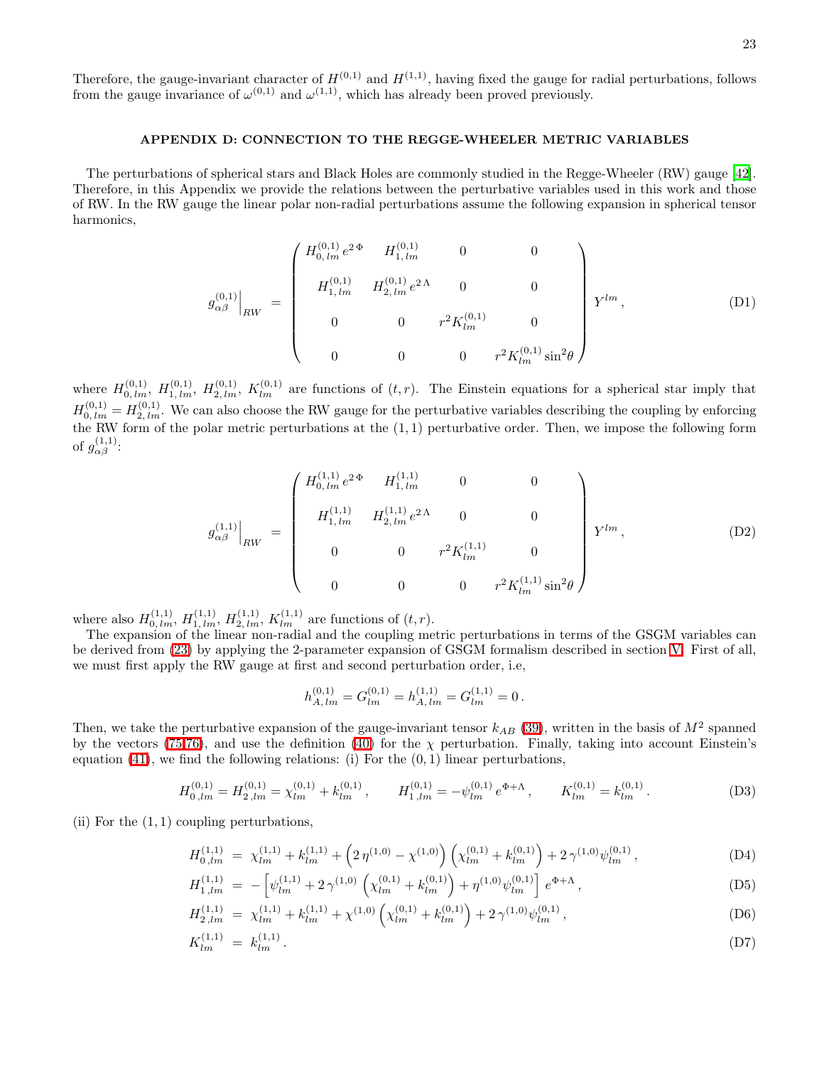Therefore, the gauge-invariant character of  $H^{(0,1)}$  and  $H^{(1,1)}$ , having fixed the gauge for radial perturbations, follows from the gauge invariance of  $\omega^{(0,1)}$  and  $\omega^{(1,1)}$ , which has already been proved previously.

### APPENDIX D: CONNECTION TO THE REGGE-WHEELER METRIC VARIABLES

The perturbations of spherical stars and Black Holes are commonly studied in the Regge-Wheeler (RW) gauge [\[42\]](#page-23-41). Therefore, in this Appendix we provide the relations between the perturbative variables used in this work and those of RW. In the RW gauge the linear polar non-radial perturbations assume the following expansion in spherical tensor harmonics,

$$
g_{\alpha\beta}^{(0,1)}\Big|_{RW} = \begin{pmatrix} H_{0,lm}^{(0,1)} e^{2\Phi} & H_{1,lm}^{(0,1)} & 0 & 0 \\ 0 & H_{1,lm}^{(0,1)} & H_{2,lm}^{(0,1)} e^{2\Lambda} & 0 & 0 \\ 0 & 0 & r^2 K_{lm}^{(0,1)} & 0 \\ 0 & 0 & 0 & r^2 K_{lm}^{(0,1)} \sin^2\theta \end{pmatrix} Y^{lm}, \qquad (D1)
$$

where  $H_{0,lm}^{(0,1)}$ ,  $H_{1,lm}^{(0,1)}$ ,  $H_{2,lm}^{(0,1)}$ ,  $K_{lm}^{(0,1)}$  are functions of  $(t,r)$ . The Einstein equations for a spherical star imply that  $H_{0,lm}^{(0,1)} = H_{2,lm}^{(0,1)}$ . We can also choose the RW gauge for the perturbative variables describing the coupling by enforcing the RW form of the polar metric perturbations at the (1, 1) perturbative order. Then, we impose the following form of  $g^{(1,1)}_{\alpha\beta}$ :

$$
g_{\alpha\beta}^{(1,1)}\Big|_{RW} = \begin{pmatrix} H_{0,lm}^{(1,1)}e^{2\Phi} & H_{1,lm}^{(1,1)} & 0 & 0 \\ 0 & H_{1,lm}^{(1,1)} & H_{2,lm}^{(1,1)}e^{2\Lambda} & 0 & 0 \\ 0 & 0 & r^2K_{lm}^{(1,1)} & 0 \\ 0 & 0 & 0 & r^2K_{lm}^{(1,1)}\sin^2\theta \end{pmatrix} Y^{lm}, \tag{D2}
$$

where also  $H_{0,lm}^{(1,1)}$ ,  $H_{1,lm}^{(1,1)}$ ,  $H_{2,lm}^{(1,1)}$ ,  $K_{lm}^{(1,1)}$  are functions of  $(t, r)$ .

The expansion of the linear non-radial and the coupling metric perturbations in terms of the GSGM variables can be derived from [\(23\)](#page-5-4) by applying the 2-parameter expansion of GSGM formalism described in section [V.](#page-9-5) First of all, we must first apply the RW gauge at first and second perturbation order, i.e,

$$
h_{A,lm}^{(0,1)} = G_{lm}^{(0,1)} = h_{A,lm}^{(1,1)} = G_{lm}^{(1,1)} = 0.
$$

Then, we take the perturbative expansion of the gauge-invariant tensor  $k_{AB}$  [\(39\)](#page-6-5), written in the basis of  $M^2$  spanned by the vectors [\(75,76\)](#page-9-4), and use the definition [\(40\)](#page-6-6) for the  $\chi$  perturbation. Finally, taking into account Einstein's equation  $(41)$ , we find the following relations: (i) For the  $(0, 1)$  linear perturbations,

$$
H_{0\,lm}^{(0,1)} = H_{2\,lm}^{(0,1)} = \chi_{lm}^{(0,1)} + k_{lm}^{(0,1)}\,, \qquad H_{1\,lm}^{(0,1)} = -\psi_{lm}^{(0,1)}e^{\Phi+\Lambda}\,, \qquad K_{lm}^{(0,1)} = k_{lm}^{(0,1)}\,.
$$

(ii) For the  $(1, 1)$  coupling perturbations,

$$
H_{0,lm}^{(1,1)} = \chi_{lm}^{(1,1)} + k_{lm}^{(1,1)} + \left(2\,\eta^{(1,0)} - \chi^{(1,0)}\right)\left(\chi_{lm}^{(0,1)} + k_{lm}^{(0,1)}\right) + 2\,\gamma^{(1,0)}\psi_{lm}^{(0,1)}\,,\tag{D4}
$$

$$
H_{1,lm}^{(1,1)} = -\left[\psi_{lm}^{(1,1)} + 2\,\gamma^{(1,0)}\,\left(\chi_{lm}^{(0,1)} + k_{lm}^{(0,1)}\right) + \eta^{(1,0)}\psi_{lm}^{(0,1)}\right]\,e^{\Phi+\Lambda}\,,\tag{D5}
$$

$$
H_{2,lm}^{(1,1)} = \chi_{lm}^{(1,1)} + k_{lm}^{(1,1)} + \chi^{(1,0)} \left( \chi_{lm}^{(0,1)} + k_{lm}^{(0,1)} \right) + 2 \gamma^{(1,0)} \psi_{lm}^{(0,1)}, \tag{D6}
$$

$$
K_{lm}^{(1,1)} = k_{lm}^{(1,1)}.
$$
 (D7)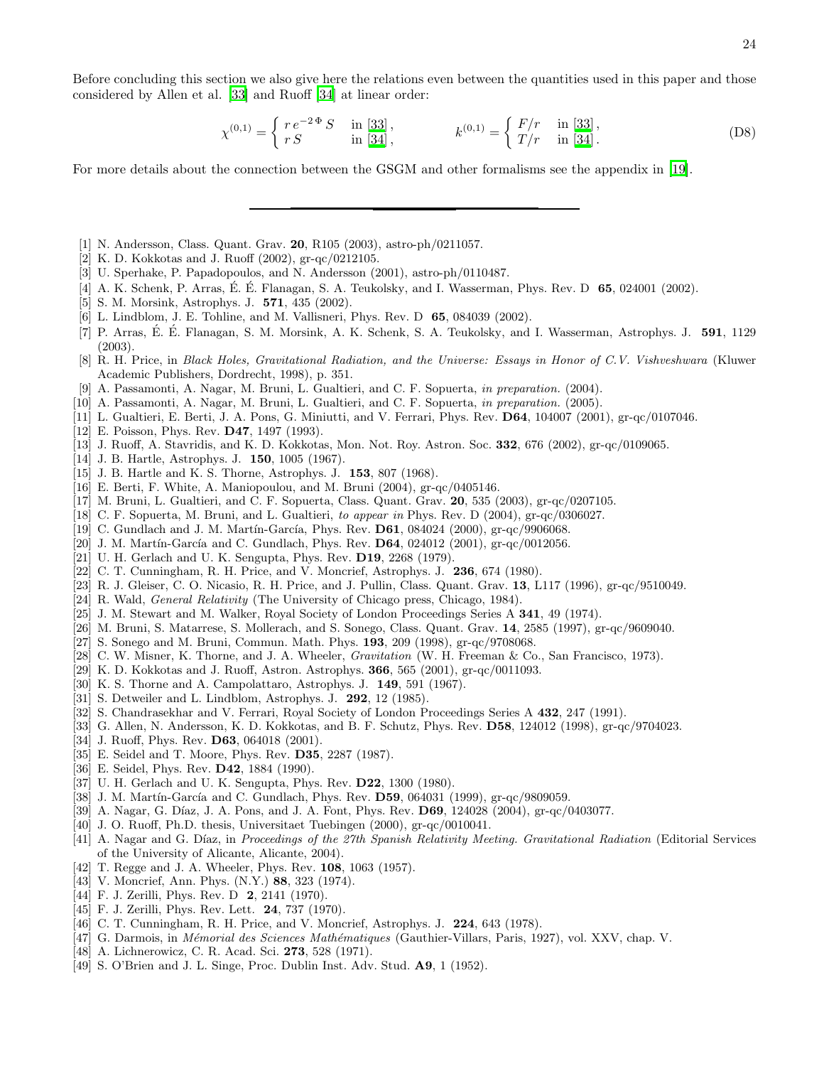$$
\chi^{(0,1)} = \begin{cases} r e^{-2\Phi} S & \text{in [33]}, \\ r S & \text{in [34]}, \end{cases} \qquad k^{(0,1)} = \begin{cases} F/r & \text{in [33]}, \\ T/r & \text{in [34].} \end{cases}
$$
 (D8)

For more details about the connection between the GSGM and other formalisms see the appendix in [\[19\]](#page-23-18).

- <span id="page-23-0"></span>[1] N. Andersson, Class. Quant. Grav. 20, R105 (2003), astro-ph/0211057.
- <span id="page-23-1"></span>[2] K. D. Kokkotas and J. Ruoff (2002), gr-qc/0212105.
- <span id="page-23-2"></span>[3] U. Sperhake, P. Papadopoulos, and N. Andersson (2001), astro-ph/0110487.
- <span id="page-23-3"></span>[4] A. K. Schenk, P. Arras, É. É. Flanagan, S. A. Teukolsky, and I. Wasserman, Phys. Rev. D  $65$ , 024001 (2002).
- <span id="page-23-4"></span>[5] S. M. Morsink, Astrophys. J. 571, 435 (2002).
- <span id="page-23-5"></span>[6] L. Lindblom, J. E. Tohline, and M. Vallisneri, Phys. Rev. D 65, 084039 (2002).
- <span id="page-23-6"></span>[7] P. Arras, É. É. Flanagan, S. M. Morsink, A. K. Schenk, S. A. Teukolsky, and I. Wasserman, Astrophys. J. 591, 1129 (2003).
- <span id="page-23-7"></span>[8] R. H. Price, in *Black Holes, Gravitational Radiation, and the Universe: Essays in Honor of C.V. Vishveshwara* (Kluwer Academic Publishers, Dordrecht, 1998), p. 351.
- [9] A. Passamonti, A. Nagar, M. Bruni, L. Gualtieri, and C. F. Sopuerta, *in preparation.* (2004).
- <span id="page-23-10"></span><span id="page-23-9"></span><span id="page-23-8"></span>[10] A. Passamonti, A. Nagar, M. Bruni, L. Gualtieri, and C. F. Sopuerta, *in preparation.* (2005).
- [11] L. Gualtieri, E. Berti, J. A. Pons, G. Miniutti, and V. Ferrari, Phys. Rev. D64, 104007 (2001), gr-qc/0107046.
- <span id="page-23-11"></span>[12] E. Poisson, Phys. Rev. **D47**, 1497 (1993).
- <span id="page-23-12"></span>[13] J. Ruoff, A. Stavridis, and K. D. Kokkotas, Mon. Not. Roy. Astron. Soc. 332, 676 (2002), gr-qc/0109065.
- <span id="page-23-13"></span>[14] J. B. Hartle, Astrophys. J. 150, 1005 (1967).
- <span id="page-23-14"></span>[15] J. B. Hartle and K. S. Thorne, Astrophys. J. 153, 807 (1968).
- <span id="page-23-15"></span>[16] E. Berti, F. White, A. Maniopoulou, and M. Bruni (2004), gr-qc/0405146.
- <span id="page-23-16"></span>[17] M. Bruni, L. Gualtieri, and C. F. Sopuerta, Class. Quant. Grav. 20, 535 (2003), gr-qc/0207105.
- <span id="page-23-18"></span><span id="page-23-17"></span>[18] C. F. Sopuerta, M. Bruni, and L. Gualtieri, *to appear in* Phys. Rev. D (2004), gr-qc/0306027.
- [19] C. Gundlach and J. M. Martín-García, Phys. Rev. **D61**, 084024 (2000), gr-qc/9906068.
- <span id="page-23-19"></span>[20] J. M. Martín-García and C. Gundlach, Phys. Rev.  $D64$ ,  $024012$  (2001), gr-qc/0012056.
- <span id="page-23-20"></span>[21] U. H. Gerlach and U. K. Sengupta, Phys. Rev. **D19**, 2268 (1979).
- <span id="page-23-21"></span>[22] C. T. Cunningham, R. H. Price, and V. Moncrief, Astrophys. J. 236, 674 (1980).
- <span id="page-23-22"></span>[23] R. J. Gleiser, C. O. Nicasio, R. H. Price, and J. Pullin, Class. Quant. Grav. 13, L117 (1996), gr-qc/9510049.
- <span id="page-23-23"></span>[24] R. Wald, *General Relativity* (The University of Chicago press, Chicago, 1984).
- [25] J. M. Stewart and M. Walker, Royal Society of London Proceedings Series A 341, 49 (1974).
- <span id="page-23-26"></span><span id="page-23-25"></span><span id="page-23-24"></span>[26] M. Bruni, S. Matarrese, S. Mollerach, and S. Sonego, Class. Quant. Grav. 14, 2585 (1997), gr-qc/9609040.
- <span id="page-23-27"></span>[27] S. Sonego and M. Bruni, Commun. Math. Phys. 193, 209 (1998), gr-qc/9708068.
- [28] C. W. Misner, K. Thorne, and J. A. Wheeler, *Gravitation* (W. H. Freeman & Co., San Francisco, 1973).
- <span id="page-23-28"></span>[29] K. D. Kokkotas and J. Ruoff, Astron. Astrophys. 366, 565 (2001), gr-qc/0011093.
- <span id="page-23-29"></span>[30] K. S. Thorne and A. Campolattaro, Astrophys. J. 149, 591 (1967).
- <span id="page-23-30"></span>[31] S. Detweiler and L. Lindblom, Astrophys. J. 292, 12 (1985).
- <span id="page-23-31"></span>[32] S. Chandrasekhar and V. Ferrari, Royal Society of London Proceedings Series A 432, 247 (1991).
- <span id="page-23-32"></span>[33] G. Allen, N. Andersson, K. D. Kokkotas, and B. F. Schutz, Phys. Rev. D58, 124012 (1998), gr-qc/9704023.
- <span id="page-23-33"></span>[34] J. Ruoff, Phys. Rev. **D63**, 064018 (2001).
- <span id="page-23-34"></span>[35] E. Seidel and T. Moore, Phys. Rev. D35, 2287 (1987).
- <span id="page-23-35"></span>[36] E. Seidel, Phys. Rev. D42, 1884 (1990).
- <span id="page-23-36"></span>[37] U. H. Gerlach and U. K. Sengupta, Phys. Rev. D22, 1300 (1980).
- <span id="page-23-37"></span>[38] J. M. Martín-García and C. Gundlach, Phys. Rev. D59, 064031 (1999), gr-qc/9809059.
- <span id="page-23-38"></span>[39] A. Nagar, G. Díaz, J. A. Pons, and J. A. Font, Phys. Rev. **D69**, 124028 (2004), gr-qc/0403077.
- <span id="page-23-39"></span>[40] J. O. Ruoff, Ph.D. thesis, Universitaet Tuebingen (2000), gr-qc/0010041.
- <span id="page-23-40"></span>[41] A. Nagar and G. Díaz, in *Proceedings of the 27th Spanish Relativity Meeting. Gravitational Radiation* (Editorial Services of the University of Alicante, Alicante, 2004).
- <span id="page-23-42"></span><span id="page-23-41"></span>[42] T. Regge and J. A. Wheeler, Phys. Rev. 108, 1063 (1957).
- [43] V. Moncrief, Ann. Phys. (N.Y.) 88, 323 (1974).
- <span id="page-23-43"></span>[44] F. J. Zerilli, Phys. Rev. D 2, 2141 (1970).
- <span id="page-23-44"></span>[45] F. J. Zerilli, Phys. Rev. Lett. 24, 737 (1970).
- <span id="page-23-45"></span>[46] C. T. Cunningham, R. H. Price, and V. Moncrief, Astrophys. J. 224, 643 (1978).
- <span id="page-23-46"></span>[47] G. Darmois, in *M´emorial des Sciences Math´ematiques* (Gauthier-Villars, Paris, 1927), vol. XXV, chap. V.
- <span id="page-23-47"></span>[48] A. Lichnerowicz, C. R. Acad. Sci. **273**, 528 (1971).
- <span id="page-23-48"></span>[49] S. O'Brien and J. L. Singe, Proc. Dublin Inst. Adv. Stud. A9, 1 (1952).